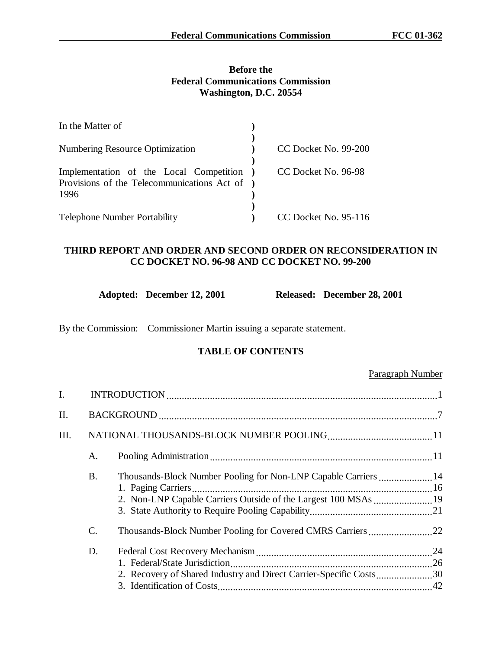# **Before the Federal Communications Commission Washington, D.C. 20554**

| In the Matter of                                                                                 |                      |
|--------------------------------------------------------------------------------------------------|----------------------|
| <b>Numbering Resource Optimization</b>                                                           | CC Docket No. 99-200 |
| Implementation of the Local Competition<br>Provisions of the Telecommunications Act of )<br>1996 | CC Docket No. 96-98  |
| <b>Telephone Number Portability</b>                                                              | CC Docket No. 95-116 |

# **THIRD REPORT AND ORDER AND SECOND ORDER ON RECONSIDERATION IN CC DOCKET NO. 96-98 AND CC DOCKET NO. 99-200**

|  | Adopted: December 12, 2001 | Rο |
|--|----------------------------|----|
|--|----------------------------|----|

**Adopted: December 28, 2001** 

By the Commission: Commissioner Martin issuing a separate statement.

# **TABLE OF CONTENTS**

# Paragraph Number

| I. |                 |                                                                                                                                   |  |
|----|-----------------|-----------------------------------------------------------------------------------------------------------------------------------|--|
| Π. |                 |                                                                                                                                   |  |
| Ш. |                 |                                                                                                                                   |  |
|    | A.              |                                                                                                                                   |  |
|    | <b>B.</b>       | Thousands-Block Number Pooling for Non-LNP Capable Carriers  14<br>2. Non-LNP Capable Carriers Outside of the Largest 100 MSAs 19 |  |
|    | $\mathcal{C}$ . |                                                                                                                                   |  |
|    | D.              | 2. Recovery of Shared Industry and Direct Carrier-Specific Costs30                                                                |  |
|    |                 |                                                                                                                                   |  |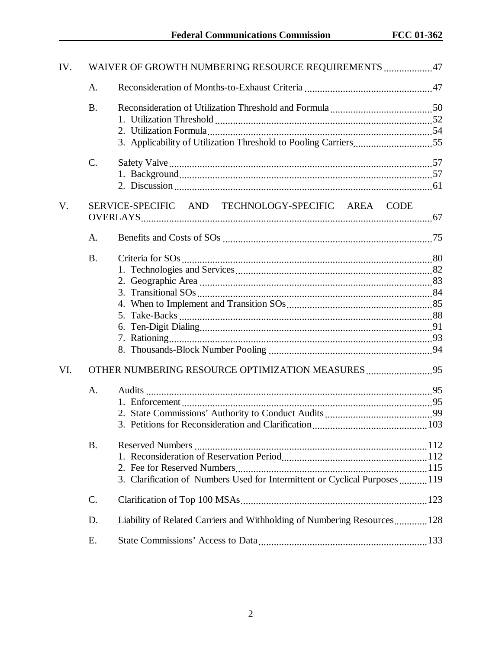| IV.         |                             | WAIVER OF GROWTH NUMBERING RESOURCE REQUIREMENTS 47                                                                             |      |
|-------------|-----------------------------|---------------------------------------------------------------------------------------------------------------------------------|------|
|             | A.                          |                                                                                                                                 |      |
|             | <b>B.</b>                   |                                                                                                                                 |      |
|             | C.                          |                                                                                                                                 |      |
| $V_{\cdot}$ |                             | SERVICE-SPECIFIC AND TECHNOLOGY-SPECIFIC AREA CODE                                                                              |      |
|             | A.                          |                                                                                                                                 |      |
| VI.         | <b>B.</b><br>A <sub>1</sub> | OTHER NUMBERING RESOURCE OPTIMIZATION MEASURES95                                                                                |      |
|             | <b>B.</b>                   | 3. Petitions for Reconsideration and Clarification<br>3. Clarification of Numbers Used for Intermittent or Cyclical Purposes119 | .103 |
|             | $\mathcal{C}$ .             |                                                                                                                                 |      |
|             | D.                          | Liability of Related Carriers and Withholding of Numbering Resources 128                                                        |      |
|             | Ε.                          |                                                                                                                                 |      |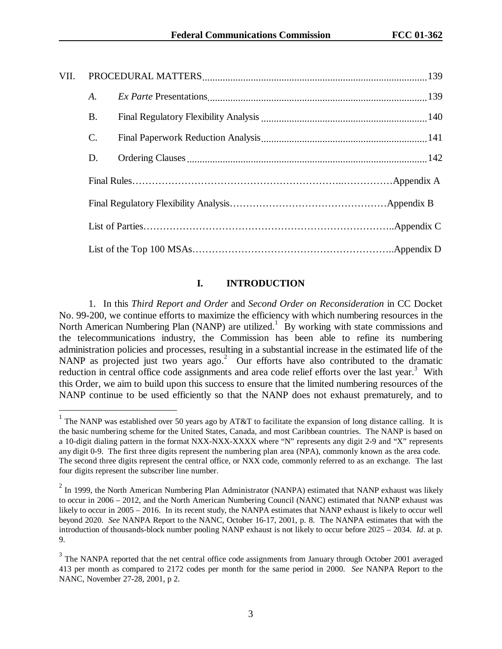| VII. |                |  |  |
|------|----------------|--|--|
|      | A.             |  |  |
|      | Β.             |  |  |
|      | $\mathbf{C}$ . |  |  |
|      | D.             |  |  |
|      |                |  |  |
|      |                |  |  |
|      |                |  |  |
|      |                |  |  |

# **I. INTRODUCTION**

1. In this *Third Report and Order* and *Second Order on Reconsideration* in CC Docket No. 99-200, we continue efforts to maximize the efficiency with which numbering resources in the North American Numbering Plan (NANP) are utilized.<sup>1</sup> By working with state commissions and the telecommunications industry, the Commission has been able to refine its numbering administration policies and processes, resulting in a substantial increase in the estimated life of the NANP as projected just two years ago.<sup>2</sup> Our efforts have also contributed to the dramatic reduction in central office code assignments and area code relief efforts over the last year.<sup>3</sup> With this Order, we aim to build upon this success to ensure that the limited numbering resources of the NANP continue to be used efficiently so that the NANP does not exhaust prematurely, and to

<sup>&</sup>lt;sup>1</sup> The NANP was established over 50 years ago by AT&T to facilitate the expansion of long distance calling. It is the basic numbering scheme for the United States, Canada, and most Caribbean countries. The NANP is based on a 10-digit dialing pattern in the format NXX-NXX-XXXX where "N" represents any digit 2-9 and "X" represents any digit 0-9. The first three digits represent the numbering plan area (NPA), commonly known as the area code. The second three digits represent the central office, or NXX code, commonly referred to as an exchange. The last four digits represent the subscriber line number.

 $2$  In 1999, the North American Numbering Plan Administrator (NANPA) estimated that NANP exhaust was likely to occur in 2006 – 2012, and the North American Numbering Council (NANC) estimated that NANP exhaust was likely to occur in 2005 – 2016. In its recent study, the NANPA estimates that NANP exhaust is likely to occur well beyond 2020. *See* NANPA Report to the NANC, October 16-17, 2001, p. 8. The NANPA estimates that with the introduction of thousands-block number pooling NANP exhaust is not likely to occur before 2025 – 2034. *Id*. at p. 9.

 $3$  The NANPA reported that the net central office code assignments from January through October 2001 averaged 413 per month as compared to 2172 codes per month for the same period in 2000. *See* NANPA Report to the NANC, November 27-28, 2001, p 2.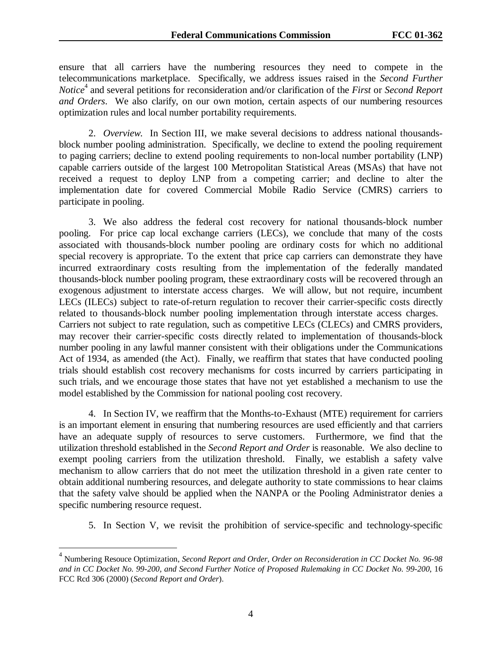ensure that all carriers have the numbering resources they need to compete in the telecommunications marketplace. Specifically, we address issues raised in the *Second Further Notice*<sup>4</sup> and several petitions for reconsideration and/or clarification of the *First* or *Second Report and Orders*. We also clarify, on our own motion, certain aspects of our numbering resources optimization rules and local number portability requirements.

2. *Overview*.In Section III, we make several decisions to address national thousandsblock number pooling administration. Specifically, we decline to extend the pooling requirement to paging carriers; decline to extend pooling requirements to non-local number portability (LNP) capable carriers outside of the largest 100 Metropolitan Statistical Areas (MSAs) that have not received a request to deploy LNP from a competing carrier; and decline to alter the implementation date for covered Commercial Mobile Radio Service (CMRS) carriers to participate in pooling.

3. We also address the federal cost recovery for national thousands-block number pooling. For price cap local exchange carriers (LECs), we conclude that many of the costs associated with thousands-block number pooling are ordinary costs for which no additional special recovery is appropriate. To the extent that price cap carriers can demonstrate they have incurred extraordinary costs resulting from the implementation of the federally mandated thousands-block number pooling program, these extraordinary costs will be recovered through an exogenous adjustment to interstate access charges. We will allow, but not require, incumbent LECs (ILECs) subject to rate-of-return regulation to recover their carrier-specific costs directly related to thousands-block number pooling implementation through interstate access charges. Carriers not subject to rate regulation, such as competitive LECs (CLECs) and CMRS providers, may recover their carrier-specific costs directly related to implementation of thousands-block number pooling in any lawful manner consistent with their obligations under the Communications Act of 1934, as amended (the Act). Finally, we reaffirm that states that have conducted pooling trials should establish cost recovery mechanisms for costs incurred by carriers participating in such trials, and we encourage those states that have not yet established a mechanism to use the model established by the Commission for national pooling cost recovery.

4. In Section IV, we reaffirm that the Months-to-Exhaust (MTE) requirement for carriers is an important element in ensuring that numbering resources are used efficiently and that carriers have an adequate supply of resources to serve customers. Furthermore, we find that the utilization threshold established in the *Second Report and Order* is reasonable. We also decline to exempt pooling carriers from the utilization threshold. Finally, we establish a safety valve mechanism to allow carriers that do not meet the utilization threshold in a given rate center to obtain additional numbering resources, and delegate authority to state commissions to hear claims that the safety valve should be applied when the NANPA or the Pooling Administrator denies a specific numbering resource request.

5. In Section V, we revisit the prohibition of service-specific and technology-specific

<sup>4</sup> Numbering Resouce Optimization, *Second Report and Order, Order on Reconsideration in CC Docket No. 96-98 and in CC Docket No. 99-200, and Second Further Notice of Proposed Rulemaking in CC Docket No. 99-200*, 16 FCC Rcd 306 (2000) (*Second Report and Order*).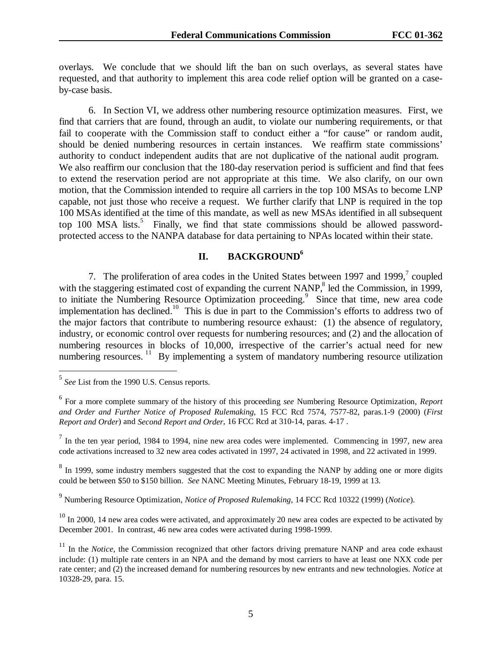overlays. We conclude that we should lift the ban on such overlays, as several states have requested, and that authority to implement this area code relief option will be granted on a caseby-case basis.

6. In Section VI, we address other numbering resource optimization measures. First, we find that carriers that are found, through an audit, to violate our numbering requirements, or that fail to cooperate with the Commission staff to conduct either a "for cause" or random audit, should be denied numbering resources in certain instances. We reaffirm state commissions' authority to conduct independent audits that are not duplicative of the national audit program. We also reaffirm our conclusion that the 180-day reservation period is sufficient and find that fees to extend the reservation period are not appropriate at this time. We also clarify, on our own motion, that the Commission intended to require all carriers in the top 100 MSAs to become LNP capable, not just those who receive a request. We further clarify that LNP is required in the top 100 MSAs identified at the time of this mandate, as well as new MSAs identified in all subsequent top 100 MSA lists.<sup>5</sup> Finally, we find that state commissions should be allowed passwordprotected access to the NANPA database for data pertaining to NPAs located within their state.

# **II. BACKGROUND6**

7. The proliferation of area codes in the United States between 1997 and 1999, $7$  coupled with the staggering estimated cost of expanding the current NANP, $\degree$  led the Commission, in 1999, to initiate the Numbering Resource Optimization proceeding.<sup>9</sup> Since that time, new area code implementation has declined.<sup>10</sup> This is due in part to the Commission's efforts to address two of the major factors that contribute to numbering resource exhaust: (1) the absence of regulatory, industry, or economic control over requests for numbering resources; and (2) and the allocation of numbering resources in blocks of 10,000, irrespective of the carrier's actual need for new numbering resources.<sup>11</sup> By implementing a system of mandatory numbering resource utilization

 $\overline{a}$ 

 $8\,$  In 1999, some industry members suggested that the cost to expanding the NANP by adding one or more digits could be between \$50 to \$150 billion. *See* NANC Meeting Minutes, February 18-19, 1999 at 13.

9 Numbering Resource Optimization, *Notice of Proposed Rulemaking*, 14 FCC Rcd 10322 (1999) (*Notice*).

 $10$  In 2000, 14 new area codes were activated, and approximately 20 new area codes are expected to be activated by December 2001. In contrast, 46 new area codes were activated during 1998-1999.

<sup>5</sup> *See* List from the 1990 U.S. Census reports.

<sup>6</sup> For a more complete summary of the history of this proceeding *see* Numbering Resource Optimization, *Report and Order and Further Notice of Proposed Rulemaking*, 15 FCC Rcd 7574, 7577-82, paras.1-9 (2000) (*First Report and Order*) and *Second Report and Order*, 16 FCC Rcd at 310-14, paras. 4-17 .

 $<sup>7</sup>$  In the ten year period, 1984 to 1994, nine new area codes were implemented. Commencing in 1997, new area</sup> code activations increased to 32 new area codes activated in 1997, 24 activated in 1998, and 22 activated in 1999.

<sup>&</sup>lt;sup>11</sup> In the *Notice*, the Commission recognized that other factors driving premature NANP and area code exhaust include: (1) multiple rate centers in an NPA and the demand by most carriers to have at least one NXX code per rate center; and (2) the increased demand for numbering resources by new entrants and new technologies. *Notice* at 10328-29, para. 15.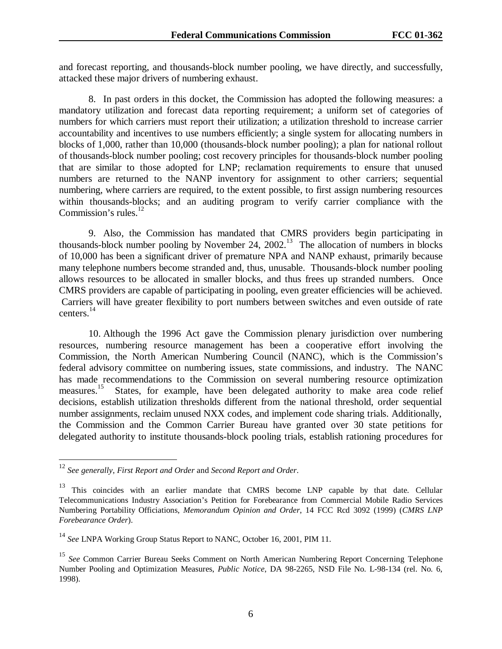and forecast reporting, and thousands-block number pooling, we have directly, and successfully, attacked these major drivers of numbering exhaust.

8. In past orders in this docket, the Commission has adopted the following measures: a mandatory utilization and forecast data reporting requirement; a uniform set of categories of numbers for which carriers must report their utilization; a utilization threshold to increase carrier accountability and incentives to use numbers efficiently; a single system for allocating numbers in blocks of 1,000, rather than 10,000 (thousands-block number pooling); a plan for national rollout of thousands-block number pooling; cost recovery principles for thousands-block number pooling that are similar to those adopted for LNP; reclamation requirements to ensure that unused numbers are returned to the NANP inventory for assignment to other carriers; sequential numbering, where carriers are required, to the extent possible, to first assign numbering resources within thousands-blocks; and an auditing program to verify carrier compliance with the Commission's rules. $^{12}$ 

9. Also, the Commission has mandated that CMRS providers begin participating in thousands-block number pooling by November 24,  $2002<sup>13</sup>$  The allocation of numbers in blocks of 10,000 has been a significant driver of premature NPA and NANP exhaust, primarily because many telephone numbers become stranded and, thus, unusable. Thousands-block number pooling allows resources to be allocated in smaller blocks, and thus frees up stranded numbers. Once CMRS providers are capable of participating in pooling, even greater efficiencies will be achieved. Carriers will have greater flexibility to port numbers between switches and even outside of rate centers.<sup>14</sup>

10. Although the 1996 Act gave the Commission plenary jurisdiction over numbering resources, numbering resource management has been a cooperative effort involving the Commission, the North American Numbering Council (NANC), which is the Commission's federal advisory committee on numbering issues, state commissions, and industry. The NANC has made recommendations to the Commission on several numbering resource optimization measures.<sup>15</sup> States, for example, have been delegated authority to make area code relief decisions, establish utilization thresholds different from the national threshold, order sequential number assignments, reclaim unused NXX codes, and implement code sharing trials. Additionally, the Commission and the Common Carrier Bureau have granted over 30 state petitions for delegated authority to institute thousands-block pooling trials, establish rationing procedures for

<sup>12</sup> *See generally*, *First Report and Order* and *Second Report and Order*.

<sup>&</sup>lt;sup>13</sup> This coincides with an earlier mandate that CMRS become LNP capable by that date. Cellular Telecommunications Industry Association's Petition for Forebearance from Commercial Mobile Radio Services Numbering Portability Officiations, *Memorandum Opinion and Order*, 14 FCC Rcd 3092 (1999) (*CMRS LNP Forebearance Order*).

<sup>14</sup> *See* LNPA Working Group Status Report to NANC, October 16, 2001, PIM 11.

<sup>&</sup>lt;sup>15</sup> See Common Carrier Bureau Seeks Comment on North American Numbering Report Concerning Telephone Number Pooling and Optimization Measures, *Public Notice*, DA 98-2265, NSD File No. L-98-134 (rel. No. 6, 1998).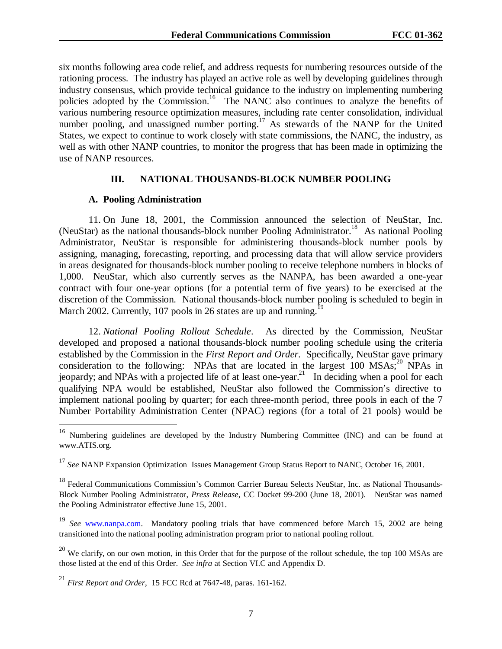six months following area code relief, and address requests for numbering resources outside of the rationing process. The industry has played an active role as well by developing guidelines through industry consensus, which provide technical guidance to the industry on implementing numbering policies adopted by the Commission.<sup>16</sup> The NANC also continues to analyze the benefits of various numbering resource optimization measures, including rate center consolidation, individual number pooling, and unassigned number porting.<sup>17</sup> As stewards of the NANP for the United States, we expect to continue to work closely with state commissions, the NANC, the industry, as well as with other NANP countries, to monitor the progress that has been made in optimizing the use of NANP resources.

#### **III. NATIONAL THOUSANDS-BLOCK NUMBER POOLING**

#### **A. Pooling Administration**

 $\overline{a}$ 

11. On June 18, 2001, the Commission announced the selection of NeuStar, Inc. (NeuStar) as the national thousands-block number Pooling Administrator.<sup>18</sup> As national Pooling Administrator, NeuStar is responsible for administering thousands-block number pools by assigning, managing, forecasting, reporting, and processing data that will allow service providers in areas designated for thousands-block number pooling to receive telephone numbers in blocks of 1,000. NeuStar, which also currently serves as the NANPA, has been awarded a one-year contract with four one-year options (for a potential term of five years) to be exercised at the discretion of the Commission. National thousands-block number pooling is scheduled to begin in March 2002. Currently, 107 pools in 26 states are up and running.

12. *National Pooling Rollout Schedule*. As directed by the Commission, NeuStar developed and proposed a national thousands-block number pooling schedule using the criteria established by the Commission in the *First Report and Order*. Specifically, NeuStar gave primary consideration to the following: NPAs that are located in the largest 100  $MSAs<sub>i</sub><sup>20</sup> NPs$  in jeopardy; and NPAs with a projected life of at least one-year.<sup>21</sup> In deciding when a pool for each qualifying NPA would be established, NeuStar also followed the Commission's directive to implement national pooling by quarter; for each three-month period, three pools in each of the 7 Number Portability Administration Center (NPAC) regions (for a total of 21 pools) would be

<sup>&</sup>lt;sup>16</sup> Numbering guidelines are developed by the Industry Numbering Committee (INC) and can be found at www.ATIS.org.

<sup>&</sup>lt;sup>17</sup> See NANP Expansion Optimization Issues Management Group Status Report to NANC, October 16, 2001.

<sup>&</sup>lt;sup>18</sup> Federal Communications Commission's Common Carrier Bureau Selects NeuStar, Inc. as National Thousands-Block Number Pooling Administrator, *Press Release*, CC Docket 99-200 (June 18, 2001). NeuStar was named the Pooling Administrator effective June 15, 2001.

<sup>19</sup> *See* www.nanpa.com. Mandatory pooling trials that have commenced before March 15, 2002 are being transitioned into the national pooling administration program prior to national pooling rollout.

 $^{20}$  We clarify, on our own motion, in this Order that for the purpose of the rollout schedule, the top 100 MSAs are those listed at the end of this Order. *See infra* at Section VI.C and Appendix D.

<sup>21</sup> *First Report and Order*, 15 FCC Rcd at 7647-48, paras. 161-162.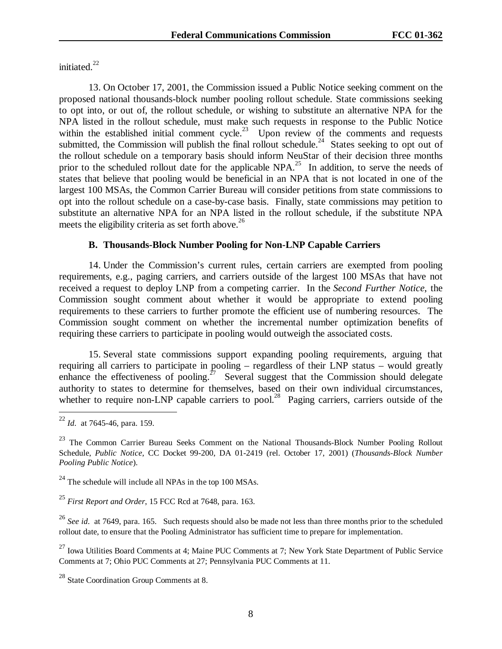initiated.<sup>22</sup>

13. On October 17, 2001, the Commission issued a Public Notice seeking comment on the proposed national thousands-block number pooling rollout schedule. State commissions seeking to opt into, or out of, the rollout schedule, or wishing to substitute an alternative NPA for the NPA listed in the rollout schedule, must make such requests in response to the Public Notice within the established initial comment cycle.<sup>23</sup> Upon review of the comments and requests submitted, the Commission will publish the final rollout schedule.<sup>24</sup> States seeking to opt out of the rollout schedule on a temporary basis should inform NeuStar of their decision three months prior to the scheduled rollout date for the applicable NPA.<sup>25</sup> In addition, to serve the needs of states that believe that pooling would be beneficial in an NPA that is not located in one of the largest 100 MSAs, the Common Carrier Bureau will consider petitions from state commissions to opt into the rollout schedule on a case-by-case basis. Finally, state commissions may petition to substitute an alternative NPA for an NPA listed in the rollout schedule, if the substitute NPA meets the eligibility criteria as set forth above.<sup>26</sup>

#### **B. Thousands-Block Number Pooling for Non-LNP Capable Carriers**

14. Under the Commission's current rules, certain carriers are exempted from pooling requirements, e.g., paging carriers, and carriers outside of the largest 100 MSAs that have not received a request to deploy LNP from a competing carrier. In the *Second Further Notice*, the Commission sought comment about whether it would be appropriate to extend pooling requirements to these carriers to further promote the efficient use of numbering resources. The Commission sought comment on whether the incremental number optimization benefits of requiring these carriers to participate in pooling would outweigh the associated costs.

15. Several state commissions support expanding pooling requirements, arguing that requiring all carriers to participate in pooling – regardless of their LNP status – would greatly enhance the effectiveness of pooling.<sup>27</sup> Several suggest that the Commission should delegate authority to states to determine for themselves, based on their own individual circumstances, whether to require non-LNP capable carriers to pool.<sup>28</sup> Paging carriers, carriers outside of the

<sup>22</sup> *Id*. at 7645-46, para. 159.

<sup>&</sup>lt;sup>23</sup> The Common Carrier Bureau Seeks Comment on the National Thousands-Block Number Pooling Rollout Schedule, *Public Notice*, CC Docket 99-200, DA 01-2419 (rel. October 17, 2001) (*Thousands-Block Number Pooling Public Notice*).

 $^{24}$  The schedule will include all NPAs in the top 100 MSAs.

<sup>25</sup> *First Report and Order*, 15 FCC Rcd at 7648, para. 163.

<sup>&</sup>lt;sup>26</sup> See id. at 7649, para. 165. Such requests should also be made not less than three months prior to the scheduled rollout date, to ensure that the Pooling Administrator has sufficient time to prepare for implementation.

<sup>&</sup>lt;sup>27</sup> Iowa Utilities Board Comments at 4; Maine PUC Comments at 7; New York State Department of Public Service Comments at 7; Ohio PUC Comments at 27; Pennsylvania PUC Comments at 11.

<sup>&</sup>lt;sup>28</sup> State Coordination Group Comments at 8.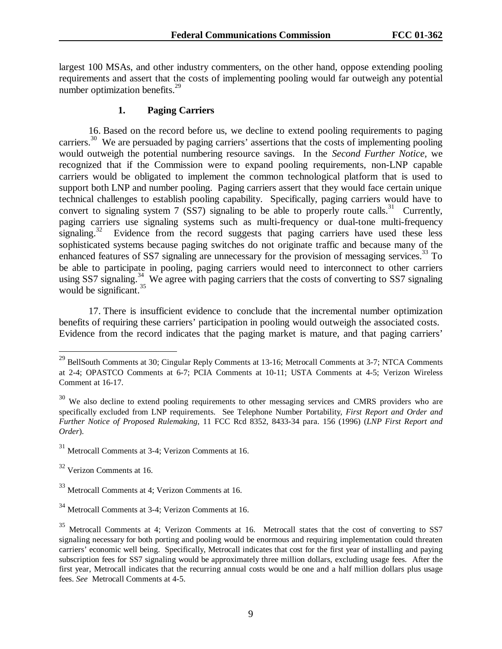largest 100 MSAs, and other industry commenters, on the other hand, oppose extending pooling requirements and assert that the costs of implementing pooling would far outweigh any potential number optimization benefits. $29$ 

### **1. Paging Carriers**

16. Based on the record before us, we decline to extend pooling requirements to paging carriers.<sup>30</sup> We are persuaded by paging carriers' assertions that the costs of implementing pooling would outweigh the potential numbering resource savings. In the *Second Further Notice,* we recognized that if the Commission were to expand pooling requirements, non-LNP capable carriers would be obligated to implement the common technological platform that is used to support both LNP and number pooling. Paging carriers assert that they would face certain unique technical challenges to establish pooling capability. Specifically, paging carriers would have to convert to signaling system 7 (SS7) signaling to be able to properly route calls.<sup>31</sup> Currently, paging carriers use signaling systems such as multi-frequency or dual-tone multi-frequency signaling.<sup>32</sup> Evidence from the record suggests that paging carriers have used these less sophisticated systems because paging switches do not originate traffic and because many of the enhanced features of SS7 signaling are unnecessary for the provision of messaging services.<sup>33</sup> To be able to participate in pooling, paging carriers would need to interconnect to other carriers using SS7 signaling.<sup>34</sup> We agree with paging carriers that the costs of converting to SS7 signaling would be significant.<sup>35</sup>

17. There is insufficient evidence to conclude that the incremental number optimization benefits of requiring these carriers' participation in pooling would outweigh the associated costs. Evidence from the record indicates that the paging market is mature, and that paging carriers'

 $^{29}$  BellSouth Comments at 30; Cingular Reply Comments at 13-16; Metrocall Comments at 3-7; NTCA Comments at 2-4; OPASTCO Comments at 6-7; PCIA Comments at 10-11; USTA Comments at 4-5; Verizon Wireless Comment at 16-17.

<sup>&</sup>lt;sup>30</sup> We also decline to extend pooling requirements to other messaging services and CMRS providers who are specifically excluded from LNP requirements. See Telephone Number Portability*, First Report and Order and Further Notice of Proposed Rulemaking,* 11 FCC Rcd 8352, 8433-34 para. 156 (1996) (*LNP First Report and Order*).

<sup>31</sup> Metrocall Comments at 3-4; Verizon Comments at 16.

<sup>32</sup> Verizon Comments at 16.

<sup>33</sup> Metrocall Comments at 4; Verizon Comments at 16.

<sup>34</sup> Metrocall Comments at 3-4; Verizon Comments at 16.

<sup>35</sup> Metrocall Comments at 4; Verizon Comments at 16. Metrocall states that the cost of converting to SS7 signaling necessary for both porting and pooling would be enormous and requiring implementation could threaten carriers' economic well being. Specifically, Metrocall indicates that cost for the first year of installing and paying subscription fees for SS7 signaling would be approximately three million dollars, excluding usage fees. After the first year, Metrocall indicates that the recurring annual costs would be one and a half million dollars plus usage fees. *See* Metrocall Comments at 4-5.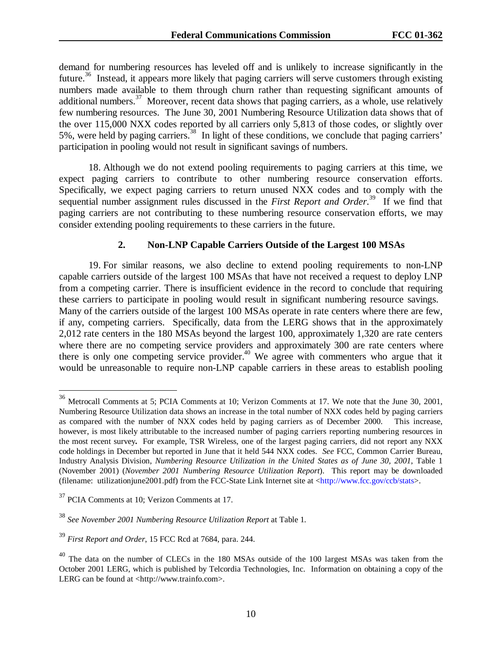demand for numbering resources has leveled off and is unlikely to increase significantly in the future.<sup>36</sup> Instead, it appears more likely that paging carriers will serve customers through existing numbers made available to them through churn rather than requesting significant amounts of additional numbers.<sup>37</sup> Moreover, recent data shows that paging carriers, as a whole, use relatively few numbering resources. The June 30, 2001 Numbering Resource Utilization data shows that of the over 115,000 NXX codes reported by all carriers only 5,813 of those codes, or slightly over 5%, were held by paging carriers.<sup>38</sup> In light of these conditions, we conclude that paging carriers' participation in pooling would not result in significant savings of numbers.

18. Although we do not extend pooling requirements to paging carriers at this time, we expect paging carriers to contribute to other numbering resource conservation efforts. Specifically, we expect paging carriers to return unused NXX codes and to comply with the sequential number assignment rules discussed in the *First Report and Order*. 39 If we find that paging carriers are not contributing to these numbering resource conservation efforts, we may consider extending pooling requirements to these carriers in the future.

### **2. Non-LNP Capable Carriers Outside of the Largest 100 MSAs**

19. For similar reasons, we also decline to extend pooling requirements to non-LNP capable carriers outside of the largest 100 MSAs that have not received a request to deploy LNP from a competing carrier. There is insufficient evidence in the record to conclude that requiring these carriers to participate in pooling would result in significant numbering resource savings. Many of the carriers outside of the largest 100 MSAs operate in rate centers where there are few, if any, competing carriers. Specifically, data from the LERG shows that in the approximately 2,012 rate centers in the 180 MSAs beyond the largest 100, approximately 1,320 are rate centers where there are no competing service providers and approximately 300 are rate centers where there is only one competing service provider.<sup>40</sup> We agree with commenters who argue that it would be unreasonable to require non-LNP capable carriers in these areas to establish pooling

 $36$  Metrocall Comments at 5; PCIA Comments at 10; Verizon Comments at 17. We note that the June 30, 2001, Numbering Resource Utilization data shows an increase in the total number of NXX codes held by paging carriers as compared with the number of NXX codes held by paging carriers as of December 2000. This increase, however, is most likely attributable to the increased number of paging carriers reporting numbering resources in the most recent survey**.** For example, TSR Wireless, one of the largest paging carriers, did not report any NXX code holdings in December but reported in June that it held 544 NXX codes. *See* FCC, Common Carrier Bureau, Industry Analysis Division, *Numbering Resource Utilization in the United States as of June 30, 2001*, Table 1 (November 2001) (*November 2001 Numbering Resource Utilization Report*). This report may be downloaded (filename: utilizationjune2001.pdf) from the FCC-State Link Internet site at <http://www.fcc.gov/ccb/stats>.

<sup>&</sup>lt;sup>37</sup> PCIA Comments at 10; Verizon Comments at 17.

<sup>38</sup> *See November 2001 Numbering Resource Utilization Report* at Table 1*.* 

<sup>39</sup> *First Report and Order*, 15 FCC Rcd at 7684, para. 244.

 $40$  The data on the number of CLECs in the 180 MSAs outside of the 100 largest MSAs was taken from the October 2001 LERG, which is published by Telcordia Technologies, Inc. Information on obtaining a copy of the LERG can be found at <http://www.trainfo.com>.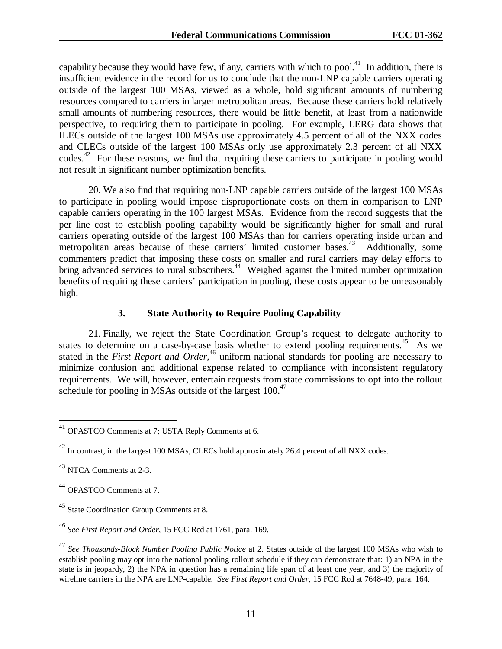capability because they would have few, if any, carriers with which to pool.<sup>41</sup> In addition, there is insufficient evidence in the record for us to conclude that the non-LNP capable carriers operating outside of the largest 100 MSAs, viewed as a whole, hold significant amounts of numbering resources compared to carriers in larger metropolitan areas. Because these carriers hold relatively small amounts of numbering resources, there would be little benefit, at least from a nationwide perspective, to requiring them to participate in pooling. For example, LERG data shows that ILECs outside of the largest 100 MSAs use approximately 4.5 percent of all of the NXX codes and CLECs outside of the largest 100 MSAs only use approximately 2.3 percent of all NXX codes.<sup>42</sup> For these reasons, we find that requiring these carriers to participate in pooling would not result in significant number optimization benefits.

20. We also find that requiring non-LNP capable carriers outside of the largest 100 MSAs to participate in pooling would impose disproportionate costs on them in comparison to LNP capable carriers operating in the 100 largest MSAs. Evidence from the record suggests that the per line cost to establish pooling capability would be significantly higher for small and rural carriers operating outside of the largest 100 MSAs than for carriers operating inside urban and metropolitan areas because of these carriers' limited customer bases.<sup>43</sup> Additionally, some commenters predict that imposing these costs on smaller and rural carriers may delay efforts to bring advanced services to rural subscribers.<sup>44</sup> Weighed against the limited number optimization benefits of requiring these carriers' participation in pooling, these costs appear to be unreasonably high.

#### **3. State Authority to Require Pooling Capability**

21. Finally, we reject the State Coordination Group's request to delegate authority to states to determine on a case-by-case basis whether to extend pooling requirements.<sup>45</sup> As we stated in the *First Report and Order*,<sup>46</sup> uniform national standards for pooling are necessary to minimize confusion and additional expense related to compliance with inconsistent regulatory requirements. We will, however, entertain requests from state commissions to opt into the rollout schedule for pooling in MSAs outside of the largest  $100<sup>47</sup>$ 

 $41$  OPASTCO Comments at 7; USTA Reply Comments at 6.

<sup>&</sup>lt;sup>42</sup> In contrast, in the largest 100 MSAs, CLECs hold approximately 26.4 percent of all NXX codes.

<sup>43</sup> NTCA Comments at 2-3.

<sup>44</sup> OPASTCO Comments at 7.

<sup>&</sup>lt;sup>45</sup> State Coordination Group Comments at 8.

<sup>46</sup> *See First Report and Order*, 15 FCC Rcd at 1761, para. 169.

<sup>47</sup> *See Thousands-Block Number Pooling Public Notice* at 2. States outside of the largest 100 MSAs who wish to establish pooling may opt into the national pooling rollout schedule if they can demonstrate that: 1) an NPA in the state is in jeopardy, 2) the NPA in question has a remaining life span of at least one year, and 3) the majority of wireline carriers in the NPA are LNP-capable. *See First Report and Order*, 15 FCC Rcd at 7648-49, para. 164.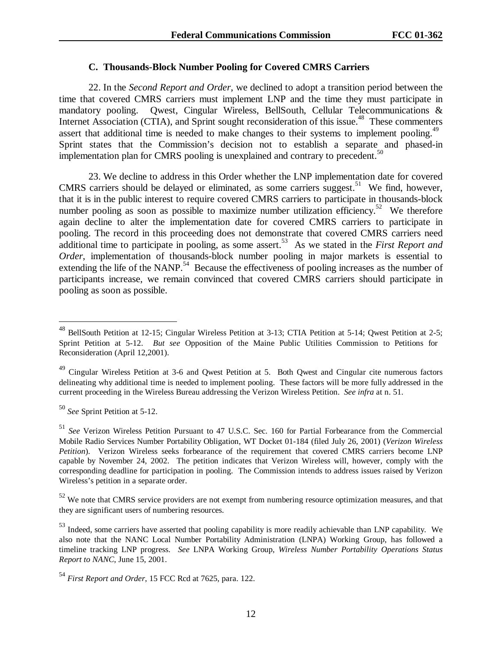## **C. Thousands-Block Number Pooling for Covered CMRS Carriers**

22. In the *Second Report and Order*, we declined to adopt a transition period between the time that covered CMRS carriers must implement LNP and the time they must participate in mandatory pooling. Qwest, Cingular Wireless, BellSouth, Cellular Telecommunications & Internet Association (CTIA), and Sprint sought reconsideration of this issue.<sup>48</sup> These commenters assert that additional time is needed to make changes to their systems to implement pooling.<sup>49</sup> Sprint states that the Commission's decision not to establish a separate and phased-in implementation plan for CMRS pooling is unexplained and contrary to precedent.<sup>50</sup>

23. We decline to address in this Order whether the LNP implementation date for covered CMRS carriers should be delayed or eliminated, as some carriers suggest.51 We find, however, that it is in the public interest to require covered CMRS carriers to participate in thousands-block number pooling as soon as possible to maximize number utilization efficiency.<sup>52</sup> We therefore again decline to alter the implementation date for covered CMRS carriers to participate in pooling. The record in this proceeding does not demonstrate that covered CMRS carriers need additional time to participate in pooling, as some assert.<sup>53</sup> As we stated in the *First Report and Order*, implementation of thousands-block number pooling in major markets is essential to extending the life of the NANP.<sup>54</sup> Because the effectiveness of pooling increases as the number of participants increase, we remain convinced that covered CMRS carriers should participate in pooling as soon as possible.

<sup>50</sup> *See* Sprint Petition at 5-12.

 $^{48}$  BellSouth Petition at 12-15; Cingular Wireless Petition at 3-13; CTIA Petition at 5-14; Qwest Petition at 2-5; Sprint Petition at 5-12. *But see* Opposition of the Maine Public Utilities Commission to Petitions for Reconsideration (April 12,2001).

<sup>&</sup>lt;sup>49</sup> Cingular Wireless Petition at 3-6 and Qwest Petition at 5. Both Qwest and Cingular cite numerous factors delineating why additional time is needed to implement pooling. These factors will be more fully addressed in the current proceeding in the Wireless Bureau addressing the Verizon Wireless Petition. *See infra* at n. 51.

<sup>51</sup> *See* Verizon Wireless Petition Pursuant to 47 U.S.C. Sec. 160 for Partial Forbearance from the Commercial Mobile Radio Services Number Portability Obligation, WT Docket 01-184 (filed July 26, 2001) (*Verizon Wireless Petition*). Verizon Wireless seeks forbearance of the requirement that covered CMRS carriers become LNP capable by November 24, 2002. The petition indicates that Verizon Wireless will, however, comply with the corresponding deadline for participation in pooling. The Commission intends to address issues raised by Verizon Wireless's petition in a separate order.

<sup>&</sup>lt;sup>52</sup> We note that CMRS service providers are not exempt from numbering resource optimization measures, and that they are significant users of numbering resources.

<sup>&</sup>lt;sup>53</sup> Indeed, some carriers have asserted that pooling capability is more readily achievable than LNP capability. We also note that the NANC Local Number Portability Administration (LNPA) Working Group, has followed a timeline tracking LNP progress. *See* LNPA Working Group, *Wireless Number Portability Operations Status Report to NANC*, June 15, 2001.

<sup>54</sup> *First Report and Order*, 15 FCC Rcd at 7625, para. 122.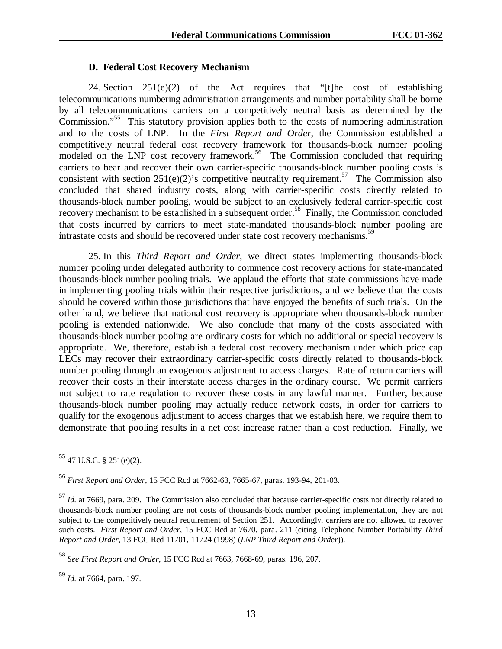#### **D. Federal Cost Recovery Mechanism**

24. Section 251(e)(2) of the Act requires that "[t]he cost of establishing telecommunications numbering administration arrangements and number portability shall be borne by all telecommunications carriers on a competitively neutral basis as determined by the Commission."<sup>55</sup> This statutory provision applies both to the costs of numbering administration and to the costs of LNP. In the *First Report and Order*, the Commission established a competitively neutral federal cost recovery framework for thousands-block number pooling modeled on the LNP cost recovery framework.<sup>56</sup> The Commission concluded that requiring carriers to bear and recover their own carrier-specific thousands-block number pooling costs is consistent with section  $251(e)(2)$ 's competitive neutrality requirement.<sup>57</sup> The Commission also concluded that shared industry costs, along with carrier-specific costs directly related to thousands-block number pooling, would be subject to an exclusively federal carrier-specific cost recovery mechanism to be established in a subsequent order.<sup>58</sup> Finally, the Commission concluded that costs incurred by carriers to meet state-mandated thousands-block number pooling are intrastate costs and should be recovered under state cost recovery mechanisms.<sup>59</sup>

25. In this *Third Report and Order*, we direct states implementing thousands-block number pooling under delegated authority to commence cost recovery actions for state-mandated thousands-block number pooling trials. We applaud the efforts that state commissions have made in implementing pooling trials within their respective jurisdictions, and we believe that the costs should be covered within those jurisdictions that have enjoyed the benefits of such trials. On the other hand, we believe that national cost recovery is appropriate when thousands-block number pooling is extended nationwide. We also conclude that many of the costs associated with thousands-block number pooling are ordinary costs for which no additional or special recovery is appropriate. We, therefore, establish a federal cost recovery mechanism under which price cap LECs may recover their extraordinary carrier-specific costs directly related to thousands-block number pooling through an exogenous adjustment to access charges. Rate of return carriers will recover their costs in their interstate access charges in the ordinary course. We permit carriers not subject to rate regulation to recover these costs in any lawful manner. Further, because thousands-block number pooling may actually reduce network costs, in order for carriers to qualify for the exogenous adjustment to access charges that we establish here, we require them to demonstrate that pooling results in a net cost increase rather than a cost reduction. Finally, we

 $55$  47 U.S.C. § 251(e)(2).

 $\overline{a}$ 

<sup>59</sup> *Id.* at 7664, para. 197.

<sup>56</sup> *First Report and Order*, 15 FCC Rcd at 7662-63, 7665-67, paras. 193-94, 201-03.

<sup>&</sup>lt;sup>57</sup> *Id.* at 7669, para. 209. The Commission also concluded that because carrier-specific costs not directly related to thousands-block number pooling are not costs of thousands-block number pooling implementation, they are not subject to the competitively neutral requirement of Section 251. Accordingly, carriers are not allowed to recover such costs. *First Report and Order*, 15 FCC Rcd at 7670, para. 211 (citing Telephone Number Portability *Third Report and Order*, 13 FCC Rcd 11701, 11724 (1998) (*LNP Third Report and Order*)).

<sup>58</sup> *See First Report and Order*, 15 FCC Rcd at 7663, 7668-69, paras. 196, 207.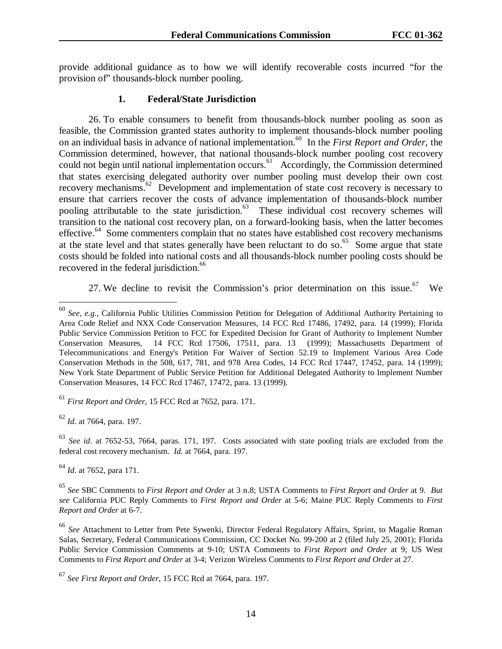provide additional guidance as to how we will identify recoverable costs incurred "for the provision of" thousands-block number pooling.

## **1. Federal/State Jurisdiction**

26. To enable consumers to benefit from thousands-block number pooling as soon as feasible, the Commission granted states authority to implement thousands-block number pooling on an individual basis in advance of national implementation.60 In the *First Report and Order*, the Commission determined, however, that national thousands-block number pooling cost recovery could not begin until national implementation occurs.<sup>61</sup> Accordingly, the Commission determined that states exercising delegated authority over number pooling must develop their own cost recovery mechanisms.<sup>62</sup> Development and implementation of state cost recovery is necessary to ensure that carriers recover the costs of advance implementation of thousands-block number pooling attributable to the state jurisdiction.<sup>63</sup> These individual cost recovery schemes will transition to the national cost recovery plan, on a forward-looking basis, when the latter becomes effective. $64$  Some commenters complain that no states have established cost recovery mechanisms at the state level and that states generally have been reluctant to do so.<sup>65</sup> Some argue that state costs should be folded into national costs and all thousands-block number pooling costs should be recovered in the federal jurisdiction.<sup>66</sup>

27. We decline to revisit the Commission's prior determination on this issue.<sup>67</sup> We

<sup>62</sup> *Id*. at 7664, para. 197.

 $\overline{a}$ 

<sup>63</sup> *See id*. at 7652-53, 7664, paras. 171, 197. Costs associated with state pooling trials are excluded from the federal cost recovery mechanism. *Id.* at 7664, para. 197.

<sup>64</sup> *Id*. at 7652, para 171.

<sup>65</sup> *See* SBC Comments to *First Report and Order* at 3 n.8; USTA Comments to *First Report and Order* at 9. *But see* California PUC Reply Comments to *First Report and Order* at 5-6; Maine PUC Reply Comments to *First Report and Order* at 6-7.

<sup>66</sup> *See* Attachment to Letter from Pete Sywenki, Director Federal Regulatory Affairs, Sprint, to Magalie Roman Salas, Secretary, Federal Communications Commission, CC Docket No. 99-200 at 2 (filed July 25, 2001); Florida Public Service Commission Comments at 9-10; USTA Comments to *First Report and Order* at 9; US West Comments to *First Report and Order* at 3-4; Verizon Wireless Comments to *First Report and Order* at 27.

<sup>60</sup> *See, e.g*., California Public Utilities Commission Petition for Delegation of Additional Authority Pertaining to Area Code Relief and NXX Code Conservation Measures, 14 FCC Rcd 17486, 17492, para. 14 (1999); Florida Public Service Commission Petition to FCC for Expedited Decision for Grant of Authority to Implement Number Conservation Measures, 14 FCC Rcd 17506, 17511, para. 13 (1999); Massachusetts Department of Telecommunications and Energy's Petition For Waiver of Section 52.19 to Implement Various Area Code Conservation Methods in the 508, 617, 781, and 978 Area Codes, 14 FCC Rcd 17447, 17452, para. 14 (1999); New York State Department of Public Service Petition for Additional Delegated Authority to Implement Number Conservation Measures, 14 FCC Rcd 17467, 17472, para. 13 (1999).

<sup>61</sup> *First Report and Order*, 15 FCC Rcd at 7652, para. 171.

<sup>67</sup> *See First Report and Order*, 15 FCC Rcd at 7664, para. 197.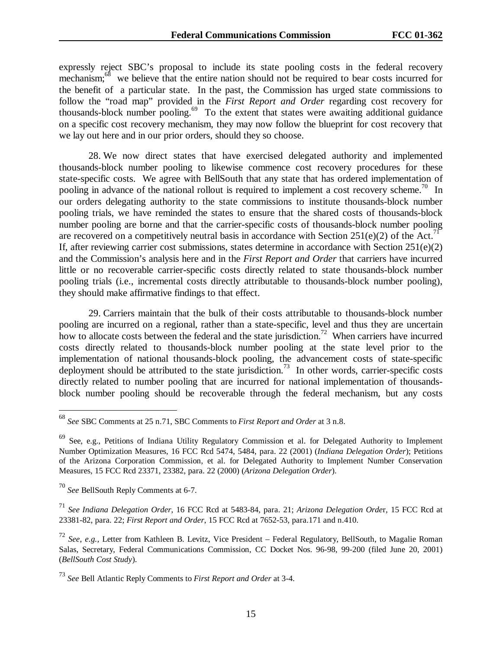expressly reject SBC's proposal to include its state pooling costs in the federal recovery mechanism;<sup>68</sup> we believe that the entire nation should not be required to bear costs incurred for the benefit of a particular state. In the past, the Commission has urged state commissions to follow the "road map" provided in the *First Report and Order* regarding cost recovery for thousands-block number pooling.<sup>69</sup> To the extent that states were awaiting additional guidance on a specific cost recovery mechanism, they may now follow the blueprint for cost recovery that we lay out here and in our prior orders, should they so choose.

28. We now direct states that have exercised delegated authority and implemented thousands-block number pooling to likewise commence cost recovery procedures for these state-specific costs. We agree with BellSouth that any state that has ordered implementation of pooling in advance of the national rollout is required to implement a cost recovery scheme.<sup>70</sup> In our orders delegating authority to the state commissions to institute thousands-block number pooling trials, we have reminded the states to ensure that the shared costs of thousands-block number pooling are borne and that the carrier-specific costs of thousands-block number pooling are recovered on a competitively neutral basis in accordance with Section 251(e)(2) of the Act.<sup>71</sup> If, after reviewing carrier cost submissions, states determine in accordance with Section  $251(e)(2)$ and the Commission's analysis here and in the *First Report and Order* that carriers have incurred little or no recoverable carrier-specific costs directly related to state thousands-block number pooling trials (i.e., incremental costs directly attributable to thousands-block number pooling), they should make affirmative findings to that effect.

29. Carriers maintain that the bulk of their costs attributable to thousands-block number pooling are incurred on a regional, rather than a state-specific, level and thus they are uncertain how to allocate costs between the federal and the state jurisdiction.<sup>72</sup> When carriers have incurred costs directly related to thousands-block number pooling at the state level prior to the implementation of national thousands-block pooling, the advancement costs of state-specific deployment should be attributed to the state jurisdiction.<sup>73</sup> In other words, carrier-specific costs directly related to number pooling that are incurred for national implementation of thousandsblock number pooling should be recoverable through the federal mechanism, but any costs

<sup>68</sup> *See* SBC Comments at 25 n.71, SBC Comments to *First Report and Order* at 3 n.8.

<sup>69</sup> See, e.g., Petitions of Indiana Utility Regulatory Commission et al. for Delegated Authority to Implement Number Optimization Measures, 16 FCC Rcd 5474, 5484, para. 22 (2001) (*Indiana Delegation Order*); Petitions of the Arizona Corporation Commission, et al. for Delegated Authority to Implement Number Conservation Measures, 15 FCC Rcd 23371, 23382, para. 22 (2000) (*Arizona Delegation Order*).

<sup>70</sup> *See* BellSouth Reply Comments at 6-7.

<sup>71</sup> *See Indiana Delegation Order*, 16 FCC Rcd at 5483-84, para. 21; *Arizona Delegation Orde*r, 15 FCC Rcd at 23381-82, para. 22; *First Report and Order*, 15 FCC Rcd at 7652-53, para.171 and n.410.

<sup>72</sup> *See*, *e.g.,* Letter from Kathleen B. Levitz, Vice President – Federal Regulatory, BellSouth, to Magalie Roman Salas, Secretary, Federal Communications Commission, CC Docket Nos. 96-98, 99-200 (filed June 20, 2001) (*BellSouth Cost Study*).

<sup>73</sup> *See* Bell Atlantic Reply Comments to *First Report and Order* at 3-4.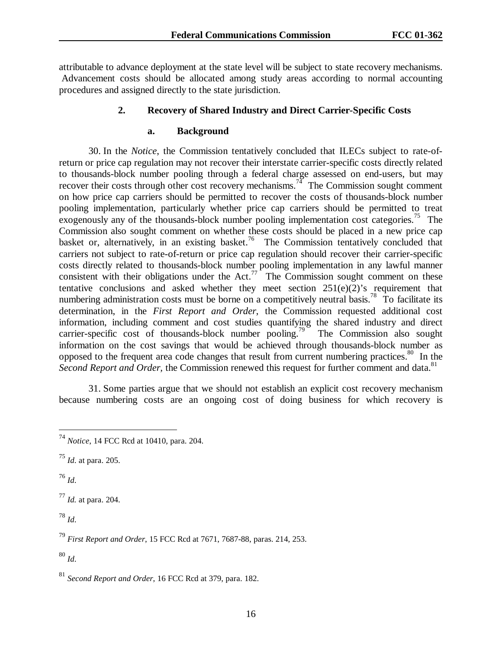attributable to advance deployment at the state level will be subject to state recovery mechanisms. Advancement costs should be allocated among study areas according to normal accounting procedures and assigned directly to the state jurisdiction.

## **2. Recovery of Shared Industry and Direct Carrier-Specific Costs**

#### **a. Background**

30. In the *Notice*, the Commission tentatively concluded that ILECs subject to rate-ofreturn or price cap regulation may not recover their interstate carrier-specific costs directly related to thousands-block number pooling through a federal charge assessed on end-users, but may recover their costs through other cost recovery mechanisms.<sup>74</sup> The Commission sought comment on how price cap carriers should be permitted to recover the costs of thousands-block number pooling implementation, particularly whether price cap carriers should be permitted to treat exogenously any of the thousands-block number pooling implementation cost categories.<sup>75</sup> The Commission also sought comment on whether these costs should be placed in a new price cap basket or, alternatively, in an existing basket.<sup>76</sup> The Commission tentatively concluded that carriers not subject to rate-of-return or price cap regulation should recover their carrier-specific costs directly related to thousands-block number pooling implementation in any lawful manner consistent with their obligations under the Act.<sup>77</sup> The Commission sought comment on these tentative conclusions and asked whether they meet section  $251(e)(2)$ 's requirement that numbering administration costs must be borne on a competitively neutral basis.<sup>78</sup> To facilitate its determination, in the *First Report and Order*, the Commission requested additional cost information, including comment and cost studies quantifying the shared industry and direct carrier-specific cost of thousands-block number pooling.<sup>79</sup> The Commission also sought information on the cost savings that would be achieved through thousands-block number as opposed to the frequent area code changes that result from current numbering practices.<sup>80</sup> In the *Second Report and Order,* the Commission renewed this request for further comment and data.<sup>81</sup>

31. Some parties argue that we should not establish an explicit cost recovery mechanism because numbering costs are an ongoing cost of doing business for which recovery is

<sup>76</sup> *Id*.

 $\overline{a}$ 

<sup>77</sup> *Id.* at para. 204.

<sup>78</sup> *Id*.

<sup>80</sup> *Id*.

<sup>74</sup> *Notice*, 14 FCC Rcd at 10410, para. 204.

<sup>75</sup> *Id*. at para. 205.

<sup>79</sup> *First Report and Order*, 15 FCC Rcd at 7671, 7687-88, paras. 214, 253.

<sup>81</sup> *Second Report and Order*, 16 FCC Rcd at 379, para. 182.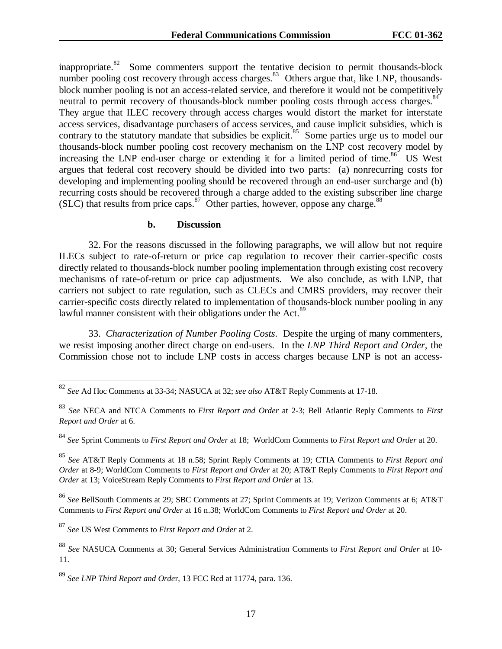inappropriate.<sup>82</sup> Some commenters support the tentative decision to permit thousands-block number pooling cost recovery through access charges.<sup>83</sup> Others argue that, like LNP, thousandsblock number pooling is not an access-related service, and therefore it would not be competitively neutral to permit recovery of thousands-block number pooling costs through access charges.<sup>84</sup> They argue that ILEC recovery through access charges would distort the market for interstate access services, disadvantage purchasers of access services, and cause implicit subsidies, which is contrary to the statutory mandate that subsidies be explicit.<sup>85</sup> Some parties urge us to model our thousands-block number pooling cost recovery mechanism on the LNP cost recovery model by increasing the LNP end-user charge or extending it for a limited period of time.<sup>86</sup> US West argues that federal cost recovery should be divided into two parts: (a) nonrecurring costs for developing and implementing pooling should be recovered through an end-user surcharge and (b) recurring costs should be recovered through a charge added to the existing subscriber line charge (SLC) that results from price caps.  $87$  Other parties, however, oppose any charge.  $88$ 

#### **b. Discussion**

32. For the reasons discussed in the following paragraphs, we will allow but not require ILECs subject to rate-of-return or price cap regulation to recover their carrier-specific costs directly related to thousands-block number pooling implementation through existing cost recovery mechanisms of rate-of-return or price cap adjustments. We also conclude, as with LNP, that carriers not subject to rate regulation, such as CLECs and CMRS providers, may recover their carrier-specific costs directly related to implementation of thousands-block number pooling in any lawful manner consistent with their obligations under the Act.<sup>89</sup>

33. *Characterization of Number Pooling Costs*. Despite the urging of many commenters, we resist imposing another direct charge on end-users. In the *LNP Third Report and Order*, the Commission chose not to include LNP costs in access charges because LNP is not an access-

<sup>86</sup> *See* BellSouth Comments at 29; SBC Comments at 27; Sprint Comments at 19; Verizon Comments at 6; AT&T Comments to *First Report and Order* at 16 n.38; WorldCom Comments to *First Report and Order* at 20.

<sup>87</sup> *See* US West Comments to *First Report and Order* at 2.

<sup>82</sup> *See* Ad Hoc Comments at 33-34; NASUCA at 32; *see also* AT&T Reply Comments at 17-18.

<sup>83</sup> *See* NECA and NTCA Comments to *First Report and Order* at 2-3; Bell Atlantic Reply Comments to *First Report and Order* at 6.

<sup>84</sup> *See* Sprint Comments to *First Report and Order* at 18; WorldCom Comments to *First Report and Order* at 20.

<sup>85</sup> *See* AT&T Reply Comments at 18 n.58; Sprint Reply Comments at 19; CTIA Comments to *First Report and Order* at 8-9; WorldCom Comments to *First Report and Order* at 20; AT&T Reply Comments to *First Report and Order* at 13; VoiceStream Reply Comments to *First Report and Order* at 13.

<sup>88</sup> *See* NASUCA Comments at 30; General Services Administration Comments to *First Report and Order* at 10- 11.

<sup>89</sup> *See LNP Third Report and Orde*r, 13 FCC Rcd at 11774, para. 136.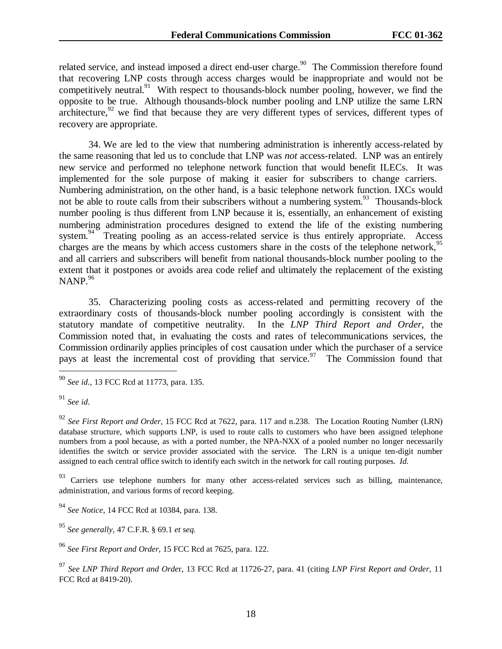related service, and instead imposed a direct end-user charge.<sup>90</sup> The Commission therefore found that recovering LNP costs through access charges would be inappropriate and would not be competitively neutral.<sup>91</sup> With respect to thousands-block number pooling, however, we find the opposite to be true. Although thousands-block number pooling and LNP utilize the same LRN architecture, $92$  we find that because they are very different types of services, different types of recovery are appropriate.

34. We are led to the view that numbering administration is inherently access-related by the same reasoning that led us to conclude that LNP was *not* access-related. LNP was an entirely new service and performed no telephone network function that would benefit ILECs. It was implemented for the sole purpose of making it easier for subscribers to change carriers. Numbering administration, on the other hand, is a basic telephone network function. IXCs would not be able to route calls from their subscribers without a numbering system.<sup>93</sup> Thousands-block number pooling is thus different from LNP because it is, essentially, an enhancement of existing numbering administration procedures designed to extend the life of the existing numbering system.<sup>94</sup> Treating pooling as an access-related service is thus entirely appropriate. Access charges are the means by which access customers share in the costs of the telephone network,  $95$ and all carriers and subscribers will benefit from national thousands-block number pooling to the extent that it postpones or avoids area code relief and ultimately the replacement of the existing NANP. $96$ 

35. Characterizing pooling costs as access-related and permitting recovery of the extraordinary costs of thousands-block number pooling accordingly is consistent with the statutory mandate of competitive neutrality. In the *LNP Third Report and Order*, the Commission noted that, in evaluating the costs and rates of telecommunications services, the Commission ordinarily applies principles of cost causation under which the purchaser of a service pays at least the incremental cost of providing that service.<sup>97</sup> The Commission found that

 $\overline{a}$ 

<sup>93</sup> Carriers use telephone numbers for many other access-related services such as billing, maintenance, administration, and various forms of record keeping.

<sup>90</sup> *See id*., 13 FCC Rcd at 11773, para. 135.

<sup>91</sup> *See id*.

<sup>92</sup> *See First Report and Order*, 15 FCC Rcd at 7622, para. 117 and n.238. The Location Routing Number (LRN) database structure, which supports LNP, is used to route calls to customers who have been assigned telephone numbers from a pool because, as with a ported number, the NPA-NXX of a pooled number no longer necessarily identifies the switch or service provider associated with the service. The LRN is a unique ten-digit number assigned to each central office switch to identify each switch in the network for call routing purposes. *Id.*

<sup>94</sup> *See Notice*, 14 FCC Rcd at 10384, para. 138.

<sup>95</sup> *See generally*, 47 C.F.R. § 69.1 *et seq.*

<sup>96</sup> *See First Report and Order*, 15 FCC Rcd at 7625, para. 122.

<sup>97</sup> *See LNP Third Report and Orde*r, 13 FCC Rcd at 11726-27, para. 41 (citing *LNP First Report and Order*, 11 FCC Rcd at 8419-20).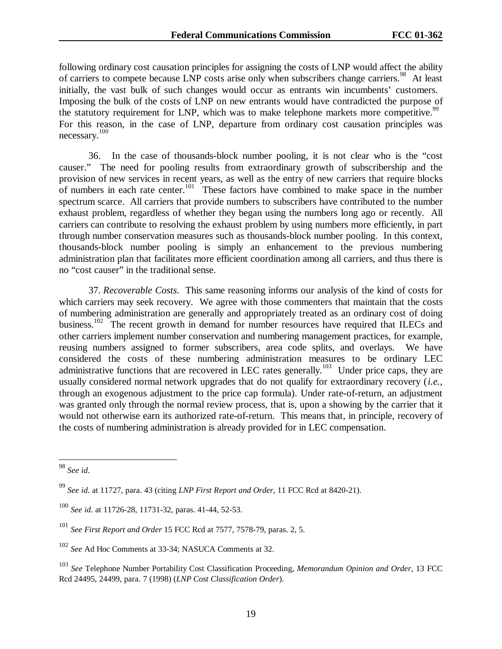following ordinary cost causation principles for assigning the costs of LNP would affect the ability of carriers to compete because LNP costs arise only when subscribers change carriers.<sup>98</sup> At least initially, the vast bulk of such changes would occur as entrants win incumbents' customers. Imposing the bulk of the costs of LNP on new entrants would have contradicted the purpose of the statutory requirement for LNP, which was to make telephone markets more competitive.<sup>99</sup> For this reason, in the case of LNP, departure from ordinary cost causation principles was necessary.<sup>100</sup>

36. In the case of thousands-block number pooling, it is not clear who is the "cost causer." The need for pooling results from extraordinary growth of subscribership and the provision of new services in recent years, as well as the entry of new carriers that require blocks of numbers in each rate center.<sup>101</sup> These factors have combined to make space in the number spectrum scarce. All carriers that provide numbers to subscribers have contributed to the number exhaust problem, regardless of whether they began using the numbers long ago or recently. All carriers can contribute to resolving the exhaust problem by using numbers more efficiently, in part through number conservation measures such as thousands-block number pooling. In this context, thousands-block number pooling is simply an enhancement to the previous numbering administration plan that facilitates more efficient coordination among all carriers, and thus there is no "cost causer" in the traditional sense.

37. *Recoverable Costs*. This same reasoning informs our analysis of the kind of costs for which carriers may seek recovery. We agree with those commenters that maintain that the costs of numbering administration are generally and appropriately treated as an ordinary cost of doing business.<sup>102</sup> The recent growth in demand for number resources have required that ILECs and other carriers implement number conservation and numbering management practices, for example, reusing numbers assigned to former subscribers, area code splits, and overlays. We have considered the costs of these numbering administration measures to be ordinary LEC administrative functions that are recovered in LEC rates generally.<sup>103</sup> Under price caps, they are usually considered normal network upgrades that do not qualify for extraordinary recovery (*i.e.*, through an exogenous adjustment to the price cap formula). Under rate-of-return, an adjustment was granted only through the normal review process, that is, upon a showing by the carrier that it would not otherwise earn its authorized rate-of-return. This means that, in principle, recovery of the costs of numbering administration is already provided for in LEC compensation.

<sup>98</sup> *See id*.

<sup>99</sup> *See id*. at 11727, para. 43 (citing *LNP First Report and Order*, 11 FCC Rcd at 8420-21).

<sup>100</sup> *See id*. at 11726-28, 11731-32, paras. 41-44, 52-53.

<sup>101</sup> *See First Report and Order* 15 FCC Rcd at 7577, 7578-79, paras. 2, 5.

<sup>102</sup> *See* Ad Hoc Comments at 33-34; NASUCA Comments at 32.

<sup>103</sup> *See* Telephone Number Portability Cost Classification Proceeding, *Memorandum Opinion and Order*, 13 FCC Rcd 24495, 24499, para. 7 (1998) (*LNP Cost Classification Order*).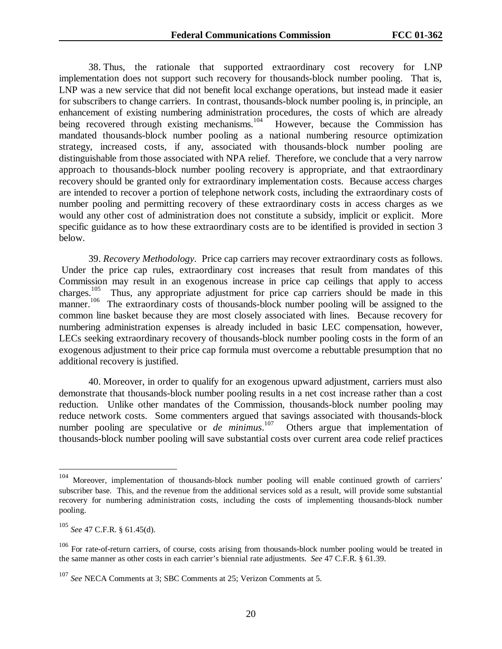38. Thus, the rationale that supported extraordinary cost recovery for LNP implementation does not support such recovery for thousands-block number pooling. That is, LNP was a new service that did not benefit local exchange operations, but instead made it easier for subscribers to change carriers. In contrast, thousands-block number pooling is, in principle, an enhancement of existing numbering administration procedures, the costs of which are already being recovered through existing mechanisms.<sup>104</sup> However, because the Commission has mandated thousands-block number pooling as a national numbering resource optimization strategy, increased costs, if any, associated with thousands-block number pooling are distinguishable from those associated with NPA relief. Therefore, we conclude that a very narrow approach to thousands-block number pooling recovery is appropriate, and that extraordinary recovery should be granted only for extraordinary implementation costs. Because access charges are intended to recover a portion of telephone network costs, including the extraordinary costs of number pooling and permitting recovery of these extraordinary costs in access charges as we would any other cost of administration does not constitute a subsidy, implicit or explicit. More specific guidance as to how these extraordinary costs are to be identified is provided in section 3 below.

39. *Recovery Methodology*. Price cap carriers may recover extraordinary costs as follows. Under the price cap rules, extraordinary cost increases that result from mandates of this Commission may result in an exogenous increase in price cap ceilings that apply to access charges.<sup>105</sup> Thus, any appropriate adjustment for price cap carriers should be made in this Thus, any appropriate adjustment for price cap carriers should be made in this manner.<sup>106</sup> The extraordinary costs of thousands-block number pooling will be assigned to the common line basket because they are most closely associated with lines. Because recovery for numbering administration expenses is already included in basic LEC compensation, however, LECs seeking extraordinary recovery of thousands-block number pooling costs in the form of an exogenous adjustment to their price cap formula must overcome a rebuttable presumption that no additional recovery is justified.

40. Moreover, in order to qualify for an exogenous upward adjustment, carriers must also demonstrate that thousands-block number pooling results in a net cost increase rather than a cost reduction. Unlike other mandates of the Commission, thousands-block number pooling may reduce network costs. Some commenters argued that savings associated with thousands-block number pooling are speculative or *de minimus*.<sup>107</sup> Others argue that implementation of thousands-block number pooling will save substantial costs over current area code relief practices

Moreover, implementation of thousands-block number pooling will enable continued growth of carriers' subscriber base. This, and the revenue from the additional services sold as a result, will provide some substantial recovery for numbering administration costs, including the costs of implementing thousands-block number pooling.

<sup>105</sup> *See* 47 C.F.R. § 61.45(d).

<sup>&</sup>lt;sup>106</sup> For rate-of-return carriers, of course, costs arising from thousands-block number pooling would be treated in the same manner as other costs in each carrier's biennial rate adjustments. *See* 47 C.F.R. § 61.39.

<sup>107</sup> *See* NECA Comments at 3; SBC Comments at 25; Verizon Comments at 5.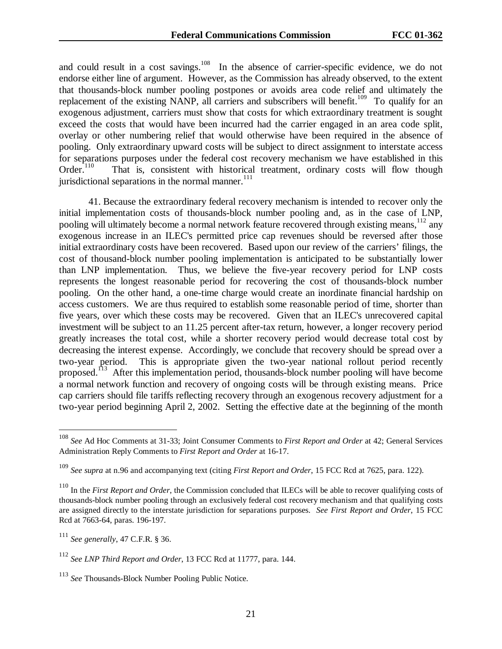and could result in a cost savings.<sup>108</sup> In the absence of carrier-specific evidence, we do not endorse either line of argument. However, as the Commission has already observed, to the extent that thousands-block number pooling postpones or avoids area code relief and ultimately the replacement of the existing NANP, all carriers and subscribers will benefit.<sup>109</sup> To qualify for an exogenous adjustment, carriers must show that costs for which extraordinary treatment is sought exceed the costs that would have been incurred had the carrier engaged in an area code split, overlay or other numbering relief that would otherwise have been required in the absence of pooling. Only extraordinary upward costs will be subject to direct assignment to interstate access for separations purposes under the federal cost recovery mechanism we have established in this Order.<sup>110</sup> That is, consistent with historical treatment, ordinary costs will flow though That is, consistent with historical treatment, ordinary costs will flow though jurisdictional separations in the normal manner. $111$ 

41. Because the extraordinary federal recovery mechanism is intended to recover only the initial implementation costs of thousands-block number pooling and, as in the case of LNP, pooling will ultimately become a normal network feature recovered through existing means, <sup>112</sup> any exogenous increase in an ILEC's permitted price cap revenues should be reversed after those initial extraordinary costs have been recovered. Based upon our review of the carriers' filings, the cost of thousand-block number pooling implementation is anticipated to be substantially lower than LNP implementation. Thus, we believe the five-year recovery period for LNP costs represents the longest reasonable period for recovering the cost of thousands-block number pooling. On the other hand, a one-time charge would create an inordinate financial hardship on access customers. We are thus required to establish some reasonable period of time, shorter than five years, over which these costs may be recovered. Given that an ILEC's unrecovered capital investment will be subject to an 11.25 percent after-tax return, however, a longer recovery period greatly increases the total cost, while a shorter recovery period would decrease total cost by decreasing the interest expense. Accordingly, we conclude that recovery should be spread over a two-year period. This is appropriate given the two-year national rollout period recently proposed.<sup>113</sup> After this implementation period, thousands-block number pooling will have become a normal network function and recovery of ongoing costs will be through existing means. Price cap carriers should file tariffs reflecting recovery through an exogenous recovery adjustment for a two-year period beginning April 2, 2002. Setting the effective date at the beginning of the month

<sup>108</sup> *See* Ad Hoc Comments at 31-33; Joint Consumer Comments to *First Report and Order* at 42; General Services Administration Reply Comments to *First Report and Order* at 16-17.

<sup>109</sup> *See supra* at n.96 and accompanying text (citing *First Report and Order*, 15 FCC Rcd at 7625, para. 122).

<sup>&</sup>lt;sup>110</sup> In the *First Report and Order*, the Commission concluded that ILECs will be able to recover qualifying costs of thousands-block number pooling through an exclusively federal cost recovery mechanism and that qualifying costs are assigned directly to the interstate jurisdiction for separations purposes. *See First Report and Order*, 15 FCC Rcd at 7663-64, paras. 196-197.

<sup>111</sup> *See generally*, 47 C.F.R. § 36.

<sup>112</sup> *See LNP Third Report and Order*, 13 FCC Rcd at 11777, para. 144.

<sup>113</sup> *See* Thousands-Block Number Pooling Public Notice.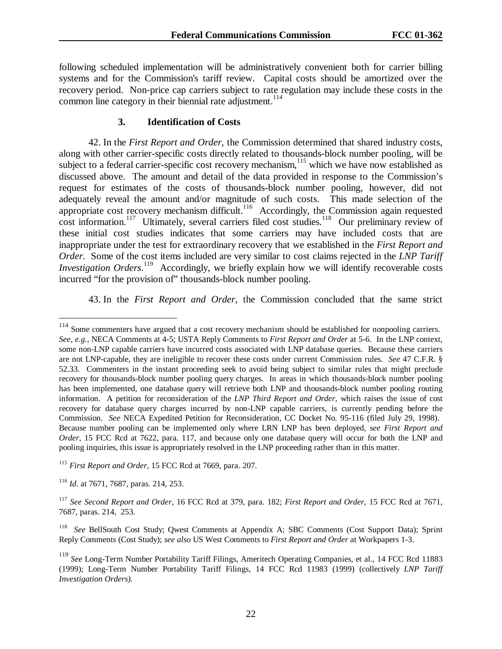following scheduled implementation will be administratively convenient both for carrier billing systems and for the Commission's tariff review. Capital costs should be amortized over the recovery period. Non-price cap carriers subject to rate regulation may include these costs in the common line category in their biennial rate adjustment.<sup>114</sup>

#### **3. Identification of Costs**

42. In the *First Report and Order*, the Commission determined that shared industry costs, along with other carrier-specific costs directly related to thousands-block number pooling, will be subject to a federal carrier-specific cost recovery mechanism, $115$  which we have now established as discussed above. The amount and detail of the data provided in response to the Commission's request for estimates of the costs of thousands-block number pooling, however, did not adequately reveal the amount and/or magnitude of such costs. This made selection of the appropriate cost recovery mechanism difficult.<sup>116</sup> Accordingly, the Commission again requested cost information.<sup>117</sup> Ultimately, several carriers filed cost studies.<sup>118</sup> Our preliminary review of these initial cost studies indicates that some carriers may have included costs that are inappropriate under the test for extraordinary recovery that we established in the *First Report and Order*. Some of the cost items included are very similar to cost claims rejected in the *LNP Tariff Investigation Orders*. 119 Accordingly, we briefly explain how we will identify recoverable costs incurred "for the provision of" thousands-block number pooling.

43. In the *First Report and Order*, the Commission concluded that the same strict

<sup>&</sup>lt;sup>114</sup> Some commenters have argued that a cost recovery mechanism should be established for nonpooling carriers. *See, e.g.*, NECA Comments at 4-5; USTA Reply Comments to *First Report and Order* at 5-6. In the LNP context, some non-LNP capable carriers have incurred costs associated with LNP database queries. Because these carriers are not LNP-capable, they are ineligible to recover these costs under current Commission rules. *See* 47 C.F.R. § 52.33. Commenters in the instant proceeding seek to avoid being subject to similar rules that might preclude recovery for thousands-block number pooling query charges. In areas in which thousands-block number pooling has been implemented, one database query will retrieve both LNP and thousands-block number pooling routing information. A petition for reconsideration of the *LNP Third Report and Order*, which raises the issue of cost recovery for database query charges incurred by non-LNP capable carriers, is currently pending before the Commission. *See* NECA Expedited Petition for Reconsideration, CC Docket No. 95-116 (filed July 29, 1998). Because number pooling can be implemented only where LRN LNP has been deployed, s*ee First Report and Order*, 15 FCC Rcd at 7622, para. 117, and because only one database query will occur for both the LNP and pooling inquiries, this issue is appropriately resolved in the LNP proceeding rather than in this matter.

<sup>115</sup> *First Report and Order*, 15 FCC Rcd at 7669, para. 207.

<sup>116</sup> *Id*. at 7671, 7687, paras. 214, 253.

<sup>117</sup> *See Second Report and Order*, 16 FCC Rcd at 379, para. 182; *First Report and Order*, 15 FCC Rcd at 7671, 7687, paras. 214, 253.

<sup>118</sup> *See* BellSouth Cost Study; Qwest Comments at Appendix A; SBC Comments (Cost Support Data); Sprint Reply Comments (Cost Study); *see also* US West Comments to *First Report and Order* at Workpapers 1-3.

<sup>119</sup> *See* Long-Term Number Portability Tariff Filings, Ameritech Operating Companies, et al., 14 FCC Rcd 11883 (1999); Long-Term Number Portability Tariff Filings, 14 FCC Rcd 11983 (1999) (collectively *LNP Tariff Investigation Orders).*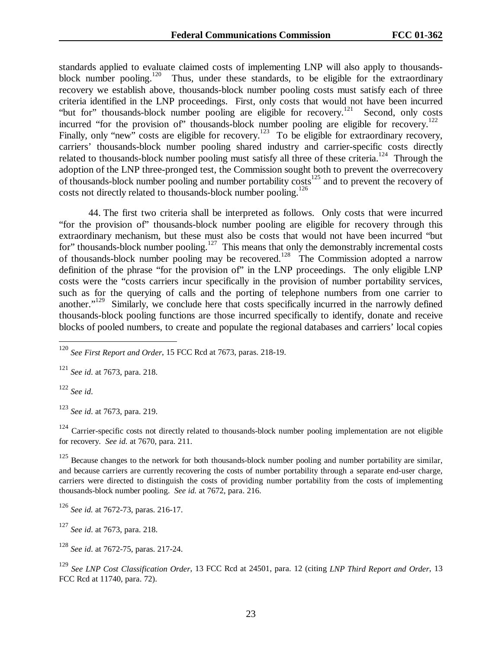standards applied to evaluate claimed costs of implementing LNP will also apply to thousandsblock number pooling.<sup>120</sup> Thus, under these standards, to be eligible for the extraordinary recovery we establish above, thousands-block number pooling costs must satisfy each of three criteria identified in the LNP proceedings. First, only costs that would not have been incurred "but for" thousands-block number pooling are eligible for recovery.<sup>121</sup> Second, only costs incurred "for the provision of" thousands-block number pooling are eligible for recovery.<sup>122</sup> Finally, only "new" costs are eligible for recovery.<sup>123</sup> To be eligible for extraordinary recovery, carriers' thousands-block number pooling shared industry and carrier-specific costs directly related to thousands-block number pooling must satisfy all three of these criteria.<sup>124</sup> Through the adoption of the LNP three-pronged test, the Commission sought both to prevent the overrecovery of thousands-block number pooling and number portability  $\cos(s^{125})$  and to prevent the recovery of costs not directly related to thousands-block number pooling.<sup>126</sup>

44. The first two criteria shall be interpreted as follows. Only costs that were incurred "for the provision of" thousands-block number pooling are eligible for recovery through this extraordinary mechanism, but these must also be costs that would not have been incurred "but for" thousands-block number pooling. $127$  This means that only the demonstrably incremental costs of thousands-block number pooling may be recovered.<sup>128</sup> The Commission adopted a narrow definition of the phrase "for the provision of" in the LNP proceedings. The only eligible LNP costs were the "costs carriers incur specifically in the provision of number portability services, such as for the querying of calls and the porting of telephone numbers from one carrier to another."<sup>129</sup> Similarly, we conclude here that costs specifically incurred in the narrowly defined thousands-block pooling functions are those incurred specifically to identify, donate and receive blocks of pooled numbers, to create and populate the regional databases and carriers' local copies

<sup>121</sup> *See id*. at 7673, para. 218.

<sup>122</sup> *See id*.

 $\overline{a}$ 

<sup>123</sup> *See id*. at 7673, para. 219.

 $124$  Carrier-specific costs not directly related to thousands-block number pooling implementation are not eligible for recovery. *See id.* at 7670, para. 211.

<sup>125</sup> Because changes to the network for both thousands-block number pooling and number portability are similar, and because carriers are currently recovering the costs of number portability through a separate end-user charge, carriers were directed to distinguish the costs of providing number portability from the costs of implementing thousands-block number pooling. *See id.* at 7672, para. 216.

<sup>127</sup> *See id*. at 7673, para. 218.

<sup>128</sup> *See id*. at 7672-75, paras. 217-24.

<sup>129</sup> *See LNP Cost Classification Order*, 13 FCC Rcd at 24501, para. 12 (citing *LNP Third Report and Order*, 13 FCC Rcd at 11740, para. 72).

<sup>120</sup> *See First Report and Order*, 15 FCC Rcd at 7673, paras. 218-19.

<sup>126</sup> *See id.* at 7672-73, paras. 216-17.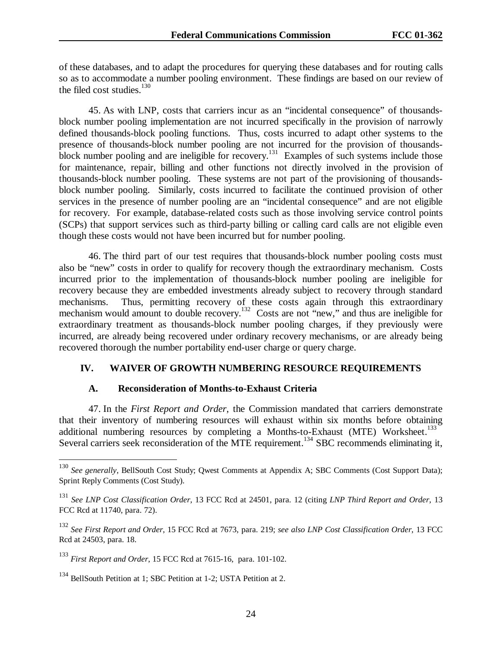of these databases, and to adapt the procedures for querying these databases and for routing calls so as to accommodate a number pooling environment. These findings are based on our review of the filed cost studies. $130$ 

45. As with LNP, costs that carriers incur as an "incidental consequence" of thousandsblock number pooling implementation are not incurred specifically in the provision of narrowly defined thousands-block pooling functions. Thus, costs incurred to adapt other systems to the presence of thousands-block number pooling are not incurred for the provision of thousandsblock number pooling and are ineligible for recovery.<sup>131</sup> Examples of such systems include those for maintenance, repair, billing and other functions not directly involved in the provision of thousands-block number pooling. These systems are not part of the provisioning of thousandsblock number pooling. Similarly, costs incurred to facilitate the continued provision of other services in the presence of number pooling are an "incidental consequence" and are not eligible for recovery. For example, database-related costs such as those involving service control points (SCPs) that support services such as third-party billing or calling card calls are not eligible even though these costs would not have been incurred but for number pooling.

46. The third part of our test requires that thousands-block number pooling costs must also be "new" costs in order to qualify for recovery though the extraordinary mechanism. Costs incurred prior to the implementation of thousands-block number pooling are ineligible for recovery because they are embedded investments already subject to recovery through standard mechanisms. Thus, permitting recovery of these costs again through this extraordinary mechanism would amount to double recovery.<sup>132</sup> Costs are not "new," and thus are ineligible for extraordinary treatment as thousands-block number pooling charges, if they previously were incurred, are already being recovered under ordinary recovery mechanisms, or are already being recovered thorough the number portability end-user charge or query charge.

## **IV. WAIVER OF GROWTH NUMBERING RESOURCE REQUIREMENTS**

#### **A. Reconsideration of Months-to-Exhaust Criteria**

47. In the *First Report and Order*, the Commission mandated that carriers demonstrate that their inventory of numbering resources will exhaust within six months before obtaining additional numbering resources by completing a Months-to-Exhaust (MTE) Worksheet.<sup>133</sup> Several carriers seek reconsideration of the MTE requirement.<sup>134</sup> SBC recommends eliminating it,

<sup>130</sup> *See generally*, BellSouth Cost Study; Qwest Comments at Appendix A; SBC Comments (Cost Support Data); Sprint Reply Comments (Cost Study).

<sup>131</sup> *See LNP Cost Classification Order*, 13 FCC Rcd at 24501, para. 12 (citing *LNP Third Report and Order*, 13 FCC Rcd at 11740, para. 72).

<sup>132</sup> *See First Report and Order*, 15 FCC Rcd at 7673, para. 219; *see also LNP Cost Classification Order*, 13 FCC Rcd at 24503, para. 18.

<sup>133</sup> *First Report and Order*, 15 FCC Rcd at 7615-16, para. 101-102.

<sup>134</sup> BellSouth Petition at 1; SBC Petition at 1-2; USTA Petition at 2.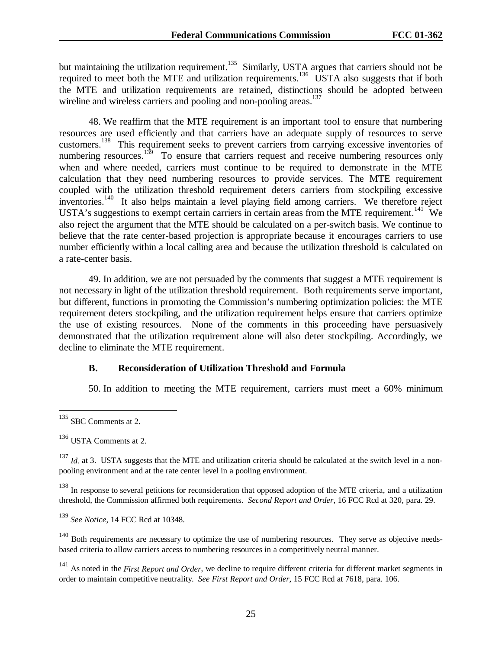but maintaining the utilization requirement.<sup>135</sup> Similarly, USTA argues that carriers should not be required to meet both the MTE and utilization requirements.<sup>136</sup> USTA also suggests that if both the MTE and utilization requirements are retained, distinctions should be adopted between wireline and wireless carriers and pooling and non-pooling areas.<sup>137</sup>

48. We reaffirm that the MTE requirement is an important tool to ensure that numbering resources are used efficiently and that carriers have an adequate supply of resources to serve customers.138 This requirement seeks to prevent carriers from carrying excessive inventories of numbering resources.<sup>139</sup> To ensure that carriers request and receive numbering resources only when and where needed, carriers must continue to be required to demonstrate in the MTE calculation that they need numbering resources to provide services. The MTE requirement coupled with the utilization threshold requirement deters carriers from stockpiling excessive inventories.<sup>140</sup> It also helps maintain a level playing field among carriers. We therefore reject USTA's suggestions to exempt certain carriers in certain areas from the MTE requirement.<sup>141</sup> We also reject the argument that the MTE should be calculated on a per-switch basis. We continue to believe that the rate center-based projection is appropriate because it encourages carriers to use number efficiently within a local calling area and because the utilization threshold is calculated on a rate-center basis.

49. In addition, we are not persuaded by the comments that suggest a MTE requirement is not necessary in light of the utilization threshold requirement. Both requirements serve important, but different, functions in promoting the Commission's numbering optimization policies: the MTE requirement deters stockpiling, and the utilization requirement helps ensure that carriers optimize the use of existing resources. None of the comments in this proceeding have persuasively demonstrated that the utilization requirement alone will also deter stockpiling. Accordingly, we decline to eliminate the MTE requirement.

#### **B. Reconsideration of Utilization Threshold and Formula**

50. In addition to meeting the MTE requirement, carriers must meet a 60% minimum

 $\overline{a}$ 

<sup>138</sup> In response to several petitions for reconsideration that opposed adoption of the MTE criteria, and a utilization threshold, the Commission affirmed both requirements. *Second Report and Order*, 16 FCC Rcd at 320, para. 29.

<sup>139</sup> *See Notice*, 14 FCC Rcd at 10348.

<sup>140</sup> Both requirements are necessary to optimize the use of numbering resources. They serve as objective needsbased criteria to allow carriers access to numbering resources in a competitively neutral manner.

<sup>141</sup> As noted in the *First Report and Order*, we decline to require different criteria for different market segments in order to maintain competitive neutrality. *See First Report and Order*, 15 FCC Rcd at 7618, para. 106.

<sup>&</sup>lt;sup>135</sup> SBC Comments at 2.

 $136$  USTA Comments at 2.

<sup>&</sup>lt;sup>137</sup> *Id.* at 3. USTA suggests that the MTE and utilization criteria should be calculated at the switch level in a nonpooling environment and at the rate center level in a pooling environment.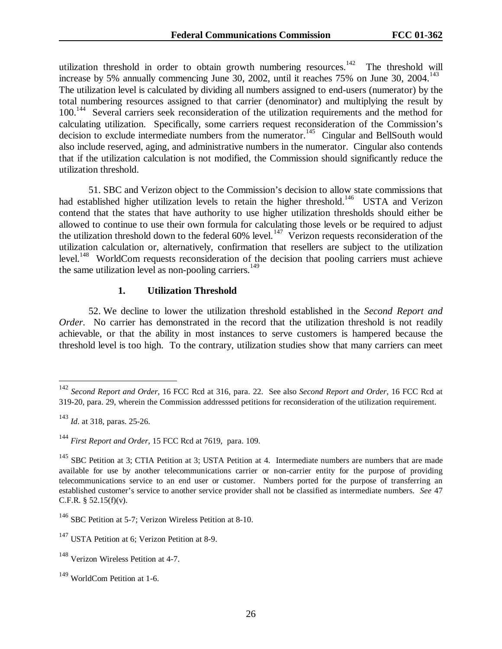utilization threshold in order to obtain growth numbering resources.<sup>142</sup> The threshold will increase by 5% annually commencing June 30, 2002, until it reaches 75% on June 30, 2004.<sup>143</sup> The utilization level is calculated by dividing all numbers assigned to end-users (numerator) by the total numbering resources assigned to that carrier (denominator) and multiplying the result by 100.<sup>144</sup> Several carriers seek reconsideration of the utilization requirements and the method for calculating utilization. Specifically, some carriers request reconsideration of the Commission's decision to exclude intermediate numbers from the numerator.<sup>145</sup> Cingular and BellSouth would also include reserved, aging, and administrative numbers in the numerator. Cingular also contends that if the utilization calculation is not modified, the Commission should significantly reduce the utilization threshold.

51. SBC and Verizon object to the Commission's decision to allow state commissions that had established higher utilization levels to retain the higher threshold.<sup>146</sup> USTA and Verizon contend that the states that have authority to use higher utilization thresholds should either be allowed to continue to use their own formula for calculating those levels or be required to adjust the utilization threshold down to the federal  $60\%$  level.<sup>147</sup> Verizon requests reconsideration of the utilization calculation or, alternatively, confirmation that resellers are subject to the utilization level.<sup>148</sup> WorldCom requests reconsideration of the decision that pooling carriers must achieve the same utilization level as non-pooling carriers.<sup>149</sup>

#### **1. Utilization Threshold**

52. We decline to lower the utilization threshold established in the *Second Report and Order*. No carrier has demonstrated in the record that the utilization threshold is not readily achievable, or that the ability in most instances to serve customers is hampered because the threshold level is too high. To the contrary, utilization studies show that many carriers can meet

<sup>142</sup> *Second Report and Order*, 16 FCC Rcd at 316, para. 22. See also *Second Report and Order*, 16 FCC Rcd at 319-20, para. 29, wherein the Commission addresssed petitions for reconsideration of the utilization requirement.

<sup>143</sup> *Id*. at 318, paras. 25-26.

<sup>144</sup> *First Report and Order*, 15 FCC Rcd at 7619, para. 109.

<sup>&</sup>lt;sup>145</sup> SBC Petition at 3; CTIA Petition at 3; USTA Petition at 4. Intermediate numbers are numbers that are made available for use by another telecommunications carrier or non-carrier entity for the purpose of providing telecommunications service to an end user or customer. Numbers ported for the purpose of transferring an established customer's service to another service provider shall not be classified as intermediate numbers. *See* 47 C.F.R. § 52.15(f)(v).

<sup>&</sup>lt;sup>146</sup> SBC Petition at 5-7; Verizon Wireless Petition at 8-10.

<sup>&</sup>lt;sup>147</sup> USTA Petition at 6; Verizon Petition at 8-9.

<sup>&</sup>lt;sup>148</sup> Verizon Wireless Petition at 4-7.

<sup>149</sup> WorldCom Petition at 1-6.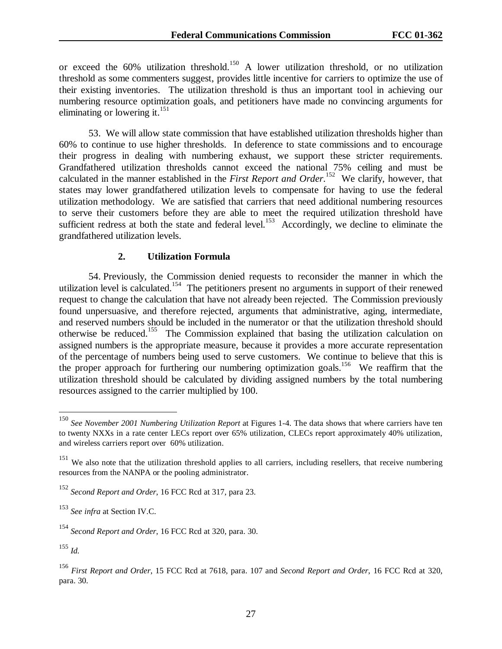or exceed the  $60\%$  utilization threshold.<sup>150</sup> A lower utilization threshold, or no utilization threshold as some commenters suggest, provides little incentive for carriers to optimize the use of their existing inventories. The utilization threshold is thus an important tool in achieving our numbering resource optimization goals, and petitioners have made no convincing arguments for eliminating or lowering it. $^{151}$ 

53. We will allow state commission that have established utilization thresholds higher than 60% to continue to use higher thresholds. In deference to state commissions and to encourage their progress in dealing with numbering exhaust, we support these stricter requirements. Grandfathered utilization thresholds cannot exceed the national 75% ceiling and must be calculated in the manner established in the *First Report and Order*. 152 We clarify, however, that states may lower grandfathered utilization levels to compensate for having to use the federal utilization methodology. We are satisfied that carriers that need additional numbering resources to serve their customers before they are able to meet the required utilization threshold have sufficient redress at both the state and federal level.<sup>153</sup> Accordingly, we decline to eliminate the grandfathered utilization levels.

## **2. Utilization Formula**

54. Previously, the Commission denied requests to reconsider the manner in which the utilization level is calculated.<sup>154</sup> The petitioners present no arguments in support of their renewed request to change the calculation that have not already been rejected. The Commission previously found unpersuasive, and therefore rejected, arguments that administrative, aging, intermediate, and reserved numbers should be included in the numerator or that the utilization threshold should otherwise be reduced.155 The Commission explained that basing the utilization calculation on assigned numbers is the appropriate measure, because it provides a more accurate representation of the percentage of numbers being used to serve customers. We continue to believe that this is the proper approach for furthering our numbering optimization goals.<sup>156</sup> We reaffirm that the utilization threshold should be calculated by dividing assigned numbers by the total numbering resources assigned to the carrier multiplied by 100.

<sup>150</sup> *See November 2001 Numbering Utilization Report* at Figures 1-4. The data shows that where carriers have ten to twenty NXXs in a rate center LECs report over 65% utilization, CLECs report approximately 40% utilization, and wireless carriers report over 60% utilization.

 $151$  We also note that the utilization threshold applies to all carriers, including resellers, that receive numbering resources from the NANPA or the pooling administrator.

<sup>152</sup> *Second Report and Order*, 16 FCC Rcd at 317, para 23.

<sup>153</sup> *See infra* at Section IV.C.

<sup>154</sup> *Second Report and Order*, 16 FCC Rcd at 320, para. 30.

<sup>155</sup> *Id.*

<sup>156</sup> *First Report and Order*, 15 FCC Rcd at 7618, para. 107 and *Second Report and Order*, 16 FCC Rcd at 320, para. 30.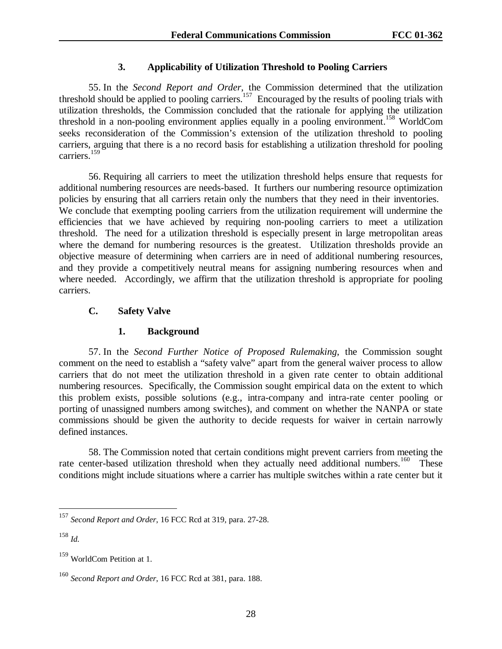## **3. Applicability of Utilization Threshold to Pooling Carriers**

55. In the *Second Report and Order*, the Commission determined that the utilization threshold should be applied to pooling carriers.<sup>157</sup> Encouraged by the results of pooling trials with utilization thresholds, the Commission concluded that the rationale for applying the utilization threshold in a non-pooling environment applies equally in a pooling environment.<sup>158</sup> WorldCom seeks reconsideration of the Commission's extension of the utilization threshold to pooling carriers, arguing that there is a no record basis for establishing a utilization threshold for pooling carriers.<sup>159</sup>

56. Requiring all carriers to meet the utilization threshold helps ensure that requests for additional numbering resources are needs-based. It furthers our numbering resource optimization policies by ensuring that all carriers retain only the numbers that they need in their inventories. We conclude that exempting pooling carriers from the utilization requirement will undermine the efficiencies that we have achieved by requiring non-pooling carriers to meet a utilization threshold. The need for a utilization threshold is especially present in large metropolitan areas where the demand for numbering resources is the greatest. Utilization thresholds provide an objective measure of determining when carriers are in need of additional numbering resources, and they provide a competitively neutral means for assigning numbering resources when and where needed. Accordingly, we affirm that the utilization threshold is appropriate for pooling carriers.

## **C. Safety Valve**

### **1. Background**

57. In the *Second Further Notice of Proposed Rulemaking*, the Commission sought comment on the need to establish a "safety valve" apart from the general waiver process to allow carriers that do not meet the utilization threshold in a given rate center to obtain additional numbering resources. Specifically, the Commission sought empirical data on the extent to which this problem exists, possible solutions (e.g., intra-company and intra-rate center pooling or porting of unassigned numbers among switches), and comment on whether the NANPA or state commissions should be given the authority to decide requests for waiver in certain narrowly defined instances.

58. The Commission noted that certain conditions might prevent carriers from meeting the rate center-based utilization threshold when they actually need additional numbers.<sup>160</sup> These conditions might include situations where a carrier has multiple switches within a rate center but it

<sup>157</sup> *Second Report and Order*, 16 FCC Rcd at 319, para. 27-28.

<sup>158</sup> *Id.*

<sup>159</sup> WorldCom Petition at 1.

<sup>160</sup> *Second Report and Order*, 16 FCC Rcd at 381, para. 188.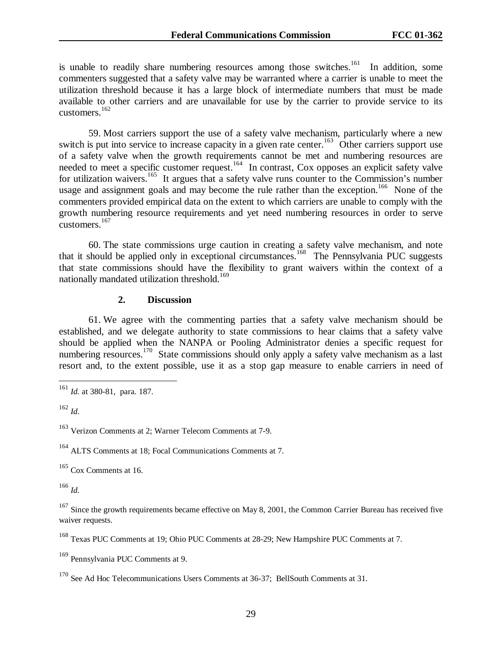is unable to readily share numbering resources among those switches.<sup>161</sup> In addition, some commenters suggested that a safety valve may be warranted where a carrier is unable to meet the utilization threshold because it has a large block of intermediate numbers that must be made available to other carriers and are unavailable for use by the carrier to provide service to its customers.<sup>162</sup>

59. Most carriers support the use of a safety valve mechanism, particularly where a new switch is put into service to increase capacity in a given rate center.<sup>163</sup> Other carriers support use of a safety valve when the growth requirements cannot be met and numbering resources are needed to meet a specific customer request.<sup>164</sup> In contrast, Cox opposes an explicit safety valve for utilization waivers.<sup>165</sup> It argues that a safety valve runs counter to the Commission's number usage and assignment goals and may become the rule rather than the exception.<sup>166</sup> None of the commenters provided empirical data on the extent to which carriers are unable to comply with the growth numbering resource requirements and yet need numbering resources in order to serve customers.<sup>167</sup>

60. The state commissions urge caution in creating a safety valve mechanism, and note that it should be applied only in exceptional circumstances.168 The Pennsylvania PUC suggests that state commissions should have the flexibility to grant waivers within the context of a nationally mandated utilization threshold.<sup>169</sup>

#### **2. Discussion**

61. We agree with the commenting parties that a safety valve mechanism should be established, and we delegate authority to state commissions to hear claims that a safety valve should be applied when the NANPA or Pooling Administrator denies a specific request for numbering resources.<sup>170</sup> State commissions should only apply a safety valve mechanism as a last resort and, to the extent possible, use it as a stop gap measure to enable carriers in need of

 $162$  *Id.* 

 $\overline{a}$ 

<sup>163</sup> Verizon Comments at 2: Warner Telecom Comments at 7-9.

<sup>164</sup> ALTS Comments at 18; Focal Communications Comments at 7.

<sup>165</sup> Cox Comments at 16.

<sup>166</sup> *Id.*

<sup>167</sup> Since the growth requirements became effective on May 8, 2001, the Common Carrier Bureau has received five waiver requests.

168 Texas PUC Comments at 19; Ohio PUC Comments at 28-29; New Hampshire PUC Comments at 7.

169 Pennsylvania PUC Comments at 9.

<sup>161</sup> *Id.* at 380-81, para. 187.

 $170$  See Ad Hoc Telecommunications Users Comments at 36-37; BellSouth Comments at 31.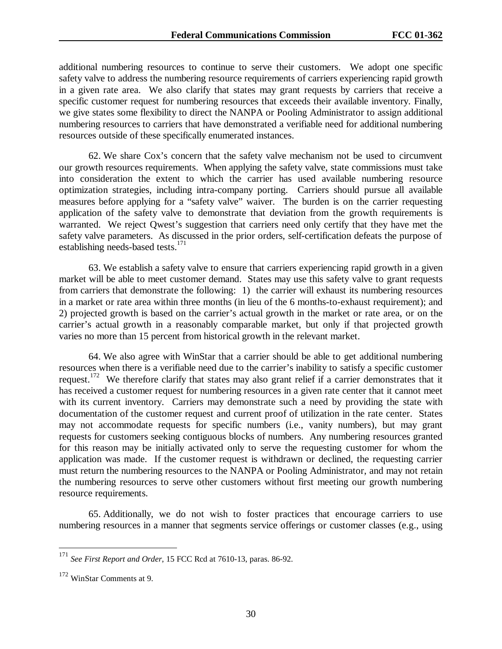additional numbering resources to continue to serve their customers. We adopt one specific safety valve to address the numbering resource requirements of carriers experiencing rapid growth in a given rate area. We also clarify that states may grant requests by carriers that receive a specific customer request for numbering resources that exceeds their available inventory. Finally, we give states some flexibility to direct the NANPA or Pooling Administrator to assign additional numbering resources to carriers that have demonstrated a verifiable need for additional numbering resources outside of these specifically enumerated instances.

62. We share Cox's concern that the safety valve mechanism not be used to circumvent our growth resources requirements. When applying the safety valve, state commissions must take into consideration the extent to which the carrier has used available numbering resource optimization strategies, including intra-company porting. Carriers should pursue all available measures before applying for a "safety valve" waiver. The burden is on the carrier requesting application of the safety valve to demonstrate that deviation from the growth requirements is warranted. We reject Qwest's suggestion that carriers need only certify that they have met the safety valve parameters. As discussed in the prior orders, self-certification defeats the purpose of establishing needs-based tests. $171$ 

63. We establish a safety valve to ensure that carriers experiencing rapid growth in a given market will be able to meet customer demand. States may use this safety valve to grant requests from carriers that demonstrate the following: 1) the carrier will exhaust its numbering resources in a market or rate area within three months (in lieu of the 6 months-to-exhaust requirement); and 2) projected growth is based on the carrier's actual growth in the market or rate area, or on the carrier's actual growth in a reasonably comparable market, but only if that projected growth varies no more than 15 percent from historical growth in the relevant market.

64. We also agree with WinStar that a carrier should be able to get additional numbering resources when there is a verifiable need due to the carrier's inability to satisfy a specific customer request.<sup>172</sup> We therefore clarify that states may also grant relief if a carrier demonstrates that it has received a customer request for numbering resources in a given rate center that it cannot meet with its current inventory. Carriers may demonstrate such a need by providing the state with documentation of the customer request and current proof of utilization in the rate center. States may not accommodate requests for specific numbers (i.e., vanity numbers), but may grant requests for customers seeking contiguous blocks of numbers. Any numbering resources granted for this reason may be initially activated only to serve the requesting customer for whom the application was made. If the customer request is withdrawn or declined, the requesting carrier must return the numbering resources to the NANPA or Pooling Administrator, and may not retain the numbering resources to serve other customers without first meeting our growth numbering resource requirements.

65. Additionally, we do not wish to foster practices that encourage carriers to use numbering resources in a manner that segments service offerings or customer classes (e.g., using

<sup>171</sup> <sup>171</sup> *See First Report and Order*, 15 FCC Rcd at 7610-13, paras. 86-92.

<sup>172</sup> WinStar Comments at 9.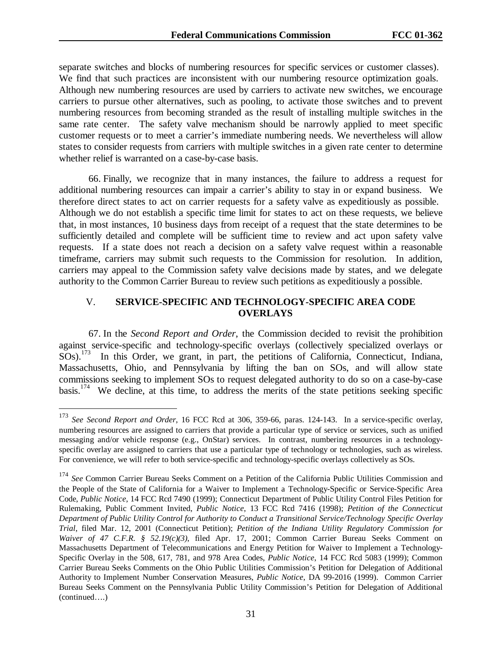separate switches and blocks of numbering resources for specific services or customer classes). We find that such practices are inconsistent with our numbering resource optimization goals. Although new numbering resources are used by carriers to activate new switches, we encourage carriers to pursue other alternatives, such as pooling, to activate those switches and to prevent numbering resources from becoming stranded as the result of installing multiple switches in the same rate center. The safety valve mechanism should be narrowly applied to meet specific customer requests or to meet a carrier's immediate numbering needs. We nevertheless will allow states to consider requests from carriers with multiple switches in a given rate center to determine whether relief is warranted on a case-by-case basis.

66. Finally, we recognize that in many instances, the failure to address a request for additional numbering resources can impair a carrier's ability to stay in or expand business. We therefore direct states to act on carrier requests for a safety valve as expeditiously as possible. Although we do not establish a specific time limit for states to act on these requests, we believe that, in most instances, 10 business days from receipt of a request that the state determines to be sufficiently detailed and complete will be sufficient time to review and act upon safety valve requests. If a state does not reach a decision on a safety valve request within a reasonable timeframe, carriers may submit such requests to the Commission for resolution. In addition, carriers may appeal to the Commission safety valve decisions made by states, and we delegate authority to the Common Carrier Bureau to review such petitions as expeditiously a possible.

## V. **SERVICE-SPECIFIC AND TECHNOLOGY-SPECIFIC AREA CODE OVERLAYS**

67. In the *Second Report and Order*, the Commission decided to revisit the prohibition against service-specific and technology-specific overlays (collectively specialized overlays or  $SOS$ ).<sup>173</sup> In this Order, we grant, in part, the petitions of California, Connecticut, Indiana, Massachusetts, Ohio, and Pennsylvania by lifting the ban on SOs, and will allow state commissions seeking to implement SOs to request delegated authority to do so on a case-by-case basis.174 We decline, at this time, to address the merits of the state petitions seeking specific

<sup>173</sup> See Second Report and Order, 16 FCC Rcd at 306, 359-66, paras. 124-143. In a service-specific overlay, numbering resources are assigned to carriers that provide a particular type of service or services, such as unified messaging and/or vehicle response (e.g., OnStar) services. In contrast, numbering resources in a technologyspecific overlay are assigned to carriers that use a particular type of technology or technologies, such as wireless. For convenience, we will refer to both service-specific and technology-specific overlays collectively as SOs.

<sup>174</sup> *See* Common Carrier Bureau Seeks Comment on a Petition of the California Public Utilities Commission and the People of the State of California for a Waiver to Implement a Technology-Specific or Service-Specific Area Code, *Public Notice*, 14 FCC Rcd 7490 (1999); Connecticut Department of Public Utility Control Files Petition for Rulemaking, Public Comment Invited, *Public Notice*, 13 FCC Rcd 7416 (1998); *Petition of the Connecticut Department of Public Utility Control for Authority to Conduct a Transitional Service/Technology Specific Overlay Trial*, filed Mar. 12, 2001 (Connecticut Petition); *Petition of the Indiana Utility Regulatory Commission for Waiver of 47 C.F.R. § 52.19(c)(3)*, filed Apr. 17, 2001; Common Carrier Bureau Seeks Comment on Massachusetts Department of Telecommunications and Energy Petition for Waiver to Implement a Technology-Specific Overlay in the 508, 617, 781, and 978 Area Codes, *Public Notice*, 14 FCC Rcd 5083 (1999); Common Carrier Bureau Seeks Comments on the Ohio Public Utilities Commission's Petition for Delegation of Additional Authority to Implement Number Conservation Measures, *Public Notice*, DA 99-2016 (1999). Common Carrier Bureau Seeks Comment on the Pennsylvania Public Utility Commission's Petition for Delegation of Additional (continued….)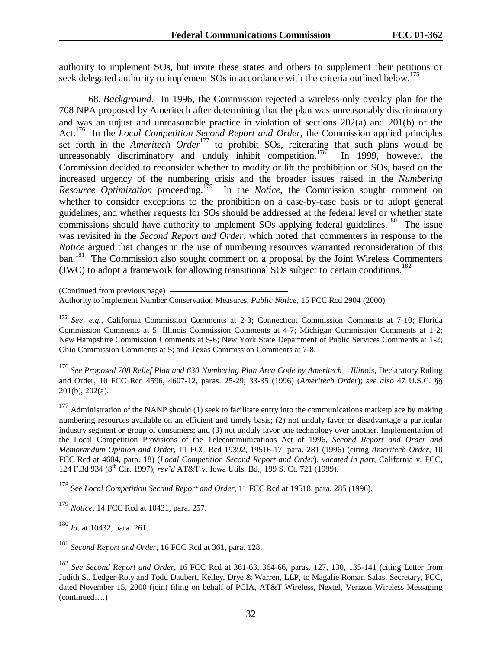authority to implement SOs, but invite these states and others to supplement their petitions or seek delegated authority to implement SOs in accordance with the criteria outlined below.<sup>175</sup>

68. *Background*. In 1996, the Commission rejected a wireless-only overlay plan for the 708 NPA proposed by Ameritech after determining that the plan was unreasonably discriminatory and was an unjust and unreasonable practice in violation of sections 202(a) and 201(b) of the Act.<sup>176</sup> In the *Local Competition Second Report and Order*, the Commission applied principles set forth in the *Ameritech Order*<sup>177</sup> to prohibit SOs, reiterating that such plans would be unreasonably discriminatory and unduly inhibit competition.<sup>178</sup> In 1999, however, the Commission decided to reconsider whether to modify or lift the prohibition on SOs, based on the increased urgency of the numbering crisis and the broader issues raised in the *Numbering* Resource Optimization proceeding.<sup>179</sup> In the *Notice*, the Commission sought comment on In the *Notice*, the Commission sought comment on whether to consider exceptions to the prohibition on a case-by-case basis or to adopt general guidelines, and whether requests for SOs should be addressed at the federal level or whether state commissions should have authority to implement SOs applying federal guidelines.<sup>180</sup> The issue was revisited in the *Second Report and Order*, which noted that commenters in response to the *Notice* argued that changes in the use of numbering resources warranted reconsideration of this ban.<sup>181</sup> The Commission also sought comment on a proposal by the Joint Wireless Commenters (JWC) to adopt a framework for allowing transitional SOs subject to certain conditions.<sup>182</sup>

(Continued from previous page)

<sup>175</sup> *See, e.g.,* California Commission Comments at 2-3; Connecticut Commission Comments at 7-10; Florida Commission Comments at 5; Illinois Commission Comments at 4-7; Michigan Commission Comments at 1-2; New Hampshire Commission Comments at 5-6; New York State Department of Public Services Comments at 1-2; Ohio Commission Comments at 5; and Texas Commission Comments at 7-8.

<sup>176</sup> *See Proposed 708 Relief Plan and 630 Numbering Plan Area Code by Ameritech – Illinois*, Declaratory Ruling and Order, 10 FCC Rcd 4596, 4607-12, paras. 25-29, 33-35 (1996) (*Ameritech Order*); *see also* 47 U.S.C. §§ 201(b), 202(a).

 $177$  Administration of the NANP should (1) seek to facilitate entry into the communications marketplace by making numbering resources available on an efficient and timely basis; (2) not unduly favor or disadvantage a particular industry segment or group of consumers; and (3) not unduly favor one technology over another. Implementation of the Local Competition Provisions of the Telecommunications Act of 1996, *Second Report and Order and Memorandum Opinion and Order*, 11 FCC Rcd 19392, 19516-17, para. 281 (1996) (citing *Ameritech Order*, 10 FCC Rcd at 4604, para. 18) (*Local Competition Second Report and Order*), *vacated in part*, California v. FCC, 124 F.3d 934 (8th Cir. 1997), *rev'd* AT&T v. Iowa Utils. Bd., 199 S. Ct. 721 (1999).

178 See *Local Competition Second Report and Order*, 11 FCC Rcd at 19518, para. 285 (1996).

<sup>179</sup> *Notice*, 14 FCC Rcd at 10431, para. 257.

<sup>180</sup> *Id*. at 10432, para. 261.

<sup>181</sup> *Second Report and Order*, 16 FCC Rcd at 361, para. 128.

<sup>182</sup> *See Second Report and Order*, 16 FCC Rcd at 361-63, 364-66, paras. 127, 130, 135-141 (citing Letter from Judith St. Ledger-Roty and Todd Daubert, Kelley, Drye & Warren, LLP, to Magalie Roman Salas, Secretary, FCC, dated November 15, 2000 (joint filing on behalf of PCIA, AT&T Wireless, Nextel, Verizon Wireless Messaging (continued….)

Authority to Implement Number Conservation Measures, *Public Notice*, 15 FCC Rcd 2904 (2000).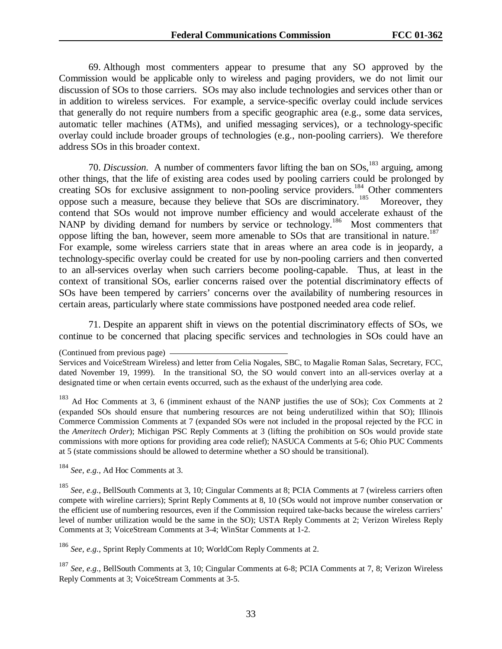69. Although most commenters appear to presume that any SO approved by the Commission would be applicable only to wireless and paging providers, we do not limit our discussion of SOs to those carriers. SOs may also include technologies and services other than or in addition to wireless services. For example, a service-specific overlay could include services that generally do not require numbers from a specific geographic area (e.g., some data services, automatic teller machines (ATMs), and unified messaging services), or a technology-specific overlay could include broader groups of technologies (e.g., non-pooling carriers). We therefore address SOs in this broader context.

70. *Discussion.* A number of commenters favor lifting the ban on SOs,<sup>183</sup> arguing, among other things, that the life of existing area codes used by pooling carriers could be prolonged by creating SOs for exclusive assignment to non-pooling service providers.<sup>184</sup> Other commenters oppose such a measure, because they believe that SOs are discriminatory.<sup>185</sup> Moreover, they contend that SOs would not improve number efficiency and would accelerate exhaust of the NANP by dividing demand for numbers by service or technology.<sup>186</sup> Most commenters that oppose lifting the ban, however, seem more amenable to SOs that are transitional in nature.<sup>187</sup> For example, some wireless carriers state that in areas where an area code is in jeopardy, a technology-specific overlay could be created for use by non-pooling carriers and then converted to an all-services overlay when such carriers become pooling-capable. Thus, at least in the context of transitional SOs, earlier concerns raised over the potential discriminatory effects of SOs have been tempered by carriers' concerns over the availability of numbering resources in certain areas, particularly where state commissions have postponed needed area code relief.

71. Despite an apparent shift in views on the potential discriminatory effects of SOs, we continue to be concerned that placing specific services and technologies in SOs could have an

<sup>184</sup> *See, e.g.*, Ad Hoc Comments at 3.

<sup>185</sup> *See, e.g.*, BellSouth Comments at 3, 10; Cingular Comments at 8; PCIA Comments at 7 (wireless carriers often compete with wireline carriers); Sprint Reply Comments at 8, 10 (SOs would not improve number conservation or the efficient use of numbering resources, even if the Commission required take-backs because the wireless carriers' level of number utilization would be the same in the SO); USTA Reply Comments at 2; Verizon Wireless Reply Comments at 3; VoiceStream Comments at 3-4; WinStar Comments at 1-2.

<sup>186</sup> *See, e.g.*, Sprint Reply Comments at 10; WorldCom Reply Comments at 2.

<sup>187</sup> *See, e.g.*, BellSouth Comments at 3, 10; Cingular Comments at 6-8; PCIA Comments at 7, 8; Verizon Wireless Reply Comments at 3; VoiceStream Comments at 3-5.

<sup>(</sup>Continued from previous page)

Services and VoiceStream Wireless) and letter from Celia Nogales, SBC, to Magalie Roman Salas, Secretary, FCC, dated November 19, 1999). In the transitional SO, the SO would convert into an all-services overlay at a designated time or when certain events occurred, such as the exhaust of the underlying area code.

<sup>&</sup>lt;sup>183</sup> Ad Hoc Comments at 3, 6 (imminent exhaust of the NANP justifies the use of SOs); Cox Comments at 2 (expanded SOs should ensure that numbering resources are not being underutilized within that SO); Illinois Commerce Commission Comments at 7 (expanded SOs were not included in the proposal rejected by the FCC in the *Ameritech Order*); Michigan PSC Reply Comments at 3 (lifting the prohibition on SOs would provide state commissions with more options for providing area code relief); NASUCA Comments at 5-6; Ohio PUC Comments at 5 (state commissions should be allowed to determine whether a SO should be transitional).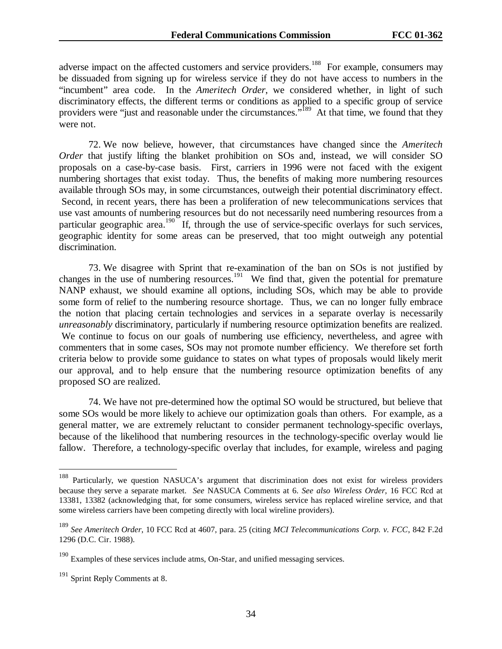adverse impact on the affected customers and service providers.<sup>188</sup> For example, consumers may be dissuaded from signing up for wireless service if they do not have access to numbers in the "incumbent" area code. In the *Ameritech Order*, we considered whether, in light of such discriminatory effects, the different terms or conditions as applied to a specific group of service providers were "just and reasonable under the circumstances."<sup>189</sup> At that time, we found that they were not.

72. We now believe, however, that circumstances have changed since the *Ameritech Order* that justify lifting the blanket prohibition on SOs and, instead, we will consider SO proposals on a case-by-case basis. First, carriers in 1996 were not faced with the exigent numbering shortages that exist today. Thus, the benefits of making more numbering resources available through SOs may, in some circumstances, outweigh their potential discriminatory effect. Second, in recent years, there has been a proliferation of new telecommunications services that use vast amounts of numbering resources but do not necessarily need numbering resources from a particular geographic area.<sup>190</sup> If, through the use of service-specific overlays for such services, geographic identity for some areas can be preserved, that too might outweigh any potential discrimination.

73. We disagree with Sprint that re-examination of the ban on SOs is not justified by changes in the use of numbering resources.<sup>191</sup> We find that, given the potential for premature NANP exhaust, we should examine all options, including SOs, which may be able to provide some form of relief to the numbering resource shortage. Thus, we can no longer fully embrace the notion that placing certain technologies and services in a separate overlay is necessarily *unreasonably* discriminatory, particularly if numbering resource optimization benefits are realized. We continue to focus on our goals of numbering use efficiency, nevertheless, and agree with commenters that in some cases, SOs may not promote number efficiency. We therefore set forth criteria below to provide some guidance to states on what types of proposals would likely merit our approval, and to help ensure that the numbering resource optimization benefits of any proposed SO are realized.

74. We have not pre-determined how the optimal SO would be structured, but believe that some SOs would be more likely to achieve our optimization goals than others. For example, as a general matter, we are extremely reluctant to consider permanent technology-specific overlays, because of the likelihood that numbering resources in the technology-specific overlay would lie fallow. Therefore, a technology-specific overlay that includes, for example, wireless and paging

<sup>&</sup>lt;sup>188</sup> Particularly, we question NASUCA's argument that discrimination does not exist for wireless providers because they serve a separate market. *See* NASUCA Comments at 6. *See also Wireless Order*, 16 FCC Rcd at 13381, 13382 (acknowledging that, for some consumers, wireless service has replaced wireline service, and that some wireless carriers have been competing directly with local wireline providers).

<sup>189</sup> *See Ameritech Order*, 10 FCC Rcd at 4607, para. 25 (citing *MCI Telecommunications Corp. v. FCC*, 842 F.2d 1296 (D.C. Cir. 1988).

 $190$  Examples of these services include atms, On-Star, and unified messaging services.

<sup>&</sup>lt;sup>191</sup> Sprint Reply Comments at 8.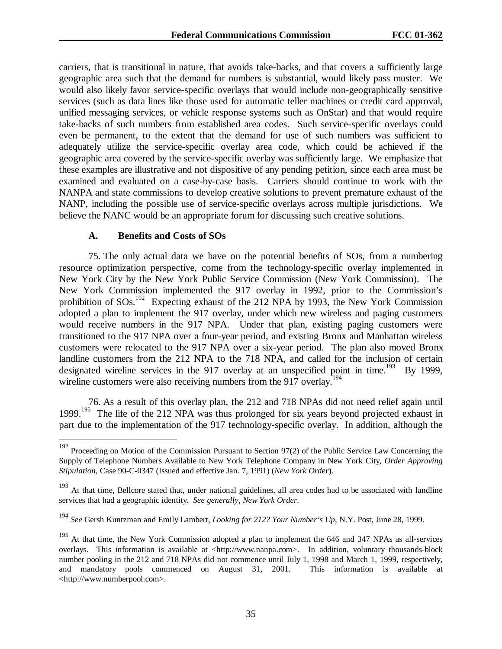carriers, that is transitional in nature, that avoids take-backs, and that covers a sufficiently large geographic area such that the demand for numbers is substantial, would likely pass muster. We would also likely favor service-specific overlays that would include non-geographically sensitive services (such as data lines like those used for automatic teller machines or credit card approval, unified messaging services, or vehicle response systems such as OnStar) and that would require take-backs of such numbers from established area codes. Such service-specific overlays could even be permanent, to the extent that the demand for use of such numbers was sufficient to adequately utilize the service-specific overlay area code, which could be achieved if the geographic area covered by the service-specific overlay was sufficiently large. We emphasize that these examples are illustrative and not dispositive of any pending petition, since each area must be examined and evaluated on a case-by-case basis. Carriers should continue to work with the NANPA and state commissions to develop creative solutions to prevent premature exhaust of the NANP, including the possible use of service-specific overlays across multiple jurisdictions. We believe the NANC would be an appropriate forum for discussing such creative solutions.

#### **A. Benefits and Costs of SOs**

 $\overline{a}$ 

75. The only actual data we have on the potential benefits of SOs, from a numbering resource optimization perspective, come from the technology-specific overlay implemented in New York City by the New York Public Service Commission (New York Commission). The New York Commission implemented the 917 overlay in 1992, prior to the Commission's prohibition of  $SOS$ <sup>192</sup> Expecting exhaust of the 212 NPA by 1993, the New York Commission adopted a plan to implement the 917 overlay, under which new wireless and paging customers would receive numbers in the 917 NPA. Under that plan, existing paging customers were transitioned to the 917 NPA over a four-year period, and existing Bronx and Manhattan wireless customers were relocated to the 917 NPA over a six-year period. The plan also moved Bronx landline customers from the 212 NPA to the 718 NPA, and called for the inclusion of certain designated wireline services in the 917 overlay at an unspecified point in time.<sup>193</sup> By 1999, wireline customers were also receiving numbers from the 917 overlay.<sup>194</sup>

76. As a result of this overlay plan, the 212 and 718 NPAs did not need relief again until 1999.<sup>195</sup> The life of the 212 NPA was thus prolonged for six years beyond projected exhaust in part due to the implementation of the 917 technology-specific overlay. In addition, although the

<sup>&</sup>lt;sup>192</sup> Proceeding on Motion of the Commission Pursuant to Section 97(2) of the Public Service Law Concerning the Supply of Telephone Numbers Available to New York Telephone Company in New York City*, Order Approving Stipulation*, Case 90-C-0347 (Issued and effective Jan. 7, 1991) (*New York Order*).

<sup>&</sup>lt;sup>193</sup> At that time, Bellcore stated that, under national guidelines, all area codes had to be associated with landline services that had a geographic identity. *See generally, New York Order*.

<sup>194</sup> *See* Gersh Kuntzman and Emily Lambert, *Looking for 212? Your Number's Up*, N.Y. Post, June 28, 1999.

<sup>&</sup>lt;sup>195</sup> At that time, the New York Commission adopted a plan to implement the 646 and 347 NPAs as all-services overlays. This information is available at <http://www.nanpa.com>. In addition, voluntary thousands-block number pooling in the 212 and 718 NPAs did not commence until July 1, 1998 and March 1, 1999, respectively, and mandatory pools commenced on August 31, 2001. This information is available at <http://www.numberpool.com>.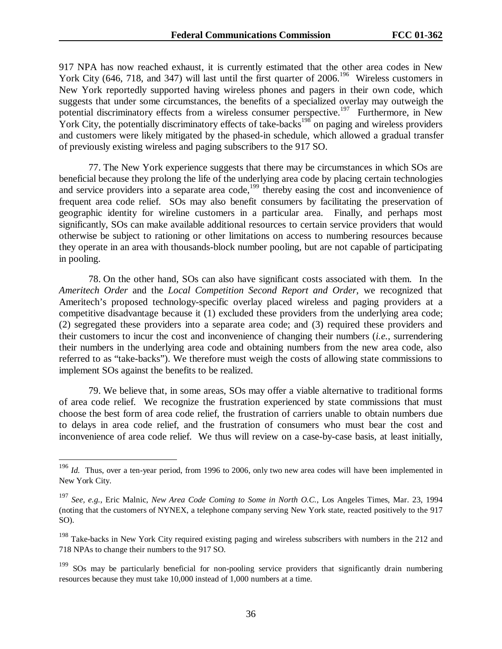917 NPA has now reached exhaust, it is currently estimated that the other area codes in New York City (646, 718, and 347) will last until the first quarter of 2006.<sup>196</sup> Wireless customers in New York reportedly supported having wireless phones and pagers in their own code, which suggests that under some circumstances, the benefits of a specialized overlay may outweigh the potential discriminatory effects from a wireless consumer perspective.197 Furthermore, in New York City, the potentially discriminatory effects of take-backs<sup>198</sup> on paging and wireless providers and customers were likely mitigated by the phased-in schedule, which allowed a gradual transfer of previously existing wireless and paging subscribers to the 917 SO.

77. The New York experience suggests that there may be circumstances in which SOs are beneficial because they prolong the life of the underlying area code by placing certain technologies and service providers into a separate area code,<sup>199</sup> thereby easing the cost and inconvenience of frequent area code relief. SOs may also benefit consumers by facilitating the preservation of geographic identity for wireline customers in a particular area. Finally, and perhaps most significantly, SOs can make available additional resources to certain service providers that would otherwise be subject to rationing or other limitations on access to numbering resources because they operate in an area with thousands-block number pooling, but are not capable of participating in pooling.

78. On the other hand, SOs can also have significant costs associated with them. In the *Ameritech Order* and the *Local Competition Second Report and Order*, we recognized that Ameritech's proposed technology-specific overlay placed wireless and paging providers at a competitive disadvantage because it (1) excluded these providers from the underlying area code; (2) segregated these providers into a separate area code; and (3) required these providers and their customers to incur the cost and inconvenience of changing their numbers (*i.e.*, surrendering their numbers in the underlying area code and obtaining numbers from the new area code, also referred to as "take-backs"). We therefore must weigh the costs of allowing state commissions to implement SOs against the benefits to be realized.

79. We believe that, in some areas, SOs may offer a viable alternative to traditional forms of area code relief. We recognize the frustration experienced by state commissions that must choose the best form of area code relief, the frustration of carriers unable to obtain numbers due to delays in area code relief, and the frustration of consumers who must bear the cost and inconvenience of area code relief. We thus will review on a case-by-case basis, at least initially,

<sup>&</sup>lt;sup>196</sup> *Id.* Thus, over a ten-year period, from 1996 to 2006, only two new area codes will have been implemented in New York City.

<sup>197</sup> *See, e.g.*, Eric Malnic, *New Area Code Coming to Some in North O.C.*, Los Angeles Times, Mar. 23, 1994 (noting that the customers of NYNEX, a telephone company serving New York state, reacted positively to the 917 SO).

<sup>&</sup>lt;sup>198</sup> Take-backs in New York City required existing paging and wireless subscribers with numbers in the 212 and 718 NPAs to change their numbers to the 917 SO.

<sup>&</sup>lt;sup>199</sup> SOs may be particularly beneficial for non-pooling service providers that significantly drain numbering resources because they must take 10,000 instead of 1,000 numbers at a time.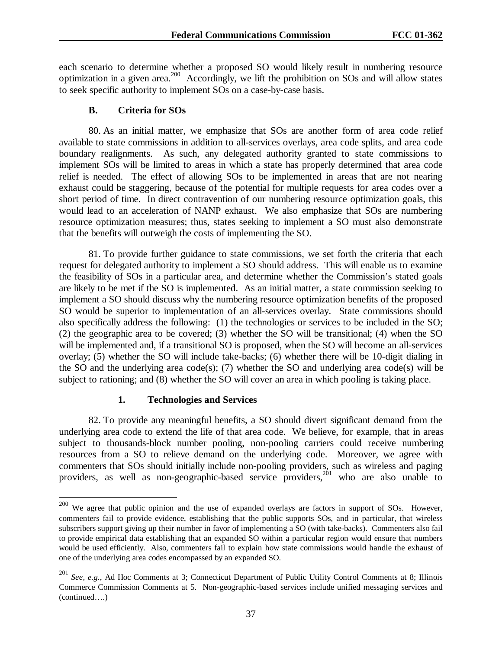each scenario to determine whether a proposed SO would likely result in numbering resource optimization in a given area.<sup>200</sup> Accordingly, we lift the prohibition on SOs and will allow states to seek specific authority to implement SOs on a case-by-case basis.

#### **B. Criteria for SOs**

80. As an initial matter, we emphasize that SOs are another form of area code relief available to state commissions in addition to all-services overlays, area code splits, and area code boundary realignments. As such, any delegated authority granted to state commissions to implement SOs will be limited to areas in which a state has properly determined that area code relief is needed. The effect of allowing SOs to be implemented in areas that are not nearing exhaust could be staggering, because of the potential for multiple requests for area codes over a short period of time. In direct contravention of our numbering resource optimization goals, this would lead to an acceleration of NANP exhaust. We also emphasize that SOs are numbering resource optimization measures; thus, states seeking to implement a SO must also demonstrate that the benefits will outweigh the costs of implementing the SO.

81. To provide further guidance to state commissions, we set forth the criteria that each request for delegated authority to implement a SO should address. This will enable us to examine the feasibility of SOs in a particular area, and determine whether the Commission's stated goals are likely to be met if the SO is implemented. As an initial matter, a state commission seeking to implement a SO should discuss why the numbering resource optimization benefits of the proposed SO would be superior to implementation of an all-services overlay. State commissions should also specifically address the following: (1) the technologies or services to be included in the SO; (2) the geographic area to be covered; (3) whether the SO will be transitional; (4) when the SO will be implemented and, if a transitional SO is proposed, when the SO will become an all-services overlay; (5) whether the SO will include take-backs; (6) whether there will be 10-digit dialing in the SO and the underlying area code(s); (7) whether the SO and underlying area code(s) will be subject to rationing; and (8) whether the SO will cover an area in which pooling is taking place.

#### **1. Technologies and Services**

82. To provide any meaningful benefits, a SO should divert significant demand from the underlying area code to extend the life of that area code. We believe, for example, that in areas subject to thousands-block number pooling, non-pooling carriers could receive numbering resources from a SO to relieve demand on the underlying code. Moreover, we agree with commenters that SOs should initially include non-pooling providers, such as wireless and paging providers, as well as non-geographic-based service providers,<sup>201</sup> who are also unable to

<sup>200</sup> We agree that public opinion and the use of expanded overlays are factors in support of SOs. However, commenters fail to provide evidence, establishing that the public supports SOs, and in particular, that wireless subscribers support giving up their number in favor of implementing a SO (with take-backs). Commenters also fail to provide empirical data establishing that an expanded SO within a particular region would ensure that numbers would be used efficiently. Also, commenters fail to explain how state commissions would handle the exhaust of one of the underlying area codes encompassed by an expanded SO.

See, e.g., Ad Hoc Comments at 3; Connecticut Department of Public Utility Control Comments at 8; Illinois Commerce Commission Comments at 5. Non-geographic-based services include unified messaging services and (continued….)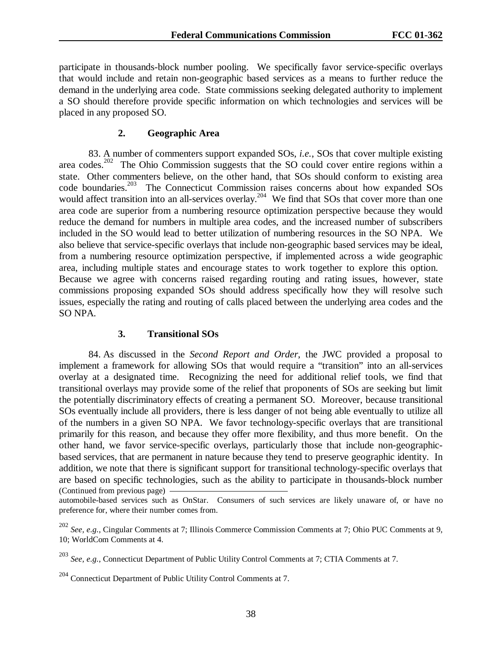participate in thousands-block number pooling. We specifically favor service-specific overlays that would include and retain non-geographic based services as a means to further reduce the demand in the underlying area code. State commissions seeking delegated authority to implement a SO should therefore provide specific information on which technologies and services will be placed in any proposed SO.

### **2. Geographic Area**

83. A number of commenters support expanded SOs, *i.e.*, SOs that cover multiple existing area codes.<sup>202</sup> The Ohio Commission suggests that the SO could cover entire regions within a state. Other commenters believe, on the other hand, that SOs should conform to existing area code boundaries.<sup>203</sup> The Connecticut Commission raises concerns about how expanded SOs The Connecticut Commission raises concerns about how expanded SOs would affect transition into an all-services overlay.<sup>204</sup> We find that SOs that cover more than one area code are superior from a numbering resource optimization perspective because they would reduce the demand for numbers in multiple area codes, and the increased number of subscribers included in the SO would lead to better utilization of numbering resources in the SO NPA.We also believe that service-specific overlays that include non-geographic based services may be ideal, from a numbering resource optimization perspective, if implemented across a wide geographic area, including multiple states and encourage states to work together to explore this option. Because we agree with concerns raised regarding routing and rating issues, however, state commissions proposing expanded SOs should address specifically how they will resolve such issues, especially the rating and routing of calls placed between the underlying area codes and the SO NPA.

# **3. Transitional SOs**

84. As discussed in the *Second Report and Order*, the JWC provided a proposal to implement a framework for allowing SOs that would require a "transition" into an all-services overlay at a designated time. Recognizing the need for additional relief tools, we find that transitional overlays may provide some of the relief that proponents of SOs are seeking but limit the potentially discriminatory effects of creating a permanent SO. Moreover, because transitional SOs eventually include all providers, there is less danger of not being able eventually to utilize all of the numbers in a given SO NPA. We favor technology-specific overlays that are transitional primarily for this reason, and because they offer more flexibility, and thus more benefit. On the other hand, we favor service-specific overlays, particularly those that include non-geographicbased services, that are permanent in nature because they tend to preserve geographic identity. In addition, we note that there is significant support for transitional technology-specific overlays that are based on specific technologies, such as the ability to participate in thousands-block number (Continued from previous page)

automobile-based services such as OnStar. Consumers of such services are likely unaware of, or have no preference for, where their number comes from.

<sup>202</sup> *See, e.g.*, Cingular Comments at 7; Illinois Commerce Commission Comments at 7; Ohio PUC Comments at 9, 10; WorldCom Comments at 4.

<sup>203</sup> *See, e.g.*, Connecticut Department of Public Utility Control Comments at 7; CTIA Comments at 7.

<sup>204</sup> Connecticut Department of Public Utility Control Comments at 7.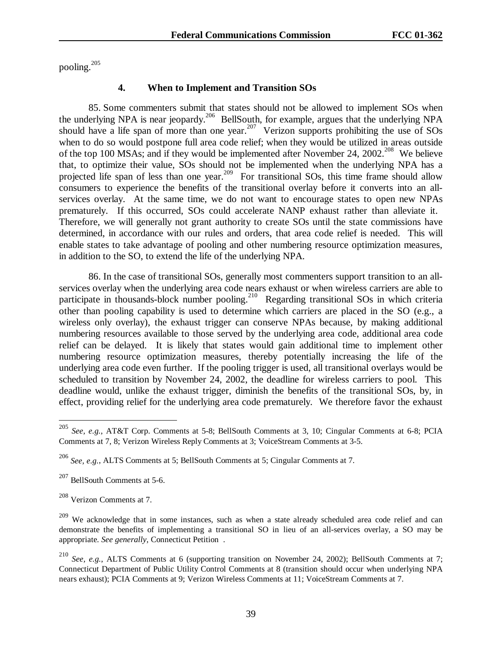pooling.205

### **4. When to Implement and Transition SOs**

85. Some commenters submit that states should not be allowed to implement SOs when the underlying NPA is near jeopardy.<sup>206</sup> BellSouth, for example, argues that the underlying NPA should have a life span of more than one year.<sup>207</sup> Verizon supports prohibiting the use of SOs when to do so would postpone full area code relief; when they would be utilized in areas outside of the top 100 MSAs; and if they would be implemented after November 24, 2002.<sup>208</sup> We believe that, to optimize their value, SOs should not be implemented when the underlying NPA has a projected life span of less than one year.<sup>209</sup> For transitional SOs, this time frame should allow consumers to experience the benefits of the transitional overlay before it converts into an allservices overlay. At the same time, we do not want to encourage states to open new NPAs prematurely. If this occurred, SOs could accelerate NANP exhaust rather than alleviate it. Therefore, we will generally not grant authority to create SOs until the state commissions have determined, in accordance with our rules and orders, that area code relief is needed. This will enable states to take advantage of pooling and other numbering resource optimization measures, in addition to the SO, to extend the life of the underlying NPA.

86. In the case of transitional SOs, generally most commenters support transition to an allservices overlay when the underlying area code nears exhaust or when wireless carriers are able to participate in thousands-block number pooling.<sup>210</sup> Regarding transitional SOs in which criteria other than pooling capability is used to determine which carriers are placed in the SO (e.g., a wireless only overlay), the exhaust trigger can conserve NPAs because, by making additional numbering resources available to those served by the underlying area code, additional area code relief can be delayed. It is likely that states would gain additional time to implement other numbering resource optimization measures, thereby potentially increasing the life of the underlying area code even further. If the pooling trigger is used, all transitional overlays would be scheduled to transition by November 24, 2002, the deadline for wireless carriers to pool. This deadline would, unlike the exhaust trigger, diminish the benefits of the transitional SOs, by, in effect, providing relief for the underlying area code prematurely. We therefore favor the exhaust

<sup>205</sup> *See, e.g.*, AT&T Corp. Comments at 5-8; BellSouth Comments at 3, 10; Cingular Comments at 6-8; PCIA Comments at 7, 8; Verizon Wireless Reply Comments at 3; VoiceStream Comments at 3-5.

<sup>206</sup> *See, e.g.*, ALTS Comments at 5; BellSouth Comments at 5; Cingular Comments at 7.

<sup>207</sup> BellSouth Comments at 5-6.

<sup>208</sup> Verizon Comments at 7.

<sup>&</sup>lt;sup>209</sup> We acknowledge that in some instances, such as when a state already scheduled area code relief and can demonstrate the benefits of implementing a transitional SO in lieu of an all-services overlay, a SO may be appropriate. *See generally*, Connecticut Petition .

<sup>210</sup> *See, e.g.*, ALTS Comments at 6 (supporting transition on November 24, 2002); BellSouth Comments at 7; Connecticut Department of Public Utility Control Comments at 8 (transition should occur when underlying NPA nears exhaust); PCIA Comments at 9; Verizon Wireless Comments at 11; VoiceStream Comments at 7.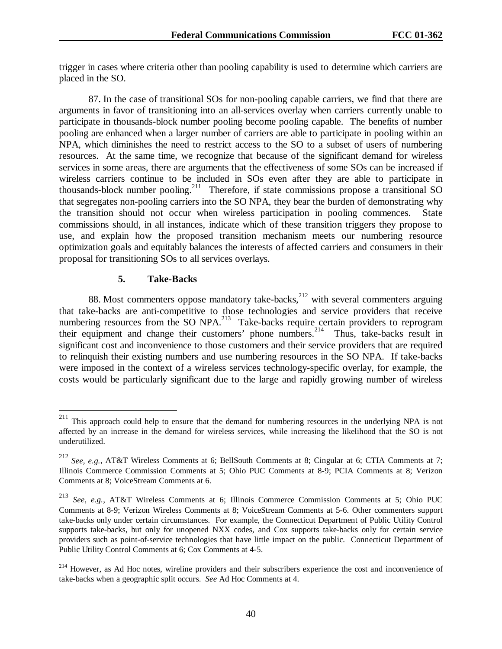trigger in cases where criteria other than pooling capability is used to determine which carriers are placed in the SO.

87. In the case of transitional SOs for non-pooling capable carriers, we find that there are arguments in favor of transitioning into an all-services overlay when carriers currently unable to participate in thousands-block number pooling become pooling capable. The benefits of number pooling are enhanced when a larger number of carriers are able to participate in pooling within an NPA, which diminishes the need to restrict access to the SO to a subset of users of numbering resources. At the same time, we recognize that because of the significant demand for wireless services in some areas, there are arguments that the effectiveness of some SOs can be increased if wireless carriers continue to be included in SOs even after they are able to participate in thousands-block number pooling.<sup>211</sup> Therefore, if state commissions propose a transitional SO that segregates non-pooling carriers into the SO NPA, they bear the burden of demonstrating why the transition should not occur when wireless participation in pooling commences. State commissions should, in all instances, indicate which of these transition triggers they propose to use, and explain how the proposed transition mechanism meets our numbering resource optimization goals and equitably balances the interests of affected carriers and consumers in their proposal for transitioning SOs to all services overlays.

## **5. Take-Backs**

88. Most commenters oppose mandatory take-backs, $212$  with several commenters arguing that take-backs are anti-competitive to those technologies and service providers that receive numbering resources from the SO NPA.<sup>213</sup> Take-backs require certain providers to reprogram their equipment and change their customers' phone numbers.<sup>214</sup> Thus, take-backs result in significant cost and inconvenience to those customers and their service providers that are required to relinquish their existing numbers and use numbering resources in the SO NPA. If take-backs were imposed in the context of a wireless services technology-specific overlay, for example, the costs would be particularly significant due to the large and rapidly growing number of wireless

 $211\,$ 211 This approach could help to ensure that the demand for numbering resources in the underlying NPA is not affected by an increase in the demand for wireless services, while increasing the likelihood that the SO is not underutilized.

<sup>212</sup> *See, e.g.*, AT&T Wireless Comments at 6; BellSouth Comments at 8; Cingular at 6; CTIA Comments at 7; Illinois Commerce Commission Comments at 5; Ohio PUC Comments at 8-9; PCIA Comments at 8; Verizon Comments at 8; VoiceStream Comments at 6.

See, e.g., AT&T Wireless Comments at 6; Illinois Commerce Commission Comments at 5; Ohio PUC Comments at 8-9; Verizon Wireless Comments at 8; VoiceStream Comments at 5-6. Other commenters support take-backs only under certain circumstances. For example, the Connecticut Department of Public Utility Control supports take-backs, but only for unopened NXX codes, and Cox supports take-backs only for certain service providers such as point-of-service technologies that have little impact on the public. Connecticut Department of Public Utility Control Comments at 6; Cox Comments at 4-5.

<sup>&</sup>lt;sup>214</sup> However, as Ad Hoc notes, wireline providers and their subscribers experience the cost and inconvenience of take-backs when a geographic split occurs. *See* Ad Hoc Comments at 4.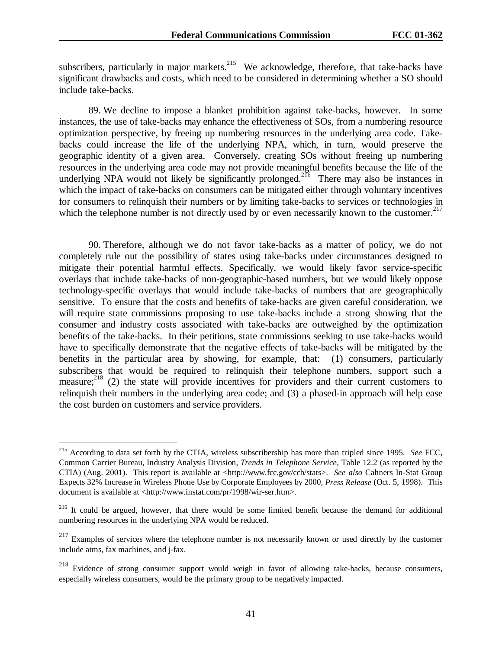subscribers, particularly in major markets.<sup>215</sup> We acknowledge, therefore, that take-backs have significant drawbacks and costs, which need to be considered in determining whether a SO should include take-backs.

89. We decline to impose a blanket prohibition against take-backs, however. In some instances, the use of take-backs may enhance the effectiveness of SOs, from a numbering resource optimization perspective, by freeing up numbering resources in the underlying area code. Takebacks could increase the life of the underlying NPA, which, in turn, would preserve the geographic identity of a given area. Conversely, creating SOs without freeing up numbering resources in the underlying area code may not provide meaningful benefits because the life of the underlying NPA would not likely be significantly prolonged.<sup>216</sup> There may also be instances in which the impact of take-backs on consumers can be mitigated either through voluntary incentives for consumers to relinquish their numbers or by limiting take-backs to services or technologies in which the telephone number is not directly used by or even necessarily known to the customer.<sup>217</sup>

90. Therefore, although we do not favor take-backs as a matter of policy, we do not completely rule out the possibility of states using take-backs under circumstances designed to mitigate their potential harmful effects. Specifically, we would likely favor service-specific overlays that include take-backs of non-geographic-based numbers, but we would likely oppose technology-specific overlays that would include take-backs of numbers that are geographically sensitive. To ensure that the costs and benefits of take-backs are given careful consideration, we will require state commissions proposing to use take-backs include a strong showing that the consumer and industry costs associated with take-backs are outweighed by the optimization benefits of the take-backs. In their petitions, state commissions seeking to use take-backs would have to specifically demonstrate that the negative effects of take-backs will be mitigated by the benefits in the particular area by showing, for example, that: (1) consumers, particularly subscribers that would be required to relinquish their telephone numbers, support such a measure;<sup>218</sup> (2) the state will provide incentives for providers and their current customers to relinquish their numbers in the underlying area code; and (3) a phased-in approach will help ease the cost burden on customers and service providers.

<sup>215</sup> According to data set forth by the CTIA, wireless subscribership has more than tripled since 1995. *See* FCC, Common Carrier Bureau, Industry Analysis Division, *Trends in Telephone Service*, Table 12.2 (as reported by the CTIA) (Aug. 2001). This report is available at <http://www.fcc.gov/ccb/stats>. *See also* Cahners In-Stat Group Expects 32% Increase in Wireless Phone Use by Corporate Employees by 2000, *Press Release* (Oct. 5, 1998). This document is available at <http://www.instat.com/pr/1998/wir-ser.htm>.

<sup>&</sup>lt;sup>216</sup> It could be argued, however, that there would be some limited benefit because the demand for additional numbering resources in the underlying NPA would be reduced.

<sup>&</sup>lt;sup>217</sup> Examples of services where the telephone number is not necessarily known or used directly by the customer include atms, fax machines, and j-fax.

Evidence of strong consumer support would weigh in favor of allowing take-backs, because consumers, especially wireless consumers, would be the primary group to be negatively impacted.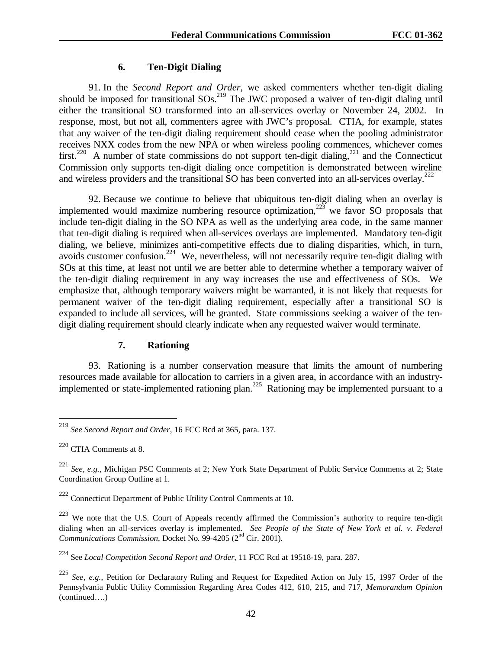## **6. Ten-Digit Dialing**

91. In the *Second Report and Order*, we asked commenters whether ten-digit dialing should be imposed for transitional SOs.<sup>219</sup> The JWC proposed a waiver of ten-digit dialing until either the transitional SO transformed into an all-services overlay or November 24, 2002. In response, most, but not all, commenters agree with JWC's proposal. CTIA, for example, states that any waiver of the ten-digit dialing requirement should cease when the pooling administrator receives NXX codes from the new NPA or when wireless pooling commences, whichever comes first.<sup>220</sup> A number of state commissions do not support ten-digit dialing,<sup>221</sup> and the Connecticut Commission only supports ten-digit dialing once competition is demonstrated between wireline and wireless providers and the transitional SO has been converted into an all-services overlay.<sup>222</sup>

92. Because we continue to believe that ubiquitous ten-digit dialing when an overlay is implemented would maximize numbering resource optimization, $223$  we favor SO proposals that include ten-digit dialing in the SO NPA as well as the underlying area code, in the same manner that ten-digit dialing is required when all-services overlays are implemented. Mandatory ten-digit dialing, we believe, minimizes anti-competitive effects due to dialing disparities, which, in turn, avoids customer confusion.224 We, nevertheless, will not necessarily require ten-digit dialing with SOs at this time, at least not until we are better able to determine whether a temporary waiver of the ten-digit dialing requirement in any way increases the use and effectiveness of SOs. We emphasize that, although temporary waivers might be warranted, it is not likely that requests for permanent waiver of the ten-digit dialing requirement, especially after a transitional SO is expanded to include all services, will be granted. State commissions seeking a waiver of the tendigit dialing requirement should clearly indicate when any requested waiver would terminate.

## **7. Rationing**

93. Rationing is a number conservation measure that limits the amount of numbering resources made available for allocation to carriers in a given area, in accordance with an industryimplemented or state-implemented rationing plan.<sup>225</sup> Rationing may be implemented pursuant to a

<sup>219</sup> *See Second Report and Order*, 16 FCC Rcd at 365, para. 137.

<sup>220</sup> CTIA Comments at 8.

<sup>221</sup> *See, e.g.*, Michigan PSC Comments at 2; New York State Department of Public Service Comments at 2; State Coordination Group Outline at 1.

 $222$  Connecticut Department of Public Utility Control Comments at 10.

<sup>&</sup>lt;sup>223</sup> We note that the U.S. Court of Appeals recently affirmed the Commission's authority to require ten-digit dialing when an all-services overlay is implemented. *See People of the State of New York et al. v. Federal Communications Commission, Docket No. 99-4205 (2<sup>nd</sup> Cir. 2001).* 

<sup>224</sup> See *Local Competition Second Report and Order*, 11 FCC Rcd at 19518-19, para. 287.

<sup>225</sup> *See, e.g.*, Petition for Declaratory Ruling and Request for Expedited Action on July 15, 1997 Order of the Pennsylvania Public Utility Commission Regarding Area Codes 412, 610, 215, and 717, *Memorandum Opinion* (continued….)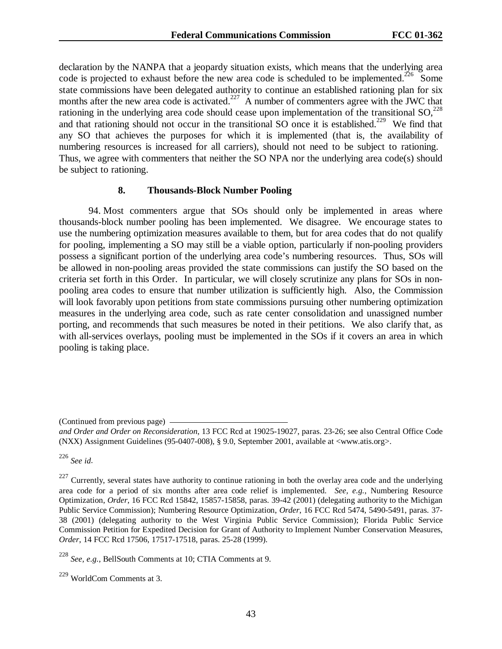declaration by the NANPA that a jeopardy situation exists, which means that the underlying area code is projected to exhaust before the new area code is scheduled to be implemented.<sup>226</sup> Some state commissions have been delegated authority to continue an established rationing plan for six months after the new area code is activated.<sup>227</sup> A number of commenters agree with the JWC that rationing in the underlying area code should cease upon implementation of the transitional  $SO<sub>1</sub><sup>228</sup>$ and that rationing should not occur in the transitional SO once it is established.<sup>229</sup> We find that any SO that achieves the purposes for which it is implemented (that is, the availability of numbering resources is increased for all carriers), should not need to be subject to rationing. Thus, we agree with commenters that neither the SO NPA nor the underlying area code(s) should be subject to rationing.

#### **8. Thousands-Block Number Pooling**

94. Most commenters argue that SOs should only be implemented in areas where thousands-block number pooling has been implemented. We disagree. We encourage states to use the numbering optimization measures available to them, but for area codes that do not qualify for pooling, implementing a SO may still be a viable option, particularly if non-pooling providers possess a significant portion of the underlying area code's numbering resources. Thus, SOs will be allowed in non-pooling areas provided the state commissions can justify the SO based on the criteria set forth in this Order. In particular, we will closely scrutinize any plans for SOs in nonpooling area codes to ensure that number utilization is sufficiently high. Also, the Commission will look favorably upon petitions from state commissions pursuing other numbering optimization measures in the underlying area code, such as rate center consolidation and unassigned number porting, and recommends that such measures be noted in their petitions. We also clarify that, as with all-services overlays, pooling must be implemented in the SOs if it covers an area in which pooling is taking place.

<sup>226</sup> *See id*.

<sup>(</sup>Continued from previous page)

*and Order and Order on Reconsideration*, 13 FCC Rcd at 19025-19027, paras. 23-26; see also Central Office Code (NXX) Assignment Guidelines (95-0407-008), § 9.0, September 2001, available at <www.atis.org>.

 $227$  Currently, several states have authority to continue rationing in both the overlay area code and the underlying area code for a period of six months after area code relief is implemented. *See, e.g.*, Numbering Resource Optimization, *Order*, 16 FCC Rcd 15842, 15857-15858, paras. 39-42 (2001) (delegating authority to the Michigan Public Service Commission); Numbering Resource Optimization, *Order*, 16 FCC Rcd 5474, 5490-5491, paras. 37- 38 (2001) (delegating authority to the West Virginia Public Service Commission); Florida Public Service Commission Petition for Expedited Decision for Grant of Authority to Implement Number Conservation Measures, *Order*, 14 FCC Rcd 17506, 17517-17518, paras. 25-28 (1999).

<sup>228</sup> *See, e.g.*, BellSouth Comments at 10; CTIA Comments at 9.

<sup>229</sup> WorldCom Comments at 3.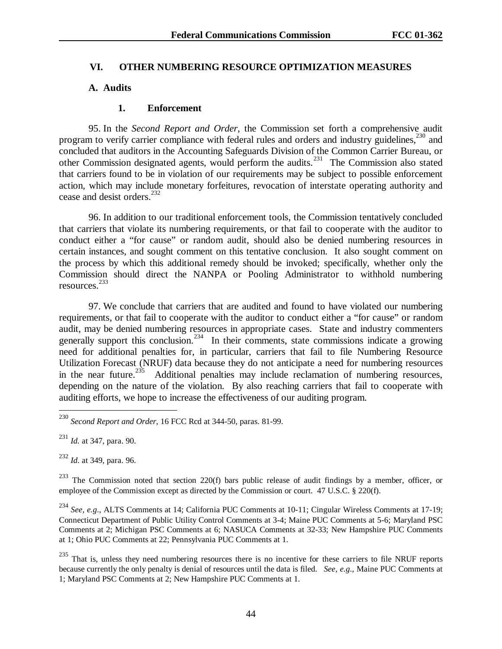## **VI. OTHER NUMBERING RESOURCE OPTIMIZATION MEASURES**

## **A. Audits**

## **1. Enforcement**

95. In the *Second Report and Order*, the Commission set forth a comprehensive audit program to verify carrier compliance with federal rules and orders and industry guidelines,  $230$  and concluded that auditors in the Accounting Safeguards Division of the Common Carrier Bureau, or other Commission designated agents, would perform the audits.<sup>231</sup> The Commission also stated that carriers found to be in violation of our requirements may be subject to possible enforcement action, which may include monetary forfeitures, revocation of interstate operating authority and cease and desist orders.<sup>232</sup>

96. In addition to our traditional enforcement tools, the Commission tentatively concluded that carriers that violate its numbering requirements, or that fail to cooperate with the auditor to conduct either a "for cause" or random audit, should also be denied numbering resources in certain instances, and sought comment on this tentative conclusion. It also sought comment on the process by which this additional remedy should be invoked; specifically, whether only the Commission should direct the NANPA or Pooling Administrator to withhold numbering resources. 233

97. We conclude that carriers that are audited and found to have violated our numbering requirements, or that fail to cooperate with the auditor to conduct either a "for cause" or random audit, may be denied numbering resources in appropriate cases. State and industry commenters generally support this conclusion.<sup>234</sup> In their comments, state commissions indicate a growing need for additional penalties for, in particular, carriers that fail to file Numbering Resource Utilization Forecast (NRUF) data because they do not anticipate a need for numbering resources in the near future.<sup>235</sup> Additional penalties may include reclamation of numbering resources, depending on the nature of the violation. By also reaching carriers that fail to cooperate with auditing efforts, we hope to increase the effectiveness of our auditing program.

 $\overline{a}$ 

<sup>232</sup> *Id*. at 349, para. 96.

 $^{233}$  The Commission noted that section 220(f) bars public release of audit findings by a member, officer, or employee of the Commission except as directed by the Commission or court. 47 U.S.C. § 220(f).

<sup>234</sup> *See, e.g*., ALTS Comments at 14; California PUC Comments at 10-11; Cingular Wireless Comments at 17-19; Connecticut Department of Public Utility Control Comments at 3-4; Maine PUC Comments at 5-6; Maryland PSC Comments at 2; Michigan PSC Comments at 6; NASUCA Comments at 32-33; New Hampshire PUC Comments at 1; Ohio PUC Comments at 22; Pennsylvania PUC Comments at 1.

 $235$  That is, unless they need numbering resources there is no incentive for these carriers to file NRUF reports because currently the only penalty is denial of resources until the data is filed. *See, e.g*., Maine PUC Comments at 1; Maryland PSC Comments at 2; New Hampshire PUC Comments at 1.

<sup>230</sup> *Second Report and Order*, 16 FCC Rcd at 344-50, paras. 81-99.

<sup>231</sup> *Id.* at 347, para. 90.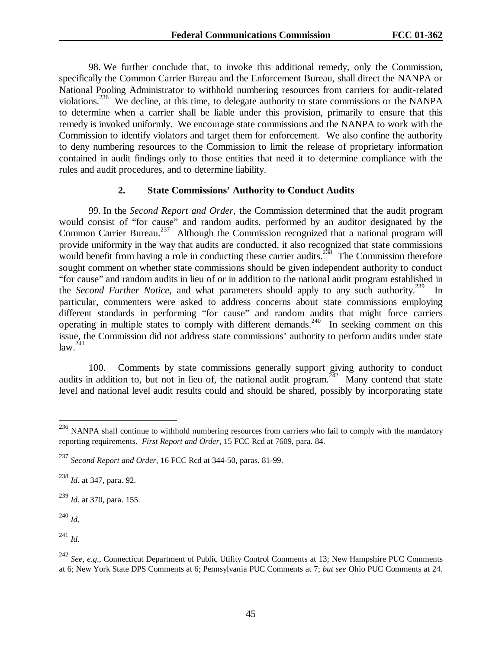98. We further conclude that, to invoke this additional remedy, only the Commission, specifically the Common Carrier Bureau and the Enforcement Bureau, shall direct the NANPA or National Pooling Administrator to withhold numbering resources from carriers for audit-related violations.<sup>236</sup> We decline, at this time, to delegate authority to state commissions or the NANPA to determine when a carrier shall be liable under this provision, primarily to ensure that this remedy is invoked uniformly. We encourage state commissions and the NANPA to work with the Commission to identify violators and target them for enforcement. We also confine the authority to deny numbering resources to the Commission to limit the release of proprietary information contained in audit findings only to those entities that need it to determine compliance with the rules and audit procedures, and to determine liability.

#### **2. State Commissions' Authority to Conduct Audits**

99. In the *Second Report and Order*, the Commission determined that the audit program would consist of "for cause" and random audits, performed by an auditor designated by the Common Carrier Bureau.<sup>237</sup> Although the Commission recognized that a national program will provide uniformity in the way that audits are conducted, it also recognized that state commissions would benefit from having a role in conducting these carrier audits.<sup>238</sup> The Commission therefore sought comment on whether state commissions should be given independent authority to conduct "for cause" and random audits in lieu of or in addition to the national audit program established in the *Second Further Notice*, and what parameters should apply to any such authority.<sup>239</sup> In particular, commenters were asked to address concerns about state commissions employing different standards in performing "for cause" and random audits that might force carriers operating in multiple states to comply with different demands.<sup>240</sup> In seeking comment on this issue, the Commission did not address state commissions' authority to perform audits under state  $law.<sup>241</sup>$ 

100. Comments by state commissions generally support giving authority to conduct audits in addition to, but not in lieu of, the national audit program.<sup> $\frac{242}{4}$ </sup> Many contend that state level and national level audit results could and should be shared, possibly by incorporating state

<sup>239</sup> *Id*. at 370, para. 155.

<sup>240</sup> *Id*.

 $\overline{a}$ 

<sup>241</sup> *Id*.

<sup>&</sup>lt;sup>236</sup> NANPA shall continue to withhold numbering resources from carriers who fail to comply with the mandatory reporting requirements. *First Report and Order*, 15 FCC Rcd at 7609, para. 84.

<sup>237</sup> *Second Report and Order*, 16 FCC Rcd at 344-50, paras. 81-99.

<sup>238</sup> *Id*. at 347, para. 92.

<sup>&</sup>lt;sup>242</sup> *See, e.g.*, Connecticut Department of Public Utility Control Comments at 13; New Hampshire PUC Comments at 6; New York State DPS Comments at 6; Pennsylvania PUC Comments at 7; *but see* Ohio PUC Comments at 24.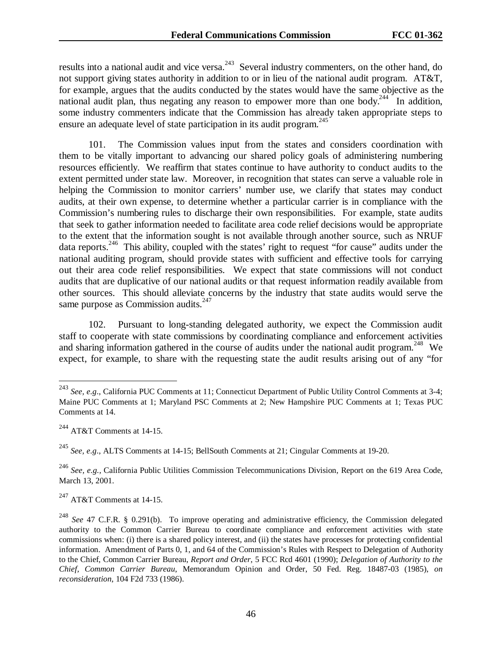results into a national audit and vice versa.<sup>243</sup> Several industry commenters, on the other hand, do not support giving states authority in addition to or in lieu of the national audit program. AT&T, for example, argues that the audits conducted by the states would have the same objective as the national audit plan, thus negating any reason to empower more than one body.<sup>244</sup> In addition, some industry commenters indicate that the Commission has already taken appropriate steps to ensure an adequate level of state participation in its audit program.<sup>245</sup>

101. The Commission values input from the states and considers coordination with them to be vitally important to advancing our shared policy goals of administering numbering resources efficiently. We reaffirm that states continue to have authority to conduct audits to the extent permitted under state law. Moreover, in recognition that states can serve a valuable role in helping the Commission to monitor carriers' number use, we clarify that states may conduct audits, at their own expense, to determine whether a particular carrier is in compliance with the Commission's numbering rules to discharge their own responsibilities. For example, state audits that seek to gather information needed to facilitate area code relief decisions would be appropriate to the extent that the information sought is not available through another source, such as NRUF data reports.<sup>246</sup> This ability, coupled with the states' right to request "for cause" audits under the national auditing program, should provide states with sufficient and effective tools for carrying out their area code relief responsibilities. We expect that state commissions will not conduct audits that are duplicative of our national audits or that request information readily available from other sources. This should alleviate concerns by the industry that state audits would serve the same purpose as Commission audits. $247$ 

102. Pursuant to long-standing delegated authority, we expect the Commission audit staff to cooperate with state commissions by coordinating compliance and enforcement activities and sharing information gathered in the course of audits under the national audit program.<sup>248</sup> We expect, for example, to share with the requesting state the audit results arising out of any "for

 $\overline{a}$ 

<sup>245</sup> *See, e.g*., ALTS Comments at 14-15; BellSouth Comments at 21; Cingular Comments at 19-20.

247 AT&T Comments at 14-15.

<sup>243</sup> *See, e.g*., California PUC Comments at 11; Connecticut Department of Public Utility Control Comments at 3-4; Maine PUC Comments at 1; Maryland PSC Comments at 2; New Hampshire PUC Comments at 1; Texas PUC Comments at 14.

<sup>244</sup> AT&T Comments at 14-15.

<sup>246</sup> *See, e.g.,* California Public Utilities Commission Telecommunications Division, Report on the 619 Area Code, March 13, 2001.

<sup>248</sup> *See* 47 C.F.R. § 0.291(b). To improve operating and administrative efficiency, the Commission delegated authority to the Common Carrier Bureau to coordinate compliance and enforcement activities with state commissions when: (i) there is a shared policy interest, and (ii) the states have processes for protecting confidential information. Amendment of Parts 0, 1, and 64 of the Commission's Rules with Respect to Delegation of Authority to the Chief, Common Carrier Bureau, *Report and Order*, 5 FCC Rcd 4601 (1990); *Delegation of Authority to the Chief, Common Carrier Bureau*, Memorandum Opinion and Order, 50 Fed. Reg. 18487-03 (1985), *on reconsideration*, 104 F2d 733 (1986).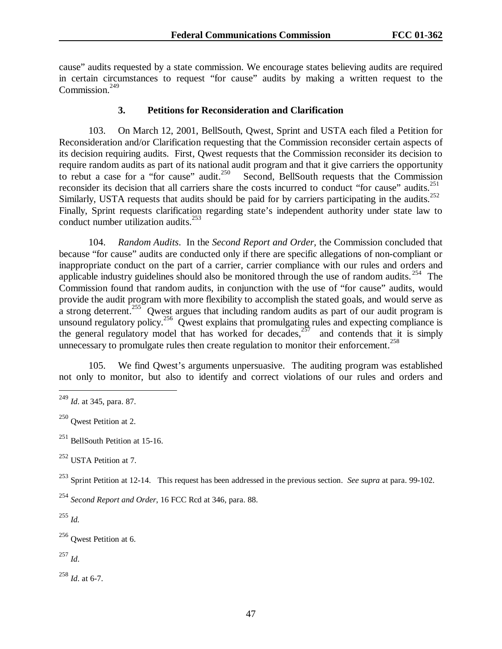cause" audits requested by a state commission. We encourage states believing audits are required in certain circumstances to request "for cause" audits by making a written request to the Commission $^{249}$ 

#### **3. Petitions for Reconsideration and Clarification**

103. On March 12, 2001, BellSouth, Qwest, Sprint and USTA each filed a Petition for Reconsideration and/or Clarification requesting that the Commission reconsider certain aspects of its decision requiring audits. First, Qwest requests that the Commission reconsider its decision to require random audits as part of its national audit program and that it give carriers the opportunity<br>to rebut a case for a "for cause" audit.<sup>250</sup> Second, BellSouth requests that the Commission Second, BellSouth requests that the Commission reconsider its decision that all carriers share the costs incurred to conduct "for cause" audits.<sup>251</sup> Similarly, USTA requests that audits should be paid for by carriers participating in the audits.<sup>252</sup> Finally, Sprint requests clarification regarding state's independent authority under state law to conduct number utilization audits. $^{253}$ 

104. *Random Audits*. In the *Second Report and Order,* the Commission concluded that because "for cause" audits are conducted only if there are specific allegations of non-compliant or inappropriate conduct on the part of a carrier, carrier compliance with our rules and orders and applicable industry guidelines should also be monitored through the use of random audits. <sup>254</sup> The Commission found that random audits, in conjunction with the use of "for cause" audits, would provide the audit program with more flexibility to accomplish the stated goals, and would serve as a strong deterrent.<sup>255</sup> Qwest argues that including random audits as part of our audit program is unsound regulatory policy.<sup>256</sup> Qwest explains that promulgating rules and expecting compliance is the general regulatory model that has worked for decades,  $257$  and contends that it is simply unnecessary to promulgate rules then create regulation to monitor their enforcement.<sup>258</sup>

105. We find Qwest's arguments unpersuasive. The auditing program was established not only to monitor, but also to identify and correct violations of our rules and orders and

252 USTA Petition at 7.

253 Sprint Petition at 12-14. This request has been addressed in the previous section. *See supra* at para. 99-102.

<sup>254</sup> *Second Report and Order*, 16 FCC Rcd at 346, para. 88.

<sup>255</sup> *Id.*

 $\overline{a}$ 

256 Qwest Petition at 6.

<sup>257</sup> *Id*.

<sup>258</sup> *Id*. at 6-7.

<sup>249</sup> *Id*. at 345, para. 87.

<sup>250</sup> Qwest Petition at 2.

 $251$  BellSouth Petition at 15-16.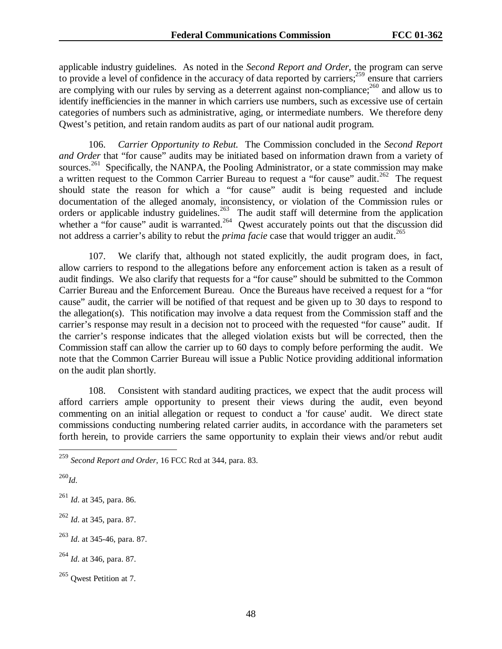applicable industry guidelines. As noted in the *Second Report and Order*, the program can serve to provide a level of confidence in the accuracy of data reported by carriers; $259 \text{ ensure that carriers}$ are complying with our rules by serving as a deterrent against non-compliance; $^{260}$  and allow us to identify inefficiencies in the manner in which carriers use numbers, such as excessive use of certain categories of numbers such as administrative, aging, or intermediate numbers. We therefore deny Qwest's petition, and retain random audits as part of our national audit program.

106. *Carrier Opportunity to Rebut.* The Commission concluded in the *Second Report and Order* that "for cause" audits may be initiated based on information drawn from a variety of sources.<sup>261</sup> Specifically, the NANPA, the Pooling Administrator, or a state commission may make a written request to the Common Carrier Bureau to request a "for cause" audit.<sup>262</sup> The request should state the reason for which a "for cause" audit is being requested and include documentation of the alleged anomaly, inconsistency, or violation of the Commission rules or orders or applicable industry guidelines.<sup>263</sup> The audit staff will determine from the application whether a "for cause" audit is warranted.<sup>264</sup> Qwest accurately points out that the discussion did not address a carrier's ability to rebut the *prima facie* case that would trigger an audit.<sup>265</sup>

107. We clarify that, although not stated explicitly, the audit program does, in fact, allow carriers to respond to the allegations before any enforcement action is taken as a result of audit findings. We also clarify that requests for a "for cause" should be submitted to the Common Carrier Bureau and the Enforcement Bureau. Once the Bureaus have received a request for a "for cause" audit, the carrier will be notified of that request and be given up to 30 days to respond to the allegation(s). This notification may involve a data request from the Commission staff and the carrier's response may result in a decision not to proceed with the requested "for cause" audit. If the carrier's response indicates that the alleged violation exists but will be corrected, then the Commission staff can allow the carrier up to 60 days to comply before performing the audit. We note that the Common Carrier Bureau will issue a Public Notice providing additional information on the audit plan shortly.

108. Consistent with standard auditing practices, we expect that the audit process will afford carriers ample opportunity to present their views during the audit, even beyond commenting on an initial allegation or request to conduct a 'for cause' audit. We direct state commissions conducting numbering related carrier audits, in accordance with the parameters set forth herein, to provide carriers the same opportunity to explain their views and/or rebut audit

<sup>260</sup>*Id*.

 $\overline{a}$ 

<sup>261</sup> *Id*. at 345, para. 86.

- <sup>262</sup> *Id*. at 345, para. 87.
- <sup>263</sup> *Id*. at 345-46, para. 87.
- <sup>264</sup> *Id*. at 346, para. 87.

<sup>259</sup> *Second Report and Order*, 16 FCC Rcd at 344, para. 83.

<sup>265</sup> Qwest Petition at 7.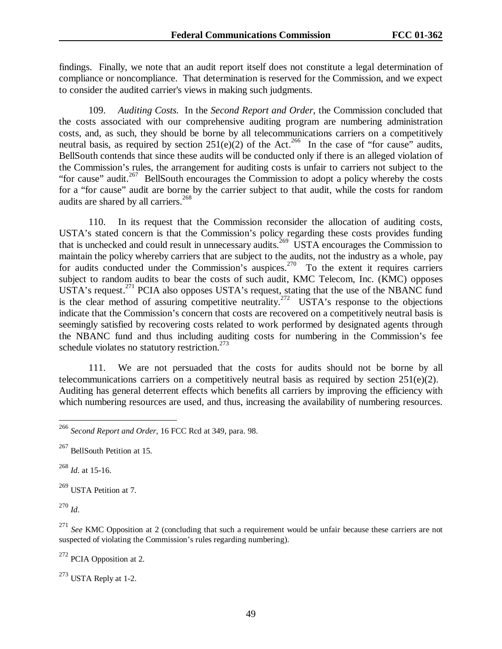findings. Finally, we note that an audit report itself does not constitute a legal determination of compliance or noncompliance. That determination is reserved for the Commission, and we expect to consider the audited carrier's views in making such judgments.

109. *Auditing Costs.* In the *Second Report and Order*, the Commission concluded that the costs associated with our comprehensive auditing program are numbering administration costs, and, as such, they should be borne by all telecommunications carriers on a competitively neutral basis, as required by section  $251(e)(2)$  of the Act.<sup>266</sup> In the case of "for cause" audits, BellSouth contends that since these audits will be conducted only if there is an alleged violation of the Commission's rules, the arrangement for auditing costs is unfair to carriers not subject to the "for cause" audit.<sup>267</sup> BellSouth encourages the Commission to adopt a policy whereby the costs for a "for cause" audit are borne by the carrier subject to that audit, while the costs for random audits are shared by all carriers.<sup>268</sup>

110. In its request that the Commission reconsider the allocation of auditing costs, USTA's stated concern is that the Commission's policy regarding these costs provides funding that is unchecked and could result in unnecessary audits.<sup>269</sup> USTA encourages the Commission to maintain the policy whereby carriers that are subject to the audits, not the industry as a whole, pay for audits conducted under the Commission's auspices.<sup>270</sup> To the extent it requires carriers subject to random audits to bear the costs of such audit, KMC Telecom, Inc. (KMC) opposes USTA's request.<sup>271</sup> PCIA also opposes USTA's request, stating that the use of the NBANC fund is the clear method of assuring competitive neutrality.<sup>272</sup> USTA's response to the objections indicate that the Commission's concern that costs are recovered on a competitively neutral basis is seemingly satisfied by recovering costs related to work performed by designated agents through the NBANC fund and thus including auditing costs for numbering in the Commission's fee schedule violates no statutory restriction.<sup>273</sup>

111. We are not persuaded that the costs for audits should not be borne by all telecommunications carriers on a competitively neutral basis as required by section  $251(e)(2)$ . Auditing has general deterrent effects which benefits all carriers by improving the efficiency with which numbering resources are used, and thus, increasing the availability of numbering resources.

<sup>268</sup> *Id*. at 15-16.

269 USTA Petition at 7.

<sup>270</sup> *Id*.

 $\overline{a}$ 

<sup>271</sup> See KMC Opposition at 2 (concluding that such a requirement would be unfair because these carriers are not suspected of violating the Commission's rules regarding numbering).

 $272$  PCIA Opposition at 2.

273 USTA Reply at 1-2.

<sup>266</sup> *Second Report and Order*, 16 FCC Rcd at 349, para. 98.

<sup>267</sup> BellSouth Petition at 15.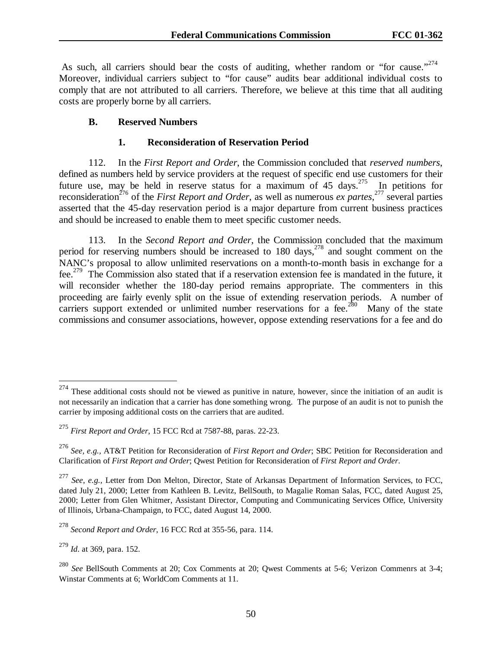As such, all carriers should bear the costs of auditing, whether random or "for cause."<sup>274</sup> Moreover, individual carriers subject to "for cause" audits bear additional individual costs to comply that are not attributed to all carriers. Therefore, we believe at this time that all auditing costs are properly borne by all carriers.

### **B. Reserved Numbers**

#### **1. Reconsideration of Reservation Period**

112. In the *First Report and Order*, the Commission concluded that *reserved numbers*, defined as numbers held by service providers at the request of specific end use customers for their future use, may be held in reserve status for a maximum of  $45$  days.<sup>275</sup> In petitions for reconsideration<sup>276</sup> of the *First Report and Order*, as well as numerous *ex partes*,<sup>277</sup> several parties asserted that the 45-day reservation period is a major departure from current business practices and should be increased to enable them to meet specific customer needs.

113. In the *Second Report and Order*, the Commission concluded that the maximum period for reserving numbers should be increased to 180 days, $^{278}$  and sought comment on the NANC's proposal to allow unlimited reservations on a month-to-month basis in exchange for a fee.279 The Commission also stated that if a reservation extension fee is mandated in the future, it will reconsider whether the 180-day period remains appropriate. The commenters in this proceeding are fairly evenly split on the issue of extending reservation periods. A number of carriers support extended or unlimited number reservations for a fee.<sup>280</sup> Many of the state commissions and consumer associations, however, oppose extending reservations for a fee and do

 $274$  These additional costs should not be viewed as punitive in nature, however, since the initiation of an audit is not necessarily an indication that a carrier has done something wrong. The purpose of an audit is not to punish the carrier by imposing additional costs on the carriers that are audited.

<sup>275</sup> *First Report and Order*, 15 FCC Rcd at 7587-88, paras. 22-23.

<sup>276</sup> *See*, *e.g.,* AT&T Petition for Reconsideration of *First Report and Order*; SBC Petition for Reconsideration and Clarification of *First Report and Order*; Qwest Petition for Reconsideration of *First Report and Order*.

<sup>277</sup> *See*, *e.g.,* Letter from Don Melton, Director, State of Arkansas Department of Information Services, to FCC, dated July 21, 2000; Letter from Kathleen B. Levitz, BellSouth, to Magalie Roman Salas, FCC, dated August 25, 2000; Letter from Glen Whitmer, Assistant Director, Computing and Communicating Services Office, University of Illinois, Urbana-Champaign, to FCC, dated August 14, 2000.

<sup>278</sup> *Second Report and Order*, 16 FCC Rcd at 355-56, para. 114.

<sup>279</sup> *Id*. at 369, para. 152.

<sup>280</sup> *See* BellSouth Comments at 20; Cox Comments at 20; Qwest Comments at 5-6; Verizon Commenrs at 3-4; Winstar Comments at 6; WorldCom Comments at 11.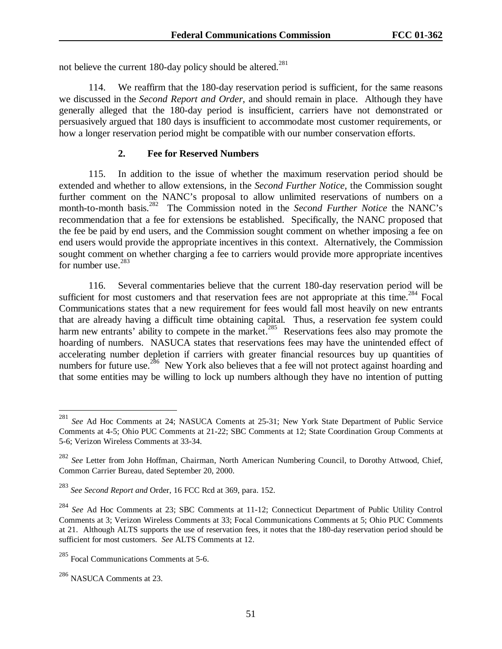not believe the current 180-day policy should be altered.<sup>281</sup>

114. We reaffirm that the 180-day reservation period is sufficient, for the same reasons we discussed in the *Second Report and Order*, and should remain in place. Although they have generally alleged that the 180-day period is insufficient, carriers have not demonstrated or persuasively argued that 180 days is insufficient to accommodate most customer requirements, or how a longer reservation period might be compatible with our number conservation efforts.

### **2. Fee for Reserved Numbers**

115. In addition to the issue of whether the maximum reservation period should be extended and whether to allow extensions, in the *Second Further Notice*, the Commission sought further comment on the NANC's proposal to allow unlimited reservations of numbers on a month-to-month basis.<sup>282</sup> The Commission noted in the *Second Further Notice* the NANC's recommendation that a fee for extensions be established. Specifically, the NANC proposed that the fee be paid by end users, and the Commission sought comment on whether imposing a fee on end users would provide the appropriate incentives in this context. Alternatively, the Commission sought comment on whether charging a fee to carriers would provide more appropriate incentives for number use. $283$ 

116. Several commentaries believe that the current 180-day reservation period will be sufficient for most customers and that reservation fees are not appropriate at this time.<sup>284</sup> Focal Communications states that a new requirement for fees would fall most heavily on new entrants that are already having a difficult time obtaining capital. Thus, a reservation fee system could harm new entrants' ability to compete in the market.<sup>285</sup> Reservations fees also may promote the hoarding of numbers. NASUCA states that reservations fees may have the unintended effect of accelerating number depletion if carriers with greater financial resources buy up quantities of numbers for future use.<sup>286</sup> New York also believes that a fee will not protect against hoarding and that some entities may be willing to lock up numbers although they have no intention of putting

<sup>281</sup> See Ad Hoc Comments at 24; NASUCA Coments at 25-31; New York State Department of Public Service Comments at 4-5; Ohio PUC Comments at 21-22; SBC Comments at 12; State Coordination Group Comments at 5-6; Verizon Wireless Comments at 33-34.

<sup>282</sup> *See* Letter from John Hoffman, Chairman, North American Numbering Council, to Dorothy Attwood, Chief, Common Carrier Bureau, dated September 20, 2000.

<sup>283</sup> *See Second Report and* Order, 16 FCC Rcd at 369, para. 152.

<sup>284</sup> *See* Ad Hoc Comments at 23; SBC Comments at 11-12; Connecticut Department of Public Utility Control Comments at 3; Verizon Wireless Comments at 33; Focal Communications Comments at 5; Ohio PUC Comments at 21. Although ALTS supports the use of reservation fees, it notes that the 180-day reservation period should be sufficient for most customers. *See* ALTS Comments at 12.

<sup>&</sup>lt;sup>285</sup> Focal Communications Comments at 5-6.

<sup>286</sup> NASUCA Comments at 23.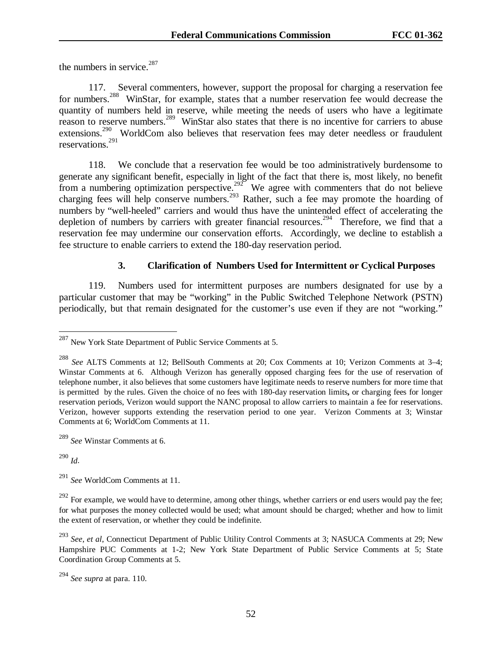the numbers in service. $287$ 

117. Several commenters, however, support the proposal for charging a reservation fee for numbers.<sup>288</sup> WinStar, for example, states that a number reservation fee would decrease the quantity of numbers held in reserve, while meeting the needs of users who have a legitimate reason to reserve numbers.<sup>289</sup> WinStar also states that there is no incentive for carriers to abuse extensions.<sup>290</sup> WorldCom also believes that reservation fees may deter needless or fraudulent reservations.<sup>291</sup>

118. We conclude that a reservation fee would be too administratively burdensome to generate any significant benefit, especially in light of the fact that there is, most likely, no benefit from a numbering optimization perspective.<sup>292</sup> We agree with commenters that do not believe charging fees will help conserve numbers.<sup>293</sup> Rather, such a fee may promote the hoarding of numbers by "well-heeled" carriers and would thus have the unintended effect of accelerating the depletion of numbers by carriers with greater financial resources.<sup>294</sup> Therefore, we find that a reservation fee may undermine our conservation efforts. Accordingly, we decline to establish a fee structure to enable carriers to extend the 180-day reservation period.

## **3. Clarification of Numbers Used for Intermittent or Cyclical Purposes**

119. Numbers used for intermittent purposes are numbers designated for use by a particular customer that may be "working" in the Public Switched Telephone Network (PSTN) periodically, but that remain designated for the customer's use even if they are not "working."

<sup>290</sup> *Id*.

 $\overline{a}$ 

<sup>291</sup> *See* WorldCom Comments at 11.

 $^{287}$  New York State Department of Public Service Comments at 5.

<sup>288</sup> *See* ALTS Comments at 12; BellSouth Comments at 20; Cox Comments at 10; Verizon Comments at 3–4; Winstar Comments at 6. Although Verizon has generally opposed charging fees for the use of reservation of telephone number, it also believes that some customers have legitimate needs to reserve numbers for more time that is permitted by the rules. Given the choice of no fees with 180-day reservation limits**,** or charging fees for longer reservation periods, Verizon would support the NANC proposal to allow carriers to maintain a fee for reservations. Verizon, however supports extending the reservation period to one year. Verizon Comments at 3; Winstar Comments at 6; WorldCom Comments at 11.

<sup>289</sup> *See* Winstar Comments at 6.

 $292$  For example, we would have to determine, among other things, whether carriers or end users would pay the fee; for what purposes the money collected would be used; what amount should be charged; whether and how to limit the extent of reservation, or whether they could be indefinite.

<sup>293</sup> *See*, *et al*, Connecticut Department of Public Utility Control Comments at 3; NASUCA Comments at 29; New Hampshire PUC Comments at 1-2; New York State Department of Public Service Comments at 5; State Coordination Group Comments at 5.

<sup>294</sup> *See supra* at para. 110.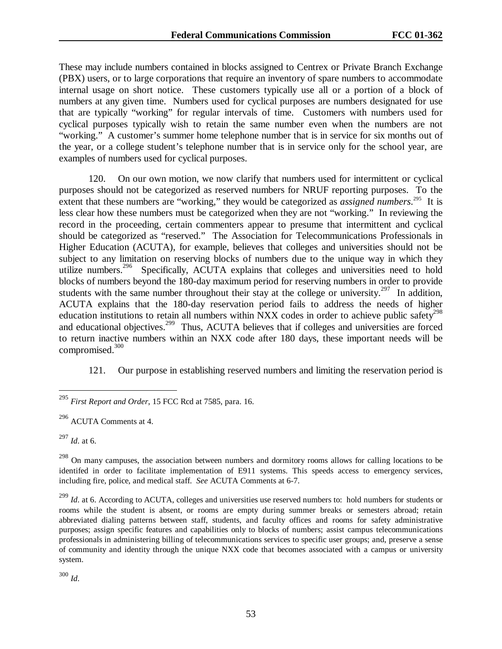These may include numbers contained in blocks assigned to Centrex or Private Branch Exchange (PBX) users, or to large corporations that require an inventory of spare numbers to accommodate internal usage on short notice. These customers typically use all or a portion of a block of numbers at any given time. Numbers used for cyclical purposes are numbers designated for use that are typically "working" for regular intervals of time. Customers with numbers used for cyclical purposes typically wish to retain the same number even when the numbers are not "working." A customer's summer home telephone number that is in service for six months out of the year, or a college student's telephone number that is in service only for the school year, are examples of numbers used for cyclical purposes.

120. On our own motion, we now clarify that numbers used for intermittent or cyclical purposes should not be categorized as reserved numbers for NRUF reporting purposes. To the extent that these numbers are "working," they would be categorized as *assigned numbers*.<sup>295</sup> It is less clear how these numbers must be categorized when they are not "working." In reviewing the record in the proceeding, certain commenters appear to presume that intermittent and cyclical should be categorized as "reserved." The Association for Telecommunications Professionals in Higher Education (ACUTA), for example, believes that colleges and universities should not be subject to any limitation on reserving blocks of numbers due to the unique way in which they utilize numbers.<sup>296</sup> Specifically, ACUTA explains that colleges and universities need to hold blocks of numbers beyond the 180-day maximum period for reserving numbers in order to provide students with the same number throughout their stay at the college or university.<sup>297</sup> In addition, ACUTA explains that the 180-day reservation period fails to address the needs of higher education institutions to retain all numbers within  $NXX$  codes in order to achieve public safety<sup>298</sup> and educational objectives.<sup>299</sup> Thus, ACUTA believes that if colleges and universities are forced to return inactive numbers within an NXX code after 180 days, these important needs will be compromised.<sup>300</sup>

121. Our purpose in establishing reserved numbers and limiting the reservation period is

<sup>297</sup> *Id*. at 6.

 $\overline{a}$ 

<sup>300</sup> *Id*.

<sup>295</sup> *First Report and Order*, 15 FCC Rcd at 7585, para. 16.

<sup>296</sup> ACUTA Comments at 4.

<sup>&</sup>lt;sup>298</sup> On many campuses, the association between numbers and dormitory rooms allows for calling locations to be identifed in order to facilitate implementation of E911 systems. This speeds access to emergency services, including fire, police, and medical staff. *See* ACUTA Comments at 6-7.

<sup>&</sup>lt;sup>299</sup> *Id.* at 6. According to ACUTA, colleges and universities use reserved numbers to: hold numbers for students or rooms while the student is absent, or rooms are empty during summer breaks or semesters abroad; retain abbreviated dialing patterns between staff, students, and faculty offices and rooms for safety administrative purposes; assign specific features and capabilities only to blocks of numbers; assist campus telecommunications professionals in administering billing of telecommunications services to specific user groups; and, preserve a sense of community and identity through the unique NXX code that becomes associated with a campus or university system.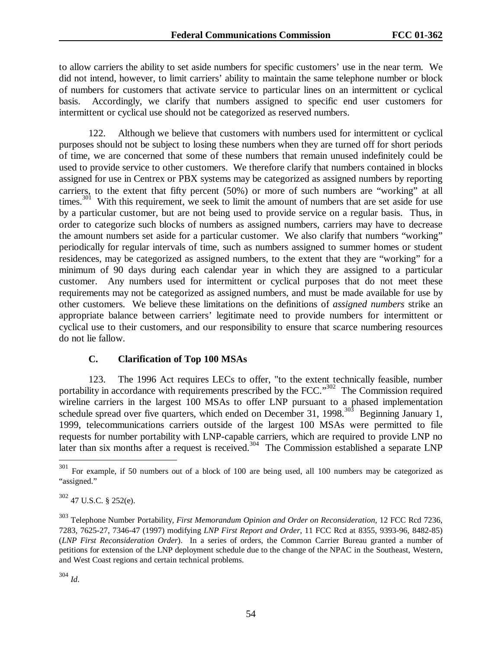to allow carriers the ability to set aside numbers for specific customers' use in the near term. We did not intend, however, to limit carriers' ability to maintain the same telephone number or block of numbers for customers that activate service to particular lines on an intermittent or cyclical basis. Accordingly, we clarify that numbers assigned to specific end user customers for intermittent or cyclical use should not be categorized as reserved numbers.

122. Although we believe that customers with numbers used for intermittent or cyclical purposes should not be subject to losing these numbers when they are turned off for short periods of time, we are concerned that some of these numbers that remain unused indefinitely could be used to provide service to other customers. We therefore clarify that numbers contained in blocks assigned for use in Centrex or PBX systems may be categorized as assigned numbers by reporting carriers, to the extent that fifty percent (50%) or more of such numbers are "working" at all times.<sup>301</sup> With this requirement, we seek to limit the amount of numbers that are set aside for use by a particular customer, but are not being used to provide service on a regular basis. Thus, in order to categorize such blocks of numbers as assigned numbers, carriers may have to decrease the amount numbers set aside for a particular customer. We also clarify that numbers "working" periodically for regular intervals of time, such as numbers assigned to summer homes or student residences, may be categorized as assigned numbers, to the extent that they are "working" for a minimum of 90 days during each calendar year in which they are assigned to a particular customer. Any numbers used for intermittent or cyclical purposes that do not meet these requirements may not be categorized as assigned numbers, and must be made available for use by other customers. We believe these limitations on the definitions of *assigned numbers* strike an appropriate balance between carriers' legitimate need to provide numbers for intermittent or cyclical use to their customers, and our responsibility to ensure that scarce numbering resources do not lie fallow.

## **C. Clarification of Top 100 MSAs**

123. The 1996 Act requires LECs to offer, "to the extent technically feasible, number portability in accordance with requirements prescribed by the FCC.<sup>302</sup> The Commission required wireline carriers in the largest 100 MSAs to offer LNP pursuant to a phased implementation schedule spread over five quarters, which ended on December 31, 1998.<sup>303</sup> Beginning January 1, 1999, telecommunications carriers outside of the largest 100 MSAs were permitted to file requests for number portability with LNP-capable carriers, which are required to provide LNP no later than six months after a request is received.<sup>304</sup> The Commission established a separate LNP

<sup>304</sup> *Id*.

<sup>301</sup> For example, if 50 numbers out of a block of 100 are being used, all 100 numbers may be categorized as "assigned."

 $302$  47 U.S.C. § 252(e).

<sup>303</sup> Telephone Number Portability, *First Memorandum Opinion and Order on Reconsideration*, 12 FCC Rcd 7236, 7283, 7625-27, 7346-47 (1997) modifying *LNP First Report and Order*, 11 FCC Rcd at 8355, 9393-96, 8482-85) (*LNP First Reconsideration Order*). In a series of orders, the Common Carrier Bureau granted a number of petitions for extension of the LNP deployment schedule due to the change of the NPAC in the Southeast, Western, and West Coast regions and certain technical problems.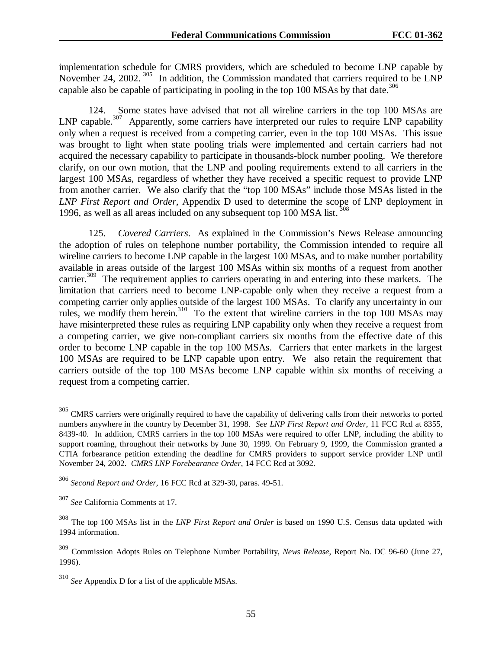implementation schedule for CMRS providers, which are scheduled to become LNP capable by November 24, 2002.<sup>305</sup> In addition, the Commission mandated that carriers required to be LNP capable also be capable of participating in pooling in the top 100 MSAs by that date.<sup>306</sup>

124. Some states have advised that not all wireline carriers in the top 100 MSAs are LNP capable.<sup>307</sup> Apparently, some carriers have interpreted our rules to require LNP capability only when a request is received from a competing carrier, even in the top 100 MSAs. This issue was brought to light when state pooling trials were implemented and certain carriers had not acquired the necessary capability to participate in thousands-block number pooling. We therefore clarify, on our own motion, that the LNP and pooling requirements extend to all carriers in the largest 100 MSAs, regardless of whether they have received a specific request to provide LNP from another carrier. We also clarify that the "top 100 MSAs" include those MSAs listed in the *LNP First Report and Order,* Appendix D used to determine the scope of LNP deployment in 1996, as well as all areas included on any subsequent top 100 MSA list.

125. *Covered Carriers*. As explained in the Commission's News Release announcing the adoption of rules on telephone number portability, the Commission intended to require all wireline carriers to become LNP capable in the largest 100 MSAs, and to make number portability available in areas outside of the largest 100 MSAs within six months of a request from another carrier.<sup>309</sup> The requirement applies to carriers operating in and entering into these markets. The limitation that carriers need to become LNP-capable only when they receive a request from a competing carrier only applies outside of the largest 100 MSAs. To clarify any uncertainty in our rules, we modify them herein.<sup>310</sup> To the extent that wireline carriers in the top 100 MSAs may have misinterpreted these rules as requiring LNP capability only when they receive a request from a competing carrier, we give non-compliant carriers six months from the effective date of this order to become LNP capable in the top 100 MSAs. Carriers that enter markets in the largest 100 MSAs are required to be LNP capable upon entry. We also retain the requirement that carriers outside of the top 100 MSAs become LNP capable within six months of receiving a request from a competing carrier.

<sup>&</sup>lt;sup>305</sup> CMRS carriers were originally required to have the capability of delivering calls from their networks to ported numbers anywhere in the country by December 31, 1998. *See LNP First Report and Order*, 11 FCC Rcd at 8355, 8439-40. In addition, CMRS carriers in the top 100 MSAs were required to offer LNP, including the ability to support roaming, throughout their networks by June 30, 1999. On February 9, 1999, the Commission granted a CTIA forbearance petition extending the deadline for CMRS providers to support service provider LNP until November 24, 2002. *CMRS LNP Forebearance Order*, 14 FCC Rcd at 3092.

<sup>306</sup> *Second Report and Order*, 16 FCC Rcd at 329-30, paras. 49-51.

<sup>307</sup> *See* California Comments at 17.

<sup>308</sup> The top 100 MSAs list in the *LNP First Report and Order* is based on 1990 U.S. Census data updated with 1994 information.

<sup>309</sup> Commission Adopts Rules on Telephone Number Portability, *News Release*, Report No. DC 96-60 (June 27, 1996).

<sup>310</sup> *See* Appendix D for a list of the applicable MSAs.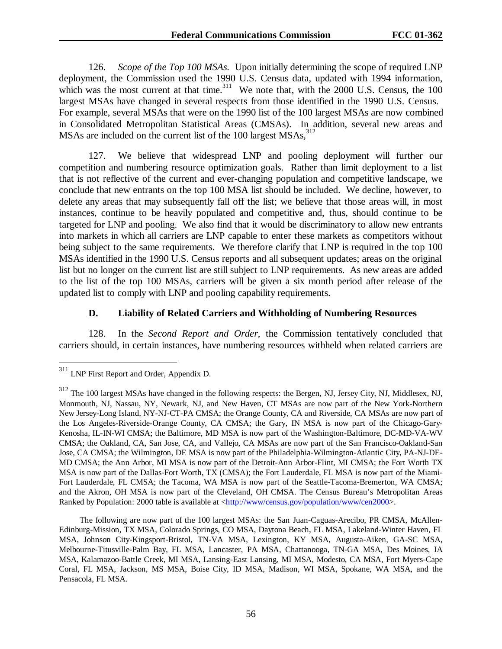126. *Scope of the Top 100 MSAs.* Upon initially determining the scope of required LNP deployment, the Commission used the 1990 U.S. Census data, updated with 1994 information, which was the most current at that time. $311$  We note that, with the 2000 U.S. Census, the 100 largest MSAs have changed in several respects from those identified in the 1990 U.S. Census. For example, several MSAs that were on the 1990 list of the 100 largest MSAs are now combined in Consolidated Metropolitan Statistical Areas (CMSAs). In addition, several new areas and MSAs are included on the current list of the 100 largest MSAs,<sup>312</sup>

127. We believe that widespread LNP and pooling deployment will further our competition and numbering resource optimization goals. Rather than limit deployment to a list that is not reflective of the current and ever-changing population and competitive landscape, we conclude that new entrants on the top 100 MSA list should be included. We decline, however, to delete any areas that may subsequently fall off the list; we believe that those areas will, in most instances, continue to be heavily populated and competitive and, thus, should continue to be targeted for LNP and pooling. We also find that it would be discriminatory to allow new entrants into markets in which all carriers are LNP capable to enter these markets as competitors without being subject to the same requirements. We therefore clarify that LNP is required in the top 100 MSAs identified in the 1990 U.S. Census reports and all subsequent updates; areas on the original list but no longer on the current list are still subject to LNP requirements. As new areas are added to the list of the top 100 MSAs, carriers will be given a six month period after release of the updated list to comply with LNP and pooling capability requirements.

#### **D. Liability of Related Carriers and Withholding of Numbering Resources**

128. In the *Second Report and Order*, the Commission tentatively concluded that carriers should, in certain instances, have numbering resources withheld when related carriers are

<sup>&</sup>lt;sup>311</sup> LNP First Report and Order, Appendix D.

<sup>&</sup>lt;sup>312</sup> The 100 largest MSAs have changed in the following respects: the Bergen, NJ, Jersey City, NJ, Middlesex, NJ, Monmouth, NJ, Nassau, NY, Newark, NJ, and New Haven, CT MSAs are now part of the New York-Northern New Jersey-Long Island, NY-NJ-CT-PA CMSA; the Orange County, CA and Riverside, CA MSAs are now part of the Los Angeles-Riverside-Orange County, CA CMSA; the Gary, IN MSA is now part of the Chicago-Gary-Kenosha, IL-IN-WI CMSA; the Baltimore, MD MSA is now part of the Washington-Baltimore, DC-MD-VA-WV CMSA; the Oakland, CA, San Jose, CA, and Vallejo, CA MSAs are now part of the San Francisco-Oakland-San Jose, CA CMSA; the Wilmington, DE MSA is now part of the Philadelphia-Wilmington-Atlantic City, PA-NJ-DE-MD CMSA; the Ann Arbor, MI MSA is now part of the Detroit-Ann Arbor-Flint, MI CMSA; the Fort Worth TX MSA is now part of the Dallas-Fort Worth, TX (CMSA); the Fort Lauderdale, FL MSA is now part of the Miami-Fort Lauderdale, FL CMSA; the Tacoma, WA MSA is now part of the Seattle-Tacoma-Bremerton, WA CMSA; and the Akron, OH MSA is now part of the Cleveland, OH CMSA. The Census Bureau's Metropolitan Areas Ranked by Population: 2000 table is available at <http://www/census.gov/population/www/cen2000>.

The following are now part of the 100 largest MSAs: the San Juan-Caguas-Arecibo, PR CMSA, McAllen-Edinburg-Mission, TX MSA, Colorado Springs, CO MSA, Daytona Beach, FL MSA, Lakeland-Winter Haven, FL MSA, Johnson City-Kingsport-Bristol, TN-VA MSA, Lexington, KY MSA, Augusta-Aiken, GA-SC MSA, Melbourne-Titusville-Palm Bay, FL MSA, Lancaster, PA MSA, Chattanooga, TN-GA MSA, Des Moines, IA MSA, Kalamazoo-Battle Creek, MI MSA, Lansing-East Lansing, MI MSA, Modesto, CA MSA, Fort Myers-Cape Coral, FL MSA, Jackson, MS MSA, Boise City, ID MSA, Madison, WI MSA, Spokane, WA MSA, and the Pensacola, FL MSA.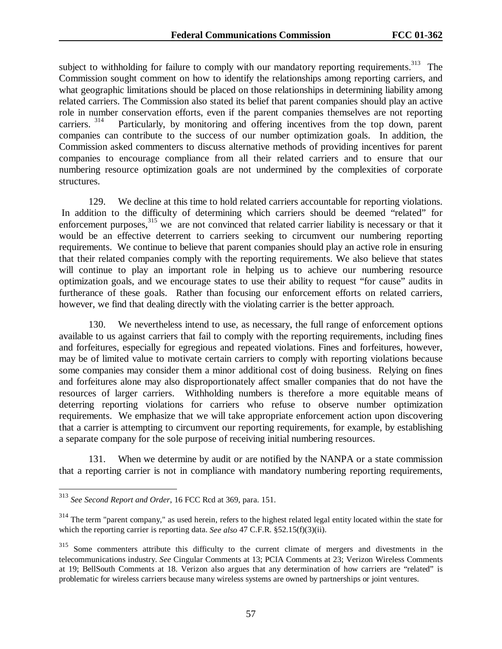subject to withholding for failure to comply with our mandatory reporting requirements.<sup>313</sup> The Commission sought comment on how to identify the relationships among reporting carriers, and what geographic limitations should be placed on those relationships in determining liability among related carriers. The Commission also stated its belief that parent companies should play an active role in number conservation efforts, even if the parent companies themselves are not reporting carriers.<sup>314</sup> Particularly, by monitoring and offering incentives from the top down, parent Particularly, by monitoring and offering incentives from the top down, parent companies can contribute to the success of our number optimization goals. In addition, the Commission asked commenters to discuss alternative methods of providing incentives for parent companies to encourage compliance from all their related carriers and to ensure that our numbering resource optimization goals are not undermined by the complexities of corporate structures.

129. We decline at this time to hold related carriers accountable for reporting violations. In addition to the difficulty of determining which carriers should be deemed "related" for enforcement purposes,<sup>315</sup> we are not convinced that related carrier liability is necessary or that it would be an effective deterrent to carriers seeking to circumvent our numbering reporting requirements. We continue to believe that parent companies should play an active role in ensuring that their related companies comply with the reporting requirements. We also believe that states will continue to play an important role in helping us to achieve our numbering resource optimization goals, and we encourage states to use their ability to request "for cause" audits in furtherance of these goals. Rather than focusing our enforcement efforts on related carriers, however, we find that dealing directly with the violating carrier is the better approach.

130. We nevertheless intend to use, as necessary, the full range of enforcement options available to us against carriers that fail to comply with the reporting requirements, including fines and forfeitures, especially for egregious and repeated violations. Fines and forfeitures, however, may be of limited value to motivate certain carriers to comply with reporting violations because some companies may consider them a minor additional cost of doing business. Relying on fines and forfeitures alone may also disproportionately affect smaller companies that do not have the resources of larger carriers. Withholding numbers is therefore a more equitable means of deterring reporting violations for carriers who refuse to observe number optimization requirements. We emphasize that we will take appropriate enforcement action upon discovering that a carrier is attempting to circumvent our reporting requirements, for example, by establishing a separate company for the sole purpose of receiving initial numbering resources.

131. When we determine by audit or are notified by the NANPA or a state commission that a reporting carrier is not in compliance with mandatory numbering reporting requirements,

<sup>313</sup> *See Second Report and Order*, 16 FCC Rcd at 369, para. 151.

 $314$  The term "parent company," as used herein, refers to the highest related legal entity located within the state for which the reporting carrier is reporting data. *See also* 47 C.F.R. §52.15(f)(3)(ii).

Some commenters attribute this difficulty to the current climate of mergers and divestments in the telecommunications industry. *See* Cingular Comments at 13; PCIA Comments at 23; Verizon Wireless Comments at 19; BellSouth Comments at 18. Verizon also argues that any determination of how carriers are "related" is problematic for wireless carriers because many wireless systems are owned by partnerships or joint ventures.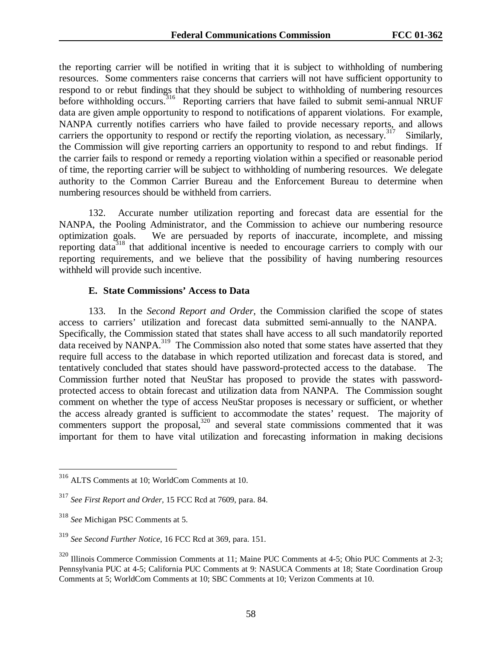the reporting carrier will be notified in writing that it is subject to withholding of numbering resources. Some commenters raise concerns that carriers will not have sufficient opportunity to respond to or rebut findings that they should be subject to withholding of numbering resources before withholding occurs.<sup>316</sup> Reporting carriers that have failed to submit semi-annual NRUF data are given ample opportunity to respond to notifications of apparent violations. For example, NANPA currently notifies carriers who have failed to provide necessary reports, and allows carriers the opportunity to respond or rectify the reporting violation, as necessary.<sup>317</sup> Similarly, the Commission will give reporting carriers an opportunity to respond to and rebut findings. If the carrier fails to respond or remedy a reporting violation within a specified or reasonable period of time, the reporting carrier will be subject to withholding of numbering resources. We delegate authority to the Common Carrier Bureau and the Enforcement Bureau to determine when numbering resources should be withheld from carriers.

132. Accurate number utilization reporting and forecast data are essential for the NANPA, the Pooling Administrator, and the Commission to achieve our numbering resource optimization goals. We are persuaded by reports of inaccurate, incomplete, and missing reporting data<sup>318</sup> that additional incentive is needed to encourage carriers to comply with our reporting requirements, and we believe that the possibility of having numbering resources withheld will provide such incentive.

### **E. State Commissions' Access to Data**

133. In the *Second Report and Order*, the Commission clarified the scope of states access to carriers' utilization and forecast data submitted semi-annually to the NANPA. Specifically, the Commission stated that states shall have access to all such mandatorily reported  $\frac{1}{2}$  data received by NANPA.<sup>319</sup> The Commission also noted that some states have asserted that they require full access to the database in which reported utilization and forecast data is stored, and tentatively concluded that states should have password-protected access to the database. The Commission further noted that NeuStar has proposed to provide the states with passwordprotected access to obtain forecast and utilization data from NANPA. The Commission sought comment on whether the type of access NeuStar proposes is necessary or sufficient, or whether the access already granted is sufficient to accommodate the states' request. The majority of commenters support the proposal, $320$  and several state commissions commented that it was important for them to have vital utilization and forecasting information in making decisions

<sup>316</sup> ALTS Comments at 10; WorldCom Comments at 10.

<sup>317</sup> *See First Report and Order,* 15 FCC Rcd at 7609, para. 84.

<sup>318</sup> *See* Michigan PSC Comments at 5.

<sup>319</sup> *See Second Further Notice*, 16 FCC Rcd at 369, para. 151.

<sup>320</sup> Illinois Commerce Commission Comments at 11; Maine PUC Comments at 4-5; Ohio PUC Comments at 2-3; Pennsylvania PUC at 4-5; California PUC Comments at 9: NASUCA Comments at 18; State Coordination Group Comments at 5; WorldCom Comments at 10; SBC Comments at 10; Verizon Comments at 10.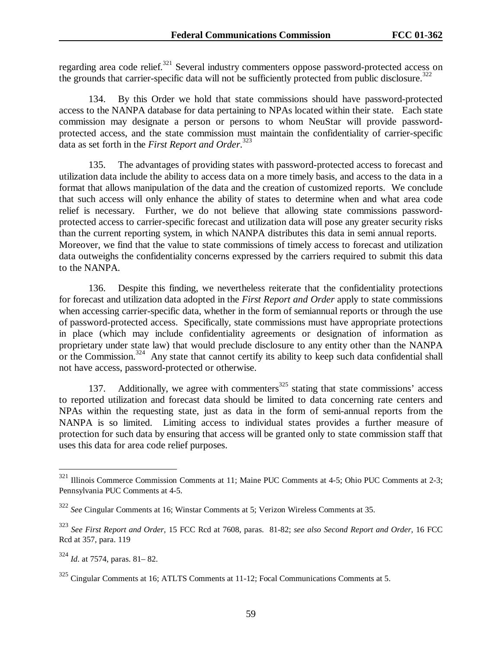regarding area code relief.<sup>321</sup> Several industry commenters oppose password-protected access on the grounds that carrier-specific data will not be sufficiently protected from public disclosure.<sup>322</sup>

134. By this Order we hold that state commissions should have password-protected access to the NANPA database for data pertaining to NPAs located within their state. Each state commission may designate a person or persons to whom NeuStar will provide passwordprotected access, and the state commission must maintain the confidentiality of carrier-specific data as set forth in the *First Report and Order*. 323

135. The advantages of providing states with password-protected access to forecast and utilization data include the ability to access data on a more timely basis, and access to the data in a format that allows manipulation of the data and the creation of customized reports. We conclude that such access will only enhance the ability of states to determine when and what area code relief is necessary. Further, we do not believe that allowing state commissions passwordprotected access to carrier-specific forecast and utilization data will pose any greater security risks than the current reporting system, in which NANPA distributes this data in semi annual reports. Moreover, we find that the value to state commissions of timely access to forecast and utilization data outweighs the confidentiality concerns expressed by the carriers required to submit this data to the NANPA.

136. Despite this finding, we nevertheless reiterate that the confidentiality protections for forecast and utilization data adopted in the *First Report and Order* apply to state commissions when accessing carrier-specific data, whether in the form of semiannual reports or through the use of password-protected access. Specifically, state commissions must have appropriate protections in place (which may include confidentiality agreements or designation of information as proprietary under state law) that would preclude disclosure to any entity other than the NANPA or the Commission.<sup>324</sup> Any state that cannot certify its ability to keep such data confidential shall not have access, password-protected or otherwise.

137. Additionally, we agree with commenters<sup>325</sup> stating that state commissions' access to reported utilization and forecast data should be limited to data concerning rate centers and NPAs within the requesting state, just as data in the form of semi-annual reports from the NANPA is so limited. Limiting access to individual states provides a further measure of protection for such data by ensuring that access will be granted only to state commission staff that uses this data for area code relief purposes.

<sup>&</sup>lt;sup>321</sup> Illinois Commerce Commission Comments at 11; Maine PUC Comments at 4-5; Ohio PUC Comments at 2-3; Pennsylvania PUC Comments at 4-5.

<sup>322</sup> *See* Cingular Comments at 16; Winstar Comments at 5; Verizon Wireless Comments at 35.

<sup>323</sup> *See First Report and Order,* 15 FCC Rcd at 7608, paras. 81-82; *see also Second Report and Order,* 16 FCC Rcd at 357, para. 119

<sup>324</sup> *Id*. at 7574, paras. 81– 82.

<sup>325</sup> Cingular Comments at 16; ATLTS Comments at 11-12; Focal Communications Comments at 5.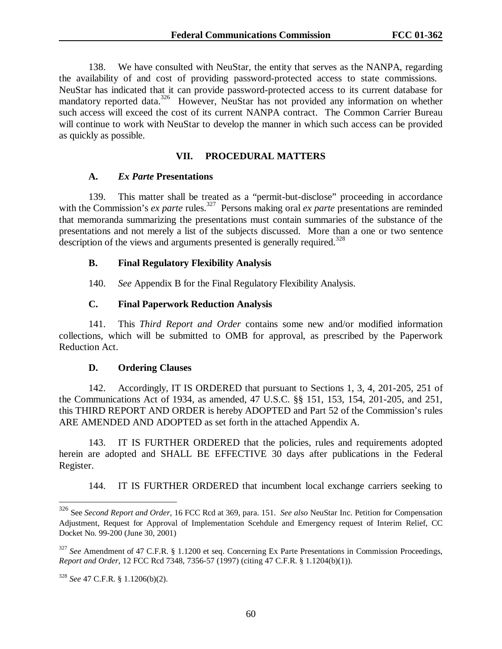138. We have consulted with NeuStar, the entity that serves as the NANPA, regarding the availability of and cost of providing password-protected access to state commissions. NeuStar has indicated that it can provide password-protected access to its current database for mandatory reported data.<sup>326</sup> However, NeuStar has not provided any information on whether such access will exceed the cost of its current NANPA contract. The Common Carrier Bureau will continue to work with NeuStar to develop the manner in which such access can be provided as quickly as possible.

#### **VII. PROCEDURAL MATTERS**

#### **A.** *Ex Parte* **Presentations**

139. This matter shall be treated as a "permit-but-disclose" proceeding in accordance with the Commission's *ex parte* rules.<sup>327</sup> Persons making oral *ex parte* presentations are reminded that memoranda summarizing the presentations must contain summaries of the substance of the presentations and not merely a list of the subjects discussed. More than a one or two sentence description of the views and arguments presented is generally required.<sup>328</sup>

### **B. Final Regulatory Flexibility Analysis**

140. *See* Appendix B for the Final Regulatory Flexibility Analysis.

## **C. Final Paperwork Reduction Analysis**

141. This *Third Report and Order* contains some new and/or modified information collections, which will be submitted to OMB for approval, as prescribed by the Paperwork Reduction Act.

#### **D. Ordering Clauses**

142. Accordingly, IT IS ORDERED that pursuant to Sections 1, 3, 4, 201-205, 251 of the Communications Act of 1934, as amended, 47 U.S.C. §§ 151, 153, 154, 201-205, and 251, this THIRD REPORT AND ORDER is hereby ADOPTED and Part 52 of the Commission's rules ARE AMENDED AND ADOPTED as set forth in the attached Appendix A.

143. IT IS FURTHER ORDERED that the policies, rules and requirements adopted herein are adopted and SHALL BE EFFECTIVE 30 days after publications in the Federal Register.

144. IT IS FURTHER ORDERED that incumbent local exchange carriers seeking to

<sup>326</sup> See *Second Report and Order*, 16 FCC Rcd at 369, para. 151. *See also* NeuStar Inc. Petition for Compensation Adjustment, Request for Approval of Implementation Scehdule and Emergency request of Interim Relief, CC Docket No. 99-200 (June 30, 2001)

<sup>327</sup> *See* Amendment of 47 C.F.R. § 1.1200 et seq. Concerning Ex Parte Presentations in Commission Proceedings, *Report and Order*, 12 FCC Rcd 7348, 7356-57 (1997) (citing 47 C.F.R. § 1.1204(b)(1)).

<sup>328</sup> *See* 47 C.F.R. § 1.1206(b)(2).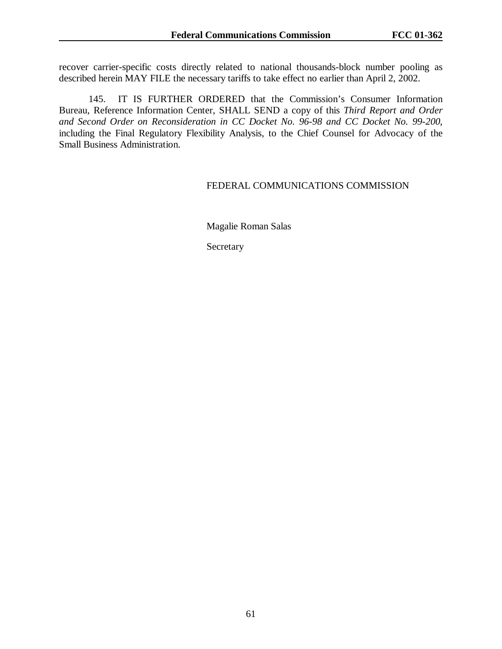recover carrier-specific costs directly related to national thousands-block number pooling as described herein MAY FILE the necessary tariffs to take effect no earlier than April 2, 2002.

145. IT IS FURTHER ORDERED that the Commission's Consumer Information Bureau, Reference Information Center, SHALL SEND a copy of this *Third Report and Order and Second Order on Reconsideration in CC Docket No. 96-98 and CC Docket No. 99-200*, including the Final Regulatory Flexibility Analysis, to the Chief Counsel for Advocacy of the Small Business Administration.

### FEDERAL COMMUNICATIONS COMMISSION

Magalie Roman Salas

Secretary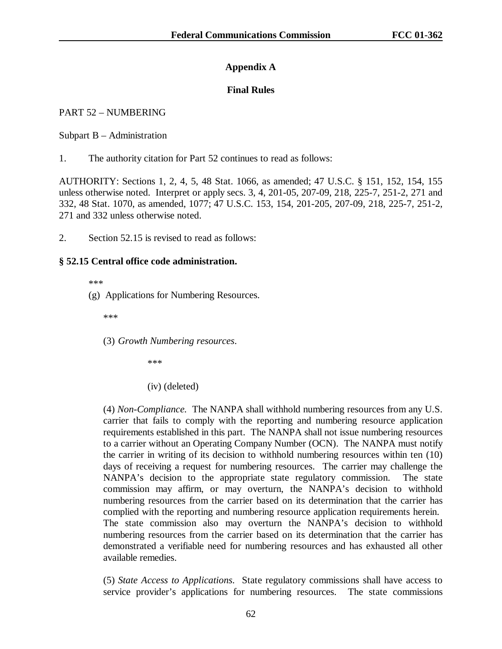# **Appendix A**

# **Final Rules**

# PART 52 – NUMBERING

Subpart B – Administration

1. The authority citation for Part 52 continues to read as follows:

AUTHORITY: Sections 1, 2, 4, 5, 48 Stat. 1066, as amended; 47 U.S.C. § 151, 152, 154, 155 unless otherwise noted. Interpret or apply secs. 3, 4, 201-05, 207-09, 218, 225-7, 251-2, 271 and 332, 48 Stat. 1070, as amended, 1077; 47 U.S.C. 153, 154, 201-205, 207-09, 218, 225-7, 251-2, 271 and 332 unless otherwise noted.

2. Section 52.15 is revised to read as follows:

# **§ 52.15 Central office code administration.**

\*\*\*

(g) Applications for Numbering Resources.

\*\*\*

(3) *Growth Numbering resources*.

\*\*\*

(iv) (deleted)

(4) *Non-Compliance.* The NANPA shall withhold numbering resources from any U.S. carrier that fails to comply with the reporting and numbering resource application requirements established in this part. The NANPA shall not issue numbering resources to a carrier without an Operating Company Number (OCN). The NANPA must notify the carrier in writing of its decision to withhold numbering resources within ten (10) days of receiving a request for numbering resources. The carrier may challenge the NANPA's decision to the appropriate state regulatory commission. The state commission may affirm, or may overturn, the NANPA's decision to withhold numbering resources from the carrier based on its determination that the carrier has complied with the reporting and numbering resource application requirements herein. The state commission also may overturn the NANPA's decision to withhold numbering resources from the carrier based on its determination that the carrier has demonstrated a verifiable need for numbering resources and has exhausted all other available remedies.

(5) *State Access to Applications*. State regulatory commissions shall have access to service provider's applications for numbering resources. The state commissions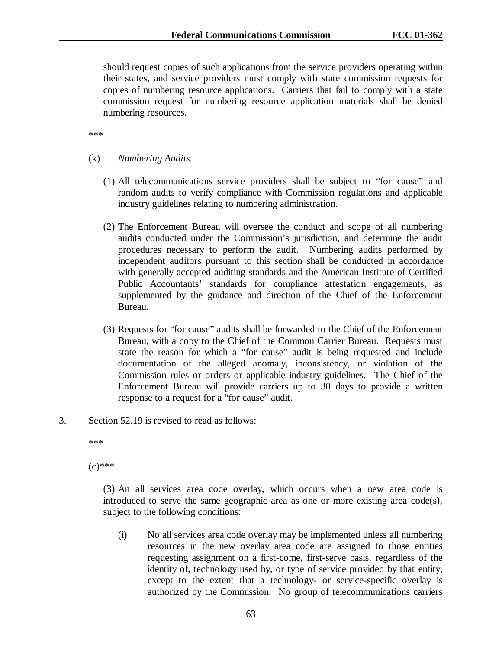should request copies of such applications from the service providers operating within their states, and service providers must comply with state commission requests for copies of numbering resource applications. Carriers that fail to comply with a state commission request for numbering resource application materials shall be denied numbering resources.

\*\*\*

- (k) *Numbering Audits.*
	- (1) All telecommunications service providers shall be subject to "for cause" and random audits to verify compliance with Commission regulations and applicable industry guidelines relating to numbering administration.
	- (2) The Enforcement Bureau will oversee the conduct and scope of all numbering audits conducted under the Commission's jurisdiction, and determine the audit procedures necessary to perform the audit. Numbering audits performed by independent auditors pursuant to this section shall be conducted in accordance with generally accepted auditing standards and the American Institute of Certified Public Accountants' standards for compliance attestation engagements, as supplemented by the guidance and direction of the Chief of the Enforcement Bureau.
	- (3) Requests for "for cause" audits shall be forwarded to the Chief of the Enforcement Bureau, with a copy to the Chief of the Common Carrier Bureau. Requests must state the reason for which a "for cause" audit is being requested and include documentation of the alleged anomaly, inconsistency, or violation of the Commission rules or orders or applicable industry guidelines. The Chief of the Enforcement Bureau will provide carriers up to 30 days to provide a written response to a request for a "for cause" audit.
- 3. Section 52.19 is revised to read as follows:

\*\*\*

 $(c)$ \*\*\*

(3) An all services area code overlay, which occurs when a new area code is introduced to serve the same geographic area as one or more existing area code(s), subject to the following conditions:

(i) No all services area code overlay may be implemented unless all numbering resources in the new overlay area code are assigned to those entities requesting assignment on a first-come, first-serve basis, regardless of the identity of, technology used by, or type of service provided by that entity, except to the extent that a technology- or service-specific overlay is authorized by the Commission. No group of telecommunications carriers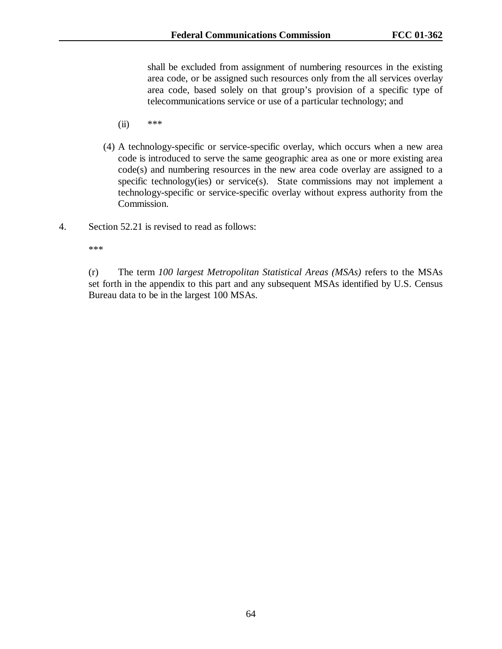shall be excluded from assignment of numbering resources in the existing area code, or be assigned such resources only from the all services overlay area code, based solely on that group's provision of a specific type of telecommunications service or use of a particular technology; and

- (ii) \*\*\*
- (4) A technology-specific or service-specific overlay, which occurs when a new area code is introduced to serve the same geographic area as one or more existing area code(s) and numbering resources in the new area code overlay are assigned to a specific technology(ies) or service(s). State commissions may not implement a technology-specific or service-specific overlay without express authority from the Commission.
- 4. Section 52.21 is revised to read as follows:

\*\*\*

(r) The term *100 largest Metropolitan Statistical Areas (MSAs)* refers to the MSAs set forth in the appendix to this part and any subsequent MSAs identified by U.S. Census Bureau data to be in the largest 100 MSAs.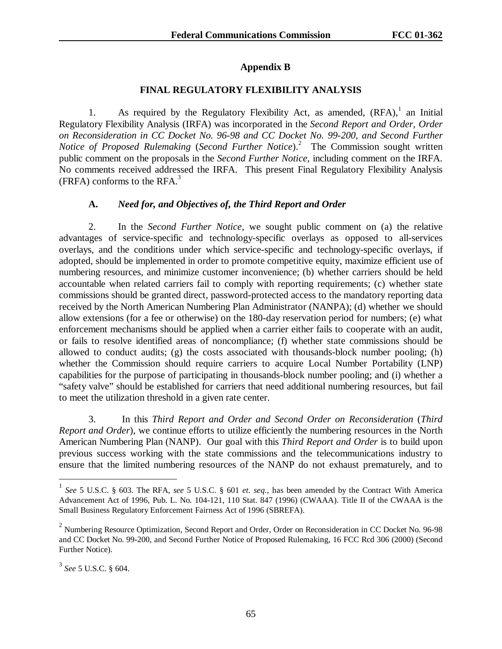# **Appendix B**

# **FINAL REGULATORY FLEXIBILITY ANALYSIS**

1. As required by the Regulatory Flexibility Act, as amended,  $(RFA)$ , an Initial Regulatory Flexibility Analysis (IRFA) was incorporated in the *Second Report and Order, Order on Reconsideration in CC Docket No. 96-98 and CC Docket No. 99-200, and Second Further Notice of Proposed Rulemaking* (*Second Further Notice*).<sup>2</sup> The Commission sought written public comment on the proposals in the *Second Further Notice*, including comment on the IRFA. No comments received addressed the IRFA. This present Final Regulatory Flexibility Analysis (FRFA) conforms to the RFA. $3$ 

## **A.** *Need for, and Objectives of, the Third Report and Order*

2. In the *Second Further Notice,* we sought public comment on (a) the relative advantages of service-specific and technology-specific overlays as opposed to all-services overlays, and the conditions under which service-specific and technology-specific overlays, if adopted, should be implemented in order to promote competitive equity, maximize efficient use of numbering resources, and minimize customer inconvenience; (b) whether carriers should be held accountable when related carriers fail to comply with reporting requirements; (c) whether state commissions should be granted direct, password-protected access to the mandatory reporting data received by the North American Numbering Plan Administrator (NANPA); (d) whether we should allow extensions (for a fee or otherwise) on the 180-day reservation period for numbers; (e) what enforcement mechanisms should be applied when a carrier either fails to cooperate with an audit, or fails to resolve identified areas of noncompliance; (f) whether state commissions should be allowed to conduct audits; (g) the costs associated with thousands-block number pooling; (h) whether the Commission should require carriers to acquire Local Number Portability (LNP) capabilities for the purpose of participating in thousands-block number pooling; and (i) whether a "safety valve" should be established for carriers that need additional numbering resources, but fail to meet the utilization threshold in a given rate center.

3. In this *Third Report and Order and Second Order on Reconsideration* (*Third Report and Order*), we continue efforts to utilize efficiently the numbering resources in the North American Numbering Plan (NANP). Our goal with this *Third Report and Order* is to build upon previous success working with the state commissions and the telecommunications industry to ensure that the limited numbering resources of the NANP do not exhaust prematurely, and to

<sup>1</sup> *See* 5 U.S.C. § 603. The RFA, *see* 5 U.S.C. § 601 *et. seq*., has been amended by the Contract With America Advancement Act of 1996, Pub. L. No. 104-121, 110 Stat. 847 (1996) (CWAAA). Title II of the CWAAA is the Small Business Regulatory Enforcement Fairness Act of 1996 (SBREFA).

 $2$  Numbering Resource Optimization, Second Report and Order, Order on Reconsideration in CC Docket No. 96-98 and CC Docket No. 99-200, and Second Further Notice of Proposed Rulemaking, 16 FCC Rcd 306 (2000) (Second Further Notice).

<sup>3</sup> *See* 5 U.S.C. § 604.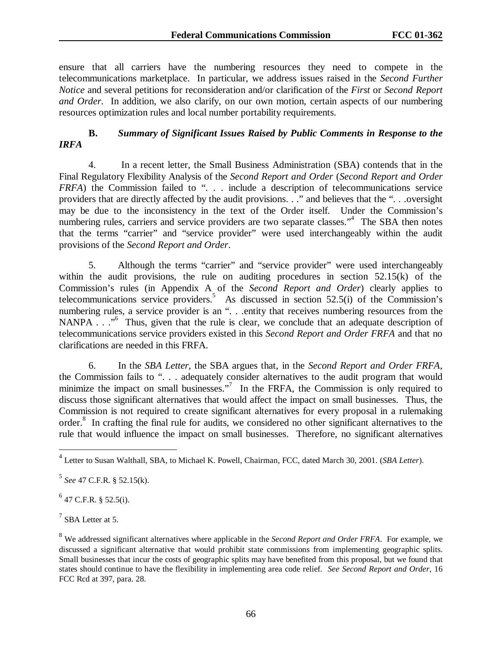ensure that all carriers have the numbering resources they need to compete in the telecommunications marketplace. In particular, we address issues raised in the *Second Further Notice* and several petitions for reconsideration and/or clarification of the *First* or *Second Report and Order*. In addition, we also clarify, on our own motion, certain aspects of our numbering resources optimization rules and local number portability requirements.

# **B.** *Summary of Significant Issues Raised by Public Comments in Response to the IRFA*

4. In a recent letter, the Small Business Administration (SBA) contends that in the Final Regulatory Flexibility Analysis of the *Second Report and Order* (*Second Report and Order FRFA*) the Commission failed to ". . . include a description of telecommunications service providers that are directly affected by the audit provisions. . ." and believes that the ". . .oversight may be due to the inconsistency in the text of the Order itself. Under the Commission's numbering rules, carriers and service providers are two separate classes."<sup>4</sup> The SBA then notes that the terms "carrier" and "service provider" were used interchangeably within the audit provisions of the *Second Report and Order*.

5. Although the terms "carrier" and "service provider" were used interchangeably within the audit provisions, the rule on auditing procedures in section 52.15(k) of the Commission's rules (in Appendix A of the *Second Report and Order*) clearly applies to telecommunications service providers.<sup>5</sup> As discussed in section 52.5(i) of the Commission's numbering rules, a service provider is an "...entity that receives numbering resources from the NANPA . . ."<sup>6</sup> Thus, given that the rule is clear, we conclude that an adequate description of telecommunications service providers existed in this *Second Report and Order FRFA* and that no clarifications are needed in this FRFA.

6. In the *SBA Letter*, the SBA argues that, in the *Second Report and Order FRFA*, the Commission fails to ". . . adequately consider alternatives to the audit program that would minimize the impact on small businesses."<sup>7</sup> In the FRFA, the Commission is only required to discuss those significant alternatives that would affect the impact on small businesses. Thus, the Commission is not required to create significant alternatives for every proposal in a rulemaking order.<sup>8</sup> In crafting the final rule for audits, we considered no other significant alternatives to the rule that would influence the impact on small businesses. Therefore, no significant alternatives

<sup>5</sup> *See* 47 C.F.R. § 52.15(k).

 $^{6}$  47 C.F.R. § 52.5(i).

 $<sup>7</sup>$  SBA Letter at 5.</sup>

<sup>4</sup> Letter to Susan Walthall, SBA, to Michael K. Powell, Chairman, FCC, dated March 30, 2001. (*SBA Letter*).

<sup>8</sup> We addressed significant alternatives where applicable in the *Second Report and Order FRFA*. For example, we discussed a significant alternative that would prohibit state commissions from implementing geographic splits. Small businesses that incur the costs of geographic splits may have benefited from this proposal, but we found that states should continue to have the flexibility in implementing area code relief. *See Second Report and Order*, 16 FCC Rcd at 397, para. 28.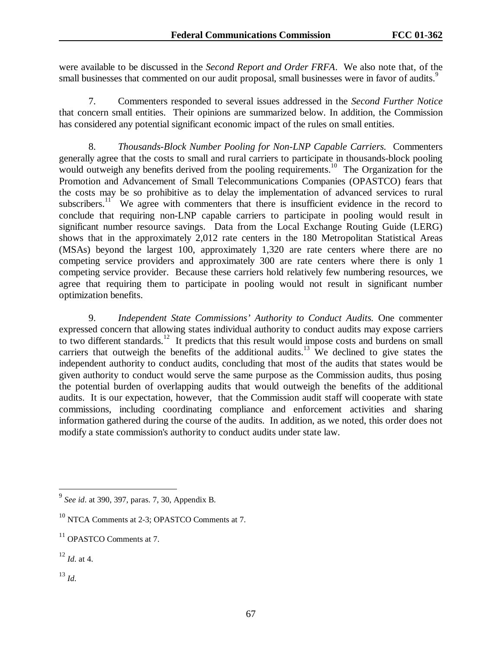were available to be discussed in the *Second Report and Order FRFA*. We also note that, of the small businesses that commented on our audit proposal, small businesses were in favor of audits.<sup>9</sup>

7. Commenters responded to several issues addressed in the *Second Further Notice* that concern small entities. Their opinions are summarized below. In addition, the Commission has considered any potential significant economic impact of the rules on small entities.

8. *Thousands-Block Number Pooling for Non-LNP Capable Carriers.* Commenters generally agree that the costs to small and rural carriers to participate in thousands-block pooling would outweigh any benefits derived from the pooling requirements.<sup>10</sup> The Organization for the Promotion and Advancement of Small Telecommunications Companies (OPASTCO) fears that the costs may be so prohibitive as to delay the implementation of advanced services to rural subscribers.<sup>11</sup> We agree with commenters that there is insufficient evidence in the record to conclude that requiring non-LNP capable carriers to participate in pooling would result in significant number resource savings. Data from the Local Exchange Routing Guide (LERG) shows that in the approximately 2,012 rate centers in the 180 Metropolitan Statistical Areas (MSAs) beyond the largest 100, approximately 1,320 are rate centers where there are no competing service providers and approximately 300 are rate centers where there is only 1 competing service provider. Because these carriers hold relatively few numbering resources, we agree that requiring them to participate in pooling would not result in significant number optimization benefits.

9. *Independent State Commissions' Authority to Conduct Audits.* One commenter expressed concern that allowing states individual authority to conduct audits may expose carriers to two different standards.<sup>12</sup> It predicts that this result would impose costs and burdens on small carriers that outweigh the benefits of the additional audits.<sup>13</sup> We declined to give states the independent authority to conduct audits, concluding that most of the audits that states would be given authority to conduct would serve the same purpose as the Commission audits, thus posing the potential burden of overlapping audits that would outweigh the benefits of the additional audits. It is our expectation, however, that the Commission audit staff will cooperate with state commissions, including coordinating compliance and enforcement activities and sharing information gathered during the course of the audits. In addition, as we noted, this order does not modify a state commission's authority to conduct audits under state law.

<sup>13</sup> *Id*.

<sup>9</sup> *See id*. at 390, 397, paras. 7, 30, Appendix B.

<sup>10</sup> NTCA Comments at 2-3; OPASTCO Comments at 7.

 $11$  OPASTCO Comments at 7.

<sup>12</sup> *Id*. at 4.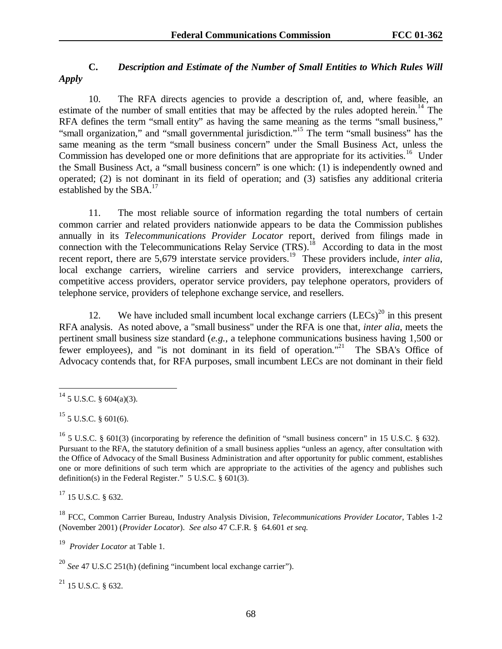# **C.** *Description and Estimate of the Number of Small Entities to Which Rules Will Apply*

10. The RFA directs agencies to provide a description of, and, where feasible, an estimate of the number of small entities that may be affected by the rules adopted herein.<sup>14</sup> The RFA defines the term "small entity" as having the same meaning as the terms "small business," "small organization," and "small governmental jurisdiction."15 The term "small business" has the same meaning as the term "small business concern" under the Small Business Act, unless the Commission has developed one or more definitions that are appropriate for its activities.<sup>16</sup> Under the Small Business Act, a "small business concern" is one which: (1) is independently owned and operated; (2) is not dominant in its field of operation; and (3) satisfies any additional criteria established by the SBA.<sup>17</sup>

11. The most reliable source of information regarding the total numbers of certain common carrier and related providers nationwide appears to be data the Commission publishes annually in its *Telecommunications Provider Locator* report, derived from filings made in connection with the Telecommunications Relay Service  $(TRS)$ .<sup>18</sup> According to data in the most recent report, there are 5,679 interstate service providers.<sup>19</sup> These providers include, *inter alia*, local exchange carriers, wireline carriers and service providers, interexchange carriers, competitive access providers, operator service providers, pay telephone operators, providers of telephone service, providers of telephone exchange service, and resellers.

12. We have included small incumbent local exchange carriers  $(LECs)^{20}$  in this present RFA analysis. As noted above, a "small business" under the RFA is one that, *inter alia*, meets the pertinent small business size standard (*e.g.*, a telephone communications business having 1,500 or fewer employees), and "is not dominant in its field of operation."<sup>21</sup> The SBA's Office of Advocacy contends that, for RFA purposes, small incumbent LECs are not dominant in their field

 $\overline{a}$ 

 $17$  15 U.S.C. § 632.

18 FCC, Common Carrier Bureau, Industry Analysis Division, *Telecommunications Provider Locator*, Tables 1-2 (November 2001) (*Provider Locator*). *See also* 47 C.F.R. § 64.601 *et seq.*

19 *Provider Locator* at Table 1.

<sup>20</sup> *See* 47 U.S.C 251(h) (defining "incumbent local exchange carrier").

 $^{21}$  15 U.S.C. § 632.

 $^{14}$  5 U.S.C. § 604(a)(3).

 $15$  5 U.S.C. § 601(6).

<sup>&</sup>lt;sup>16</sup> 5 U.S.C. § 601(3) (incorporating by reference the definition of "small business concern" in 15 U.S.C. § 632). Pursuant to the RFA, the statutory definition of a small business applies "unless an agency, after consultation with the Office of Advocacy of the Small Business Administration and after opportunity for public comment, establishes one or more definitions of such term which are appropriate to the activities of the agency and publishes such definition(s) in the Federal Register." 5 U.S.C. § 601(3).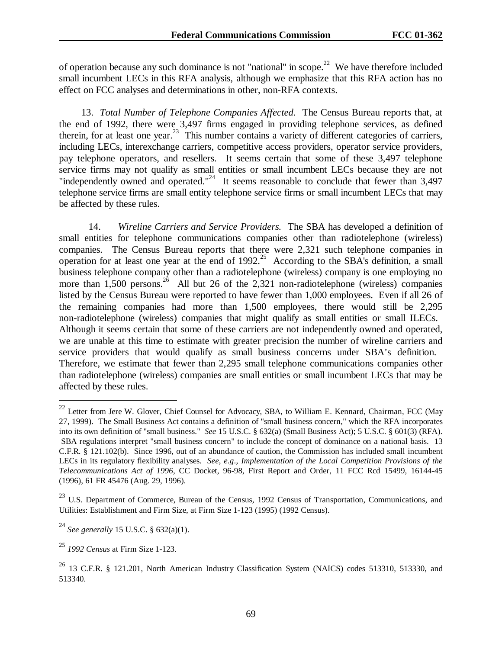of operation because any such dominance is not "national" in scope.<sup>22</sup> We have therefore included small incumbent LECs in this RFA analysis, although we emphasize that this RFA action has no effect on FCC analyses and determinations in other, non-RFA contexts.

13. *Total Number of Telephone Companies Affected.* The Census Bureau reports that, at the end of 1992, there were 3,497 firms engaged in providing telephone services, as defined therein, for at least one year.23 This number contains a variety of different categories of carriers, including LECs, interexchange carriers, competitive access providers, operator service providers, pay telephone operators, and resellers. It seems certain that some of these 3,497 telephone service firms may not qualify as small entities or small incumbent LECs because they are not "independently owned and operated."<sup>24</sup> It seems reasonable to conclude that fewer than  $3,497$ telephone service firms are small entity telephone service firms or small incumbent LECs that may be affected by these rules.

14. *Wireline Carriers and Service Providers.* The SBA has developed a definition of small entities for telephone communications companies other than radiotelephone (wireless) companies. The Census Bureau reports that there were 2,321 such telephone companies in operation for at least one year at the end of  $1992$ <sup>25</sup> According to the SBA's definition, a small business telephone company other than a radiotelephone (wireless) company is one employing no more than  $1,500$  persons.<sup>26</sup> All but 26 of the 2,321 non-radiotelephone (wireless) companies listed by the Census Bureau were reported to have fewer than 1,000 employees. Even if all 26 of the remaining companies had more than 1,500 employees, there would still be 2,295 non-radiotelephone (wireless) companies that might qualify as small entities or small ILECs. Although it seems certain that some of these carriers are not independently owned and operated, we are unable at this time to estimate with greater precision the number of wireline carriers and service providers that would qualify as small business concerns under SBA's definition. Therefore, we estimate that fewer than 2,295 small telephone communications companies other than radiotelephone (wireless) companies are small entities or small incumbent LECs that may be affected by these rules.

<sup>&</sup>lt;sup>22</sup> Letter from Jere W. Glover, Chief Counsel for Advocacy, SBA, to William E. Kennard, Chairman, FCC (May 27, 1999). The Small Business Act contains a definition of "small business concern," which the RFA incorporates into its own definition of "small business." *See* 15 U.S.C. § 632(a) (Small Business Act); 5 U.S.C. § 601(3) (RFA). SBA regulations interpret "small business concern" to include the concept of dominance on a national basis. 13 C.F.R. § 121.102(b). Since 1996, out of an abundance of caution, the Commission has included small incumbent LECs in its regulatory flexibility analyses. *See*, *e.g*., *Implementation of the Local Competition Provisions of the Telecommunications Act of 1996*, CC Docket, 96-98, First Report and Order, 11 FCC Rcd 15499, 16144-45 (1996), 61 FR 45476 (Aug. 29, 1996).

<sup>&</sup>lt;sup>23</sup> U.S. Department of Commerce, Bureau of the Census, 1992 Census of Transportation, Communications, and Utilities: Establishment and Firm Size, at Firm Size 1-123 (1995) (1992 Census).

<sup>24</sup> *See generally* 15 U.S.C. § 632(a)(1).

<sup>25</sup> *1992 Census* at Firm Size 1-123.

<sup>26 13</sup> C.F.R. § 121.201, North American Industry Classification System (NAICS) codes 513310, 513330, and 513340.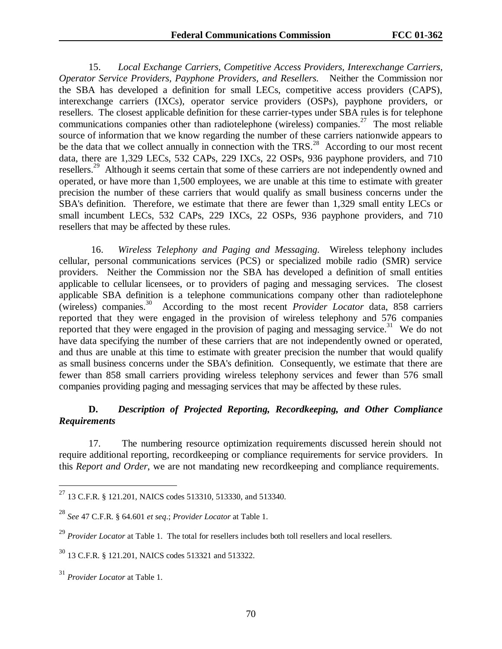15. *Local Exchange Carriers, Competitive Access Providers, Interexchange Carriers, Operator Service Providers, Payphone Providers, and Resellers.* Neither the Commission nor the SBA has developed a definition for small LECs, competitive access providers (CAPS), interexchange carriers (IXCs), operator service providers (OSPs), payphone providers, or resellers. The closest applicable definition for these carrier-types under SBA rules is for telephone communications companies other than radiotelephone (wireless) companies.<sup>27</sup> The most reliable source of information that we know regarding the number of these carriers nationwide appears to be the data that we collect annually in connection with the  $TRS<sup>28</sup>$ . According to our most recent data, there are 1,329 LECs, 532 CAPs, 229 IXCs, 22 OSPs, 936 payphone providers, and 710 resellers.<sup>29</sup> Although it seems certain that some of these carriers are not independently owned and operated, or have more than 1,500 employees, we are unable at this time to estimate with greater precision the number of these carriers that would qualify as small business concerns under the SBA's definition. Therefore, we estimate that there are fewer than 1,329 small entity LECs or small incumbent LECs, 532 CAPs, 229 IXCs, 22 OSPs, 936 payphone providers, and 710 resellers that may be affected by these rules.

 16. *Wireless Telephony and Paging and Messaging.* Wireless telephony includes cellular, personal communications services (PCS) or specialized mobile radio (SMR) service providers. Neither the Commission nor the SBA has developed a definition of small entities applicable to cellular licensees, or to providers of paging and messaging services. The closest applicable SBA definition is a telephone communications company other than radiotelephone (wireless) companies.30 According to the most recent *Provider Locator* data, 858 carriers reported that they were engaged in the provision of wireless telephony and 576 companies reported that they were engaged in the provision of paging and messaging service.<sup>31</sup> We do not have data specifying the number of these carriers that are not independently owned or operated, and thus are unable at this time to estimate with greater precision the number that would qualify as small business concerns under the SBA's definition. Consequently, we estimate that there are fewer than 858 small carriers providing wireless telephony services and fewer than 576 small companies providing paging and messaging services that may be affected by these rules.

# **D.** *Description of Projected Reporting, Recordkeeping, and Other Compliance Requirements*

17. The numbering resource optimization requirements discussed herein should not require additional reporting, recordkeeping or compliance requirements for service providers. In this *Report and Order*, we are not mandating new recordkeeping and compliance requirements.

<sup>&</sup>lt;sup>27</sup> 13 C.F.R. § 121.201, NAICS codes 513310, 513330, and 513340.

<sup>28</sup> *See* 47 C.F.R. § 64.601 *et seq*.; *Provider Locator* at Table 1.

<sup>&</sup>lt;sup>29</sup> *Provider Locator* at Table 1. The total for resellers includes both toll resellers and local resellers.

<sup>30 13</sup> C.F.R. § 121.201, NAICS codes 513321 and 513322.

<sup>31</sup> *Provider Locator* at Table 1.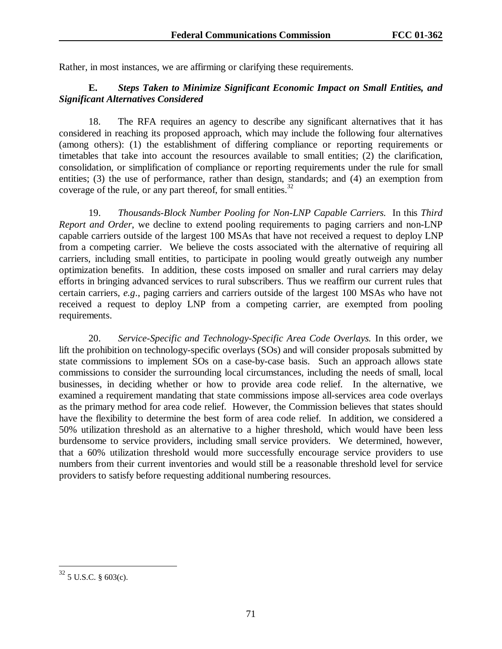Rather, in most instances, we are affirming or clarifying these requirements.

# **E.** *Steps Taken to Minimize Significant Economic Impact on Small Entities, and Significant Alternatives Considered*

18. The RFA requires an agency to describe any significant alternatives that it has considered in reaching its proposed approach, which may include the following four alternatives (among others): (1) the establishment of differing compliance or reporting requirements or timetables that take into account the resources available to small entities; (2) the clarification, consolidation, or simplification of compliance or reporting requirements under the rule for small entities; (3) the use of performance, rather than design, standards; and (4) an exemption from coverage of the rule, or any part thereof, for small entities.<sup>32</sup>

19. *Thousands-Block Number Pooling for Non-LNP Capable Carriers.* In this *Third Report and Order*, we decline to extend pooling requirements to paging carriers and non-LNP capable carriers outside of the largest 100 MSAs that have not received a request to deploy LNP from a competing carrier. We believe the costs associated with the alternative of requiring all carriers, including small entities, to participate in pooling would greatly outweigh any number optimization benefits. In addition, these costs imposed on smaller and rural carriers may delay efforts in bringing advanced services to rural subscribers. Thus we reaffirm our current rules that certain carriers, *e.g*., paging carriers and carriers outside of the largest 100 MSAs who have not received a request to deploy LNP from a competing carrier, are exempted from pooling requirements.

20. *Service-Specific and Technology-Specific Area Code Overlays.* In this order, we lift the prohibition on technology-specific overlays (SOs) and will consider proposals submitted by state commissions to implement SOs on a case-by-case basis. Such an approach allows state commissions to consider the surrounding local circumstances, including the needs of small, local businesses, in deciding whether or how to provide area code relief. In the alternative, we examined a requirement mandating that state commissions impose all-services area code overlays as the primary method for area code relief. However, the Commission believes that states should have the flexibility to determine the best form of area code relief. In addition, we considered a 50% utilization threshold as an alternative to a higher threshold, which would have been less burdensome to service providers, including small service providers. We determined, however, that a 60% utilization threshold would more successfully encourage service providers to use numbers from their current inventories and would still be a reasonable threshold level for service providers to satisfy before requesting additional numbering resources.

 $32$  5 U.S.C. § 603(c).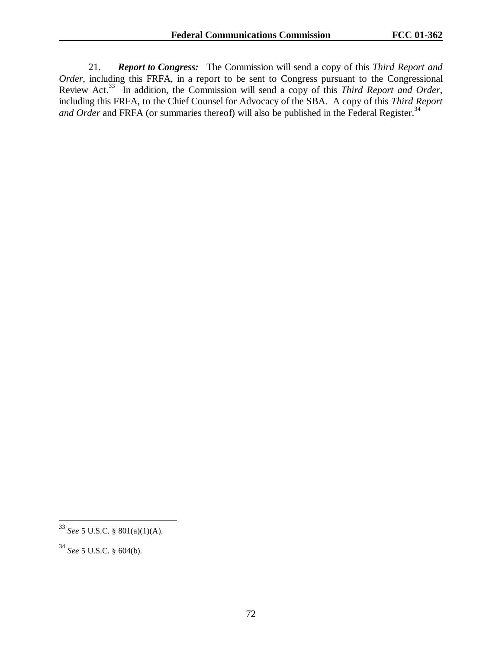21. *Report to Congress:* The Commission will send a copy of this *Third Report and Order*, including this FRFA, in a report to be sent to Congress pursuant to the Congressional Review Act.33 In addition, the Commission will send a copy of this *Third Report and Order*, including this FRFA, to the Chief Counsel for Advocacy of the SBA. A copy of this *Third Report and Order* and FRFA (or summaries thereof) will also be published in the Federal Register.<sup>34</sup>

<sup>33</sup> *See* 5 U.S.C. § 801(a)(1)(A).

<sup>34</sup> *See* 5 U.S.C. § 604(b).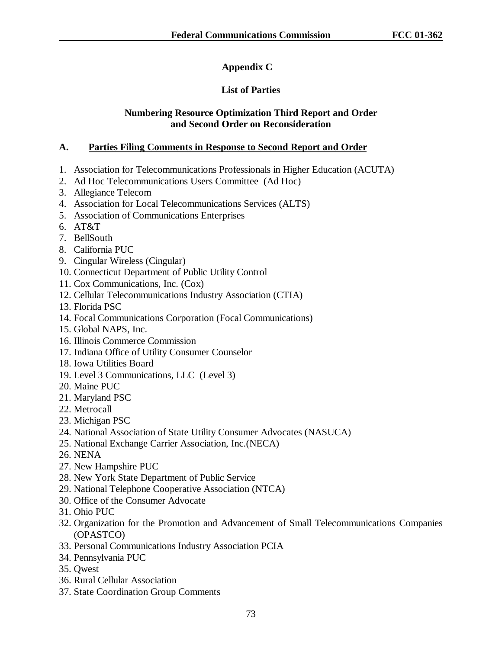# **Appendix C**

# **List of Parties**

#### **Numbering Resource Optimization Third Report and Order and Second Order on Reconsideration**

#### **A. Parties Filing Comments in Response to Second Report and Order**

- 1. Association for Telecommunications Professionals in Higher Education (ACUTA)
- 2. Ad Hoc Telecommunications Users Committee (Ad Hoc)
- 3. Allegiance Telecom
- 4. Association for Local Telecommunications Services (ALTS)
- 5. Association of Communications Enterprises
- 6. AT&T
- 7. BellSouth
- 8. California PUC
- 9. Cingular Wireless (Cingular)
- 10. Connecticut Department of Public Utility Control
- 11. Cox Communications, Inc. (Cox)
- 12. Cellular Telecommunications Industry Association (CTIA)
- 13. Florida PSC
- 14. Focal Communications Corporation (Focal Communications)
- 15. Global NAPS, Inc.
- 16. Illinois Commerce Commission
- 17. Indiana Office of Utility Consumer Counselor
- 18. Iowa Utilities Board
- 19. Level 3 Communications, LLC (Level 3)
- 20. Maine PUC
- 21. Maryland PSC
- 22. Metrocall
- 23. Michigan PSC
- 24. National Association of State Utility Consumer Advocates (NASUCA)
- 25. National Exchange Carrier Association, Inc.(NECA)
- 26. NENA
- 27. New Hampshire PUC
- 28. New York State Department of Public Service
- 29. National Telephone Cooperative Association (NTCA)
- 30. Office of the Consumer Advocate
- 31. Ohio PUC
- 32. Organization for the Promotion and Advancement of Small Telecommunications Companies (OPASTCO)
- 33. Personal Communications Industry Association PCIA
- 34. Pennsylvania PUC
- 35. Qwest
- 36. Rural Cellular Association
- 37. State Coordination Group Comments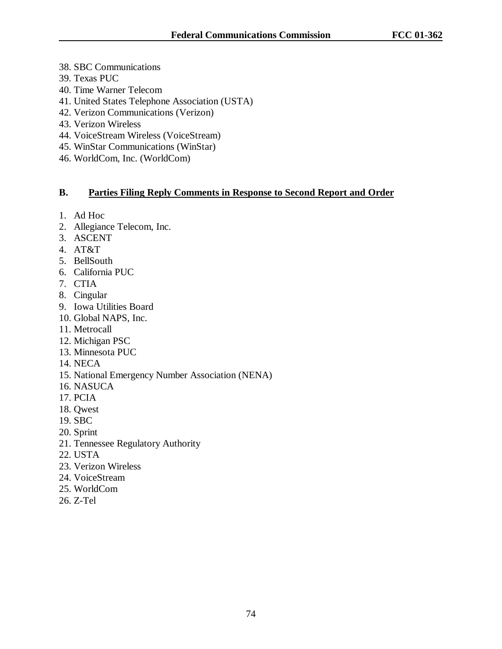- 38. SBC Communications
- 39. Texas PUC
- 40. Time Warner Telecom
- 41. United States Telephone Association (USTA)
- 42. Verizon Communications (Verizon)
- 43. Verizon Wireless
- 44. VoiceStream Wireless (VoiceStream)
- 45. WinStar Communications (WinStar)
- 46. WorldCom, Inc. (WorldCom)

### **B. Parties Filing Reply Comments in Response to Second Report and Order**

- 1. Ad Hoc
- 2. Allegiance Telecom, Inc.
- 3. ASCENT
- 4. AT&T
- 5. BellSouth
- 6. California PUC
- 7. CTIA
- 8. Cingular
- 9. Iowa Utilities Board
- 10. Global NAPS, Inc.
- 11. Metrocall
- 12. Michigan PSC
- 13. Minnesota PUC
- 14. NECA
- 15. National Emergency Number Association (NENA)
- 16. NASUCA
- 17. PCIA
- 18. Qwest
- 19. SBC
- 20. Sprint
- 21. Tennessee Regulatory Authority
- 22. USTA
- 23. Verizon Wireless
- 24. VoiceStream
- 25. WorldCom
- 26. Z-Tel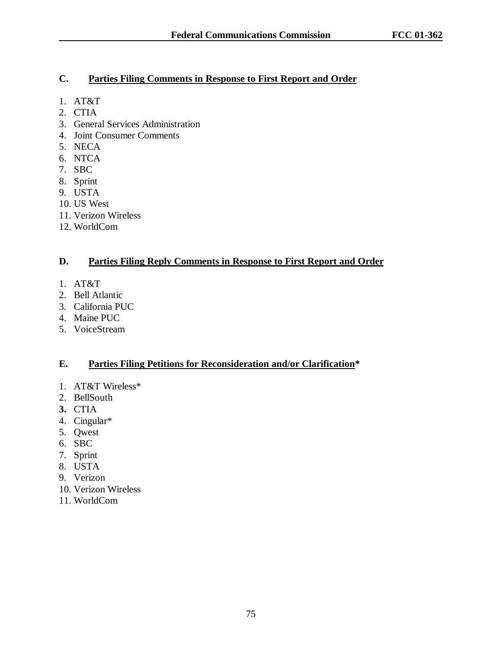## **C. Parties Filing Comments in Response to First Report and Order**

- 1. AT&T
- 2. CTIA
- 3. General Services Administration
- 4. Joint Consumer Comments
- 5. NECA
- 6. NTCA
- 7. SBC
- 8. Sprint
- 9. USTA
- 10. US West
- 11. Verizon Wireless
- 12. WorldCom

### **D. Parties Filing Reply Comments in Response to First Report and Order**

- 1. AT&T
- 2. Bell Atlantic
- 3. California PUC
- 4. Maine PUC
- 5. VoiceStream

### **E. Parties Filing Petitions for Reconsideration and/or Clarification\***

- 1. AT&T Wireless\*
- 2. BellSouth
- **3.** CTIA
- 4. Cingular\*
- 5. Qwest
- 6. SBC
- 7. Sprint
- 8. USTA
- 9. Verizon
- 10. Verizon Wireless
- 11. WorldCom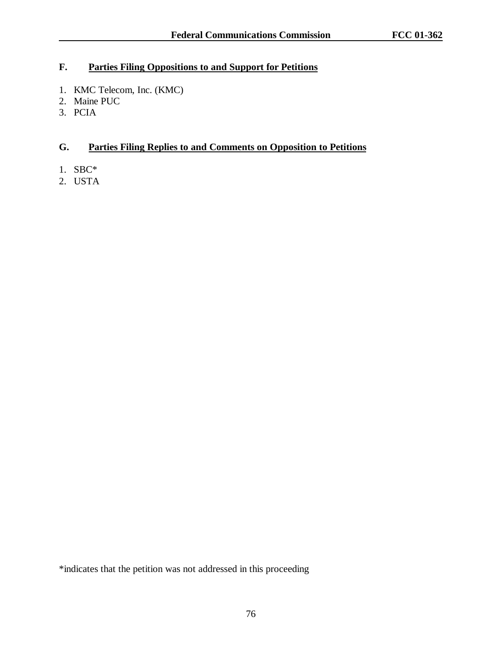# **F. Parties Filing Oppositions to and Support for Petitions**

- 1. KMC Telecom, Inc. (KMC)
- 2. Maine PUC
- 3. PCIA

# **G. Parties Filing Replies to and Comments on Opposition to Petitions**

- 1. SBC\*
- 2. USTA

\*indicates that the petition was not addressed in this proceeding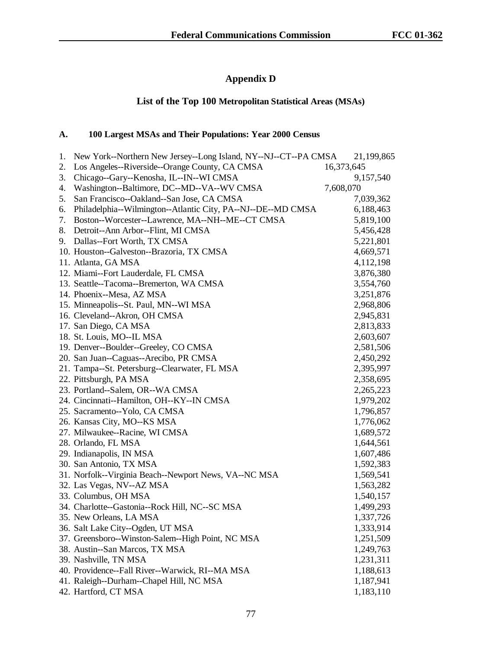# **Appendix D**

# **List of the Top 100 Metropolitan Statistical Areas (MSAs)**

## **A. 100 Largest MSAs and Their Populations: Year 2000 Census**

| 1. | New York--Northern New Jersey--Long Island, NY--NJ--CT--PA CMSA |            | 21,199,865 |
|----|-----------------------------------------------------------------|------------|------------|
| 2. | Los Angeles--Riverside--Orange County, CA CMSA                  | 16,373,645 |            |
| 3. | Chicago--Gary--Kenosha, IL--IN--WI CMSA                         |            | 9,157,540  |
| 4. | Washington--Baltimore, DC--MD--VA--WV CMSA                      | 7,608,070  |            |
| 5. | San Francisco--Oakland--San Jose, CA CMSA                       |            | 7,039,362  |
| 6. | Philadelphia--Wilmington--Atlantic City, PA--NJ--DE--MD CMSA    |            | 6,188,463  |
| 7. | Boston--Worcester--Lawrence, MA--NH--ME--CT CMSA                |            | 5,819,100  |
| 8. | Detroit--Ann Arbor--Flint, MI CMSA                              |            | 5,456,428  |
| 9. | Dallas--Fort Worth, TX CMSA                                     |            | 5,221,801  |
|    | 10. Houston--Galveston--Brazoria, TX CMSA                       |            | 4,669,571  |
|    | 11. Atlanta, GA MSA                                             |            | 4,112,198  |
|    | 12. Miami--Fort Lauderdale, FL CMSA                             |            | 3,876,380  |
|    | 13. Seattle--Tacoma--Bremerton, WA CMSA                         |            | 3,554,760  |
|    | 14. Phoenix--Mesa, AZ MSA                                       |            | 3,251,876  |
|    | 15. Minneapolis--St. Paul, MN--WI MSA                           |            | 2,968,806  |
|    | 16. Cleveland--Akron, OH CMSA                                   |            | 2,945,831  |
|    | 17. San Diego, CA MSA                                           |            | 2,813,833  |
|    | 18. St. Louis, MO--IL MSA                                       |            | 2,603,607  |
|    | 19. Denver--Boulder--Greeley, CO CMSA                           |            | 2,581,506  |
|    | 20. San Juan--Caguas--Arecibo, PR CMSA                          |            | 2,450,292  |
|    | 21. Tampa--St. Petersburg--Clearwater, FL MSA                   |            | 2,395,997  |
|    | 22. Pittsburgh, PA MSA                                          |            | 2,358,695  |
|    | 23. Portland--Salem, OR--WA CMSA                                |            | 2,265,223  |
|    | 24. Cincinnati--Hamilton, OH--KY--IN CMSA                       |            | 1,979,202  |
|    | 25. Sacramento--Yolo, CA CMSA                                   |            | 1,796,857  |
|    | 26. Kansas City, MO--KS MSA                                     |            | 1,776,062  |
|    | 27. Milwaukee--Racine, WI CMSA                                  |            | 1,689,572  |
|    | 28. Orlando, FL MSA                                             |            | 1,644,561  |
|    | 29. Indianapolis, IN MSA                                        |            | 1,607,486  |
|    | 30. San Antonio, TX MSA                                         |            | 1,592,383  |
|    | 31. Norfolk--Virginia Beach--Newport News, VA--NC MSA           |            | 1,569,541  |
|    | 32. Las Vegas, NV--AZ MSA                                       |            | 1,563,282  |
|    | 33. Columbus, OH MSA                                            |            | 1,540,157  |
|    | 34. Charlotte--Gastonia--Rock Hill, NC--SC MSA                  |            | 1,499,293  |
|    | 35. New Orleans, LA MSA                                         |            | 1,337,726  |
|    | 36. Salt Lake City--Ogden, UT MSA                               |            | 1,333,914  |
|    | 37. Greensboro--Winston-Salem--High Point, NC MSA               |            | 1,251,509  |
|    | 38. Austin--San Marcos, TX MSA                                  |            | 1,249,763  |
|    | 39. Nashville, TN MSA                                           |            | 1,231,311  |
|    | 40. Providence--Fall River--Warwick, RI--MA MSA                 |            | 1,188,613  |
|    | 41. Raleigh--Durham--Chapel Hill, NC MSA                        |            | 1,187,941  |
|    | 42. Hartford, CT MSA                                            |            | 1,183,110  |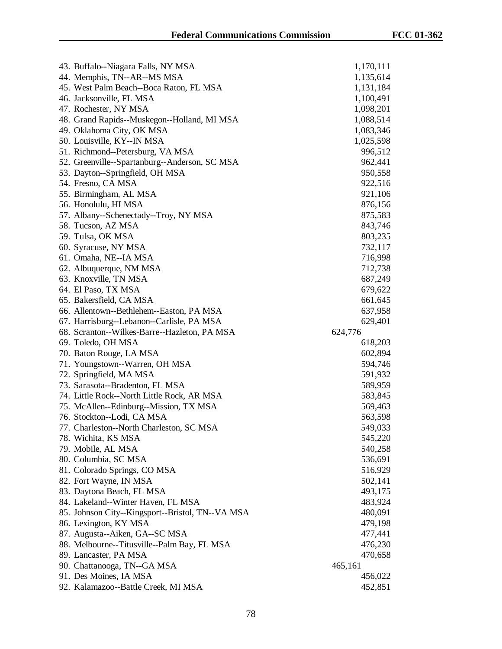| 43. Buffalo--Niagara Falls, NY MSA                            | 1,170,111          |
|---------------------------------------------------------------|--------------------|
| 44. Memphis, TN--AR--MS MSA                                   | 1,135,614          |
| 45. West Palm Beach--Boca Raton, FL MSA                       | 1,131,184          |
| 46. Jacksonville, FL MSA                                      | 1,100,491          |
| 47. Rochester, NY MSA                                         | 1,098,201          |
| 48. Grand Rapids--Muskegon--Holland, MI MSA                   | 1,088,514          |
| 49. Oklahoma City, OK MSA                                     | 1,083,346          |
| 50. Louisville, KY--IN MSA                                    | 1,025,598          |
| 51. Richmond--Petersburg, VA MSA                              | 996,512            |
| 52. Greenville--Spartanburg--Anderson, SC MSA                 | 962,441            |
| 53. Dayton--Springfield, OH MSA                               | 950,558            |
| 54. Fresno, CA MSA                                            | 922,516            |
| 55. Birmingham, AL MSA                                        | 921,106            |
| 56. Honolulu, HI MSA                                          | 876,156            |
| 57. Albany--Schenectady--Troy, NY MSA                         | 875,583            |
| 58. Tucson, AZ MSA                                            | 843,746            |
| 59. Tulsa, OK MSA                                             | 803,235            |
| 60. Syracuse, NY MSA                                          | 732,117            |
| 61. Omaha, NE--IA MSA                                         | 716,998            |
| 62. Albuquerque, NM MSA                                       | 712,738            |
| 63. Knoxville, TN MSA                                         | 687,249            |
| 64. El Paso, TX MSA                                           | 679,622            |
| 65. Bakersfield, CA MSA                                       | 661,645            |
| 66. Allentown--Bethlehem--Easton, PA MSA                      | 637,958            |
| 67. Harrisburg--Lebanon--Carlisle, PA MSA                     | 629,401            |
|                                                               |                    |
| 68. Scranton--Wilkes-Barre--Hazleton, PA MSA                  | 624,776            |
| 69. Toledo, OH MSA                                            | 618,203            |
| 70. Baton Rouge, LA MSA                                       | 602,894            |
| 71. Youngstown--Warren, OH MSA                                | 594,746            |
| 72. Springfield, MA MSA                                       | 591,932            |
| 73. Sarasota--Bradenton, FL MSA                               | 589,959            |
| 74. Little Rock--North Little Rock, AR MSA                    | 583,845            |
| 75. McAllen--Edinburg--Mission, TX MSA                        | 569,463            |
| 76. Stockton--Lodi, CA MSA                                    | 563,598            |
| 77. Charleston--North Charleston, SC MSA                      | 549,033            |
| 78. Wichita, KS MSA                                           | 545,220            |
| 79. Mobile, AL MSA                                            | 540,258            |
| 80. Columbia, SC MSA                                          | 536,691            |
| 81. Colorado Springs, CO MSA                                  | 516,929            |
| 82. Fort Wayne, IN MSA                                        | 502,141            |
| 83. Daytona Beach, FL MSA                                     | 493,175            |
| 84. Lakeland--Winter Haven, FL MSA                            | 483,924            |
| 85. Johnson City--Kingsport--Bristol, TN--VA MSA              | 480,091            |
| 86. Lexington, KY MSA                                         | 479,198            |
| 87. Augusta--Aiken, GA--SC MSA                                | 477,441            |
| 88. Melbourne--Titusville--Palm Bay, FL MSA                   | 476,230            |
| 89. Lancaster, PA MSA                                         | 470,658            |
| 90. Chattanooga, TN--GA MSA                                   | 465,161            |
| 91. Des Moines, IA MSA<br>92. Kalamazoo--Battle Creek, MI MSA | 456,022<br>452,851 |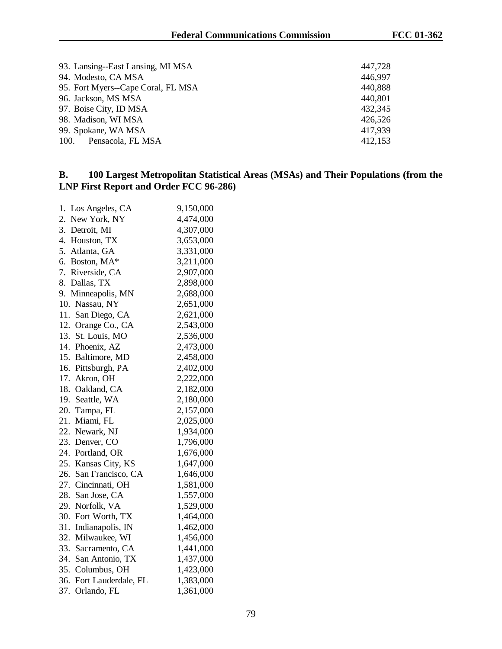| 93. Lansing--East Lansing, MI MSA  | 447,728 |
|------------------------------------|---------|
| 94. Modesto, CA MSA                | 446,997 |
| 95. Fort Myers--Cape Coral, FL MSA | 440,888 |
| 96. Jackson, MS MSA                | 440,801 |
| 97. Boise City, ID MSA             | 432,345 |
| 98. Madison, WI MSA                | 426,526 |
| 99. Spokane, WA MSA                | 417,939 |
| Pensacola, FL MSA<br>100.          | 412,153 |

## **B. 100 Largest Metropolitan Statistical Areas (MSAs) and Their Populations (from the LNP First Report and Order FCC 96-286)**

| 1.<br>Los Angeles, CA    | 9,150,000 |
|--------------------------|-----------|
| 2.<br>New York, NY       | 4,474,000 |
| 3.<br>Detroit, MI        | 4,307,000 |
| 4.<br>Houston, TX        | 3,653,000 |
| 5.<br>Atlanta, GA        | 3,331,000 |
| 6.<br>Boston, MA*        | 3,211,000 |
| 7.<br>Riverside, CA      | 2,907,000 |
| 8.<br>Dallas, TX         | 2,898,000 |
| 9.<br>Minneapolis, MN    | 2,688,000 |
| Nassau, NY<br>10.        | 2,651,000 |
| 11.<br>San Diego, CA     | 2,621,000 |
| 12.<br>Orange Co., CA    | 2,543,000 |
| 13.<br>St. Louis, MO     | 2,536,000 |
| 14.<br>Phoenix, AZ       | 2,473,000 |
| 15.<br>Baltimore, MD     | 2,458,000 |
| 16.<br>Pittsburgh, PA    | 2,402,000 |
| 17.<br>Akron, OH         | 2,222,000 |
| 18.<br>Oakland, CA       | 2,182,000 |
| 19.<br>Seattle, WA       | 2,180,000 |
| 20.<br>Tampa, FL         | 2,157,000 |
| 21.<br>Miami, FL         | 2,025,000 |
| 22.<br>Newark, NJ        | 1,934,000 |
| 23.<br>Denver, CO        | 1,796,000 |
| 24.<br>Portland, OR      | 1,676,000 |
| 25.<br>Kansas City, KS   | 1,647,000 |
| 26.<br>San Francisco, CA | 1,646,000 |
| 27.<br>Cincinnati, OH    | 1,581,000 |
| 28.<br>San Jose, CA      | 1,557,000 |
| 29.<br>Norfolk, VA       | 1,529,000 |
| 30.<br>Fort Worth, TX    | 1,464,000 |
| 31.<br>Indianapolis, IN  | 1,462,000 |
| 32.<br>Milwaukee, WI     | 1,456,000 |
| 33.<br>Sacramento, CA    | 1,441,000 |
| 34.<br>San Antonio, TX   | 1,437,000 |
| 35. Columbus, OH         | 1,423,000 |
| 36. Fort Lauderdale, FL  | 1,383,000 |
| Orlando, FL<br>37.       | 1,361,000 |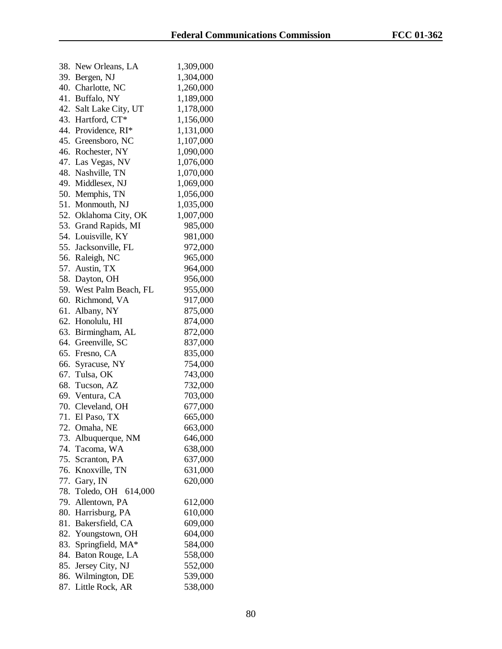| 38. | New Orleans, LA         | 1,309,000 |
|-----|-------------------------|-----------|
|     | 39. Bergen, NJ          | 1,304,000 |
| 40. | Charlotte, NC           | 1,260,000 |
| 41. | Buffalo, NY             | 1,189,000 |
| 42. | Salt Lake City, UT      | 1,178,000 |
|     | 43. Hartford, CT*       | 1,156,000 |
| 44. | Providence, RI*         | 1,131,000 |
|     | 45. Greensboro, NC      | 1,107,000 |
| 46. | Rochester, NY           | 1,090,000 |
| 47. | Las Vegas, NV           | 1,076,000 |
| 48. | Nashville, TN           | 1,070,000 |
| 49. | Middlesex, NJ           | 1,069,000 |
| 50. | Memphis, TN             | 1,056,000 |
| 51. | Monmouth, NJ            | 1,035,000 |
|     | 52. Oklahoma City, OK   | 1,007,000 |
| 53. | Grand Rapids, MI        | 985,000   |
| 54. | Louisville, KY          | 981,000   |
|     | 55. Jacksonville, FL    | 972,000   |
|     | 56. Raleigh, NC         | 965,000   |
|     | 57. Austin, TX          | 964,000   |
|     | 58. Dayton, OH          | 956,000   |
|     | 59. West Palm Beach, FL | 955,000   |
| 60. | Richmond, VA            | 917,000   |
| 61. | Albany, NY              | 875,000   |
|     | 62. Honolulu, HI        | 874,000   |
|     | 63. Birmingham, AL      | 872,000   |
|     | 64. Greenville, SC      | 837,000   |
| 65. | Fresno, CA              | 835,000   |
| 66. | Syracuse, NY            | 754,000   |
| 67. | Tulsa, OK               | 743,000   |
| 68. | Tucson, AZ              | 732,000   |
|     | 69. Ventura, CA         | 703,000   |
|     | 70. Cleveland, OH       | 677,000   |
|     | 71. El Paso, TX         | 665,000   |
|     | 72. Omaha, NE           | 663,000   |
| 73. | Albuquerque, NM         | 646,000   |
| 74. | Tacoma, WA              | 638,000   |
| 75. | Scranton, PA            | 637,000   |
| 76. | Knoxville, TN           | 631,000   |
| 77. | Gary, IN                | 620,000   |
| 78. | Toledo, OH 614,000      |           |
| 79. | Allentown, PA           | 612,000   |
| 80. | Harrisburg, PA          | 610,000   |
| 81. | Bakersfield, CA         | 609,000   |
| 82. | Youngstown, OH          | 604,000   |
| 83. | Springfield, MA*        | 584,000   |
| 84. | Baton Rouge, LA         | 558,000   |
| 85. | Jersey City, NJ         | 552,000   |
| 86. | Wilmington, DE          | 539,000   |
| 87. | Little Rock, AR         | 538,000   |
|     |                         |           |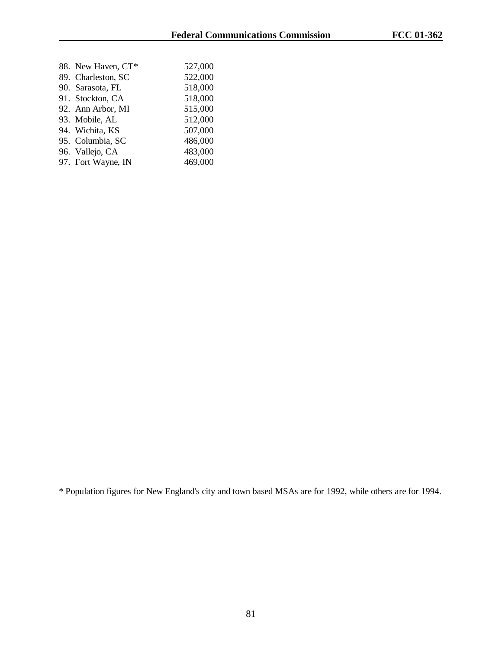| 88. New Haven, CT* | 527,000 |
|--------------------|---------|
| 89. Charleston, SC | 522,000 |
| 90. Sarasota, FL   | 518,000 |
| 91. Stockton, CA   | 518,000 |
| 92. Ann Arbor, MI  | 515,000 |
| 93. Mobile, AL     | 512,000 |
| 94. Wichita, KS    | 507,000 |
| 95. Columbia, SC   | 486,000 |
| 96. Vallejo, CA    | 483,000 |
| 97. Fort Wayne, IN | 469,000 |
|                    |         |

\* Population figures for New England's city and town based MSAs are for 1992, while others are for 1994.